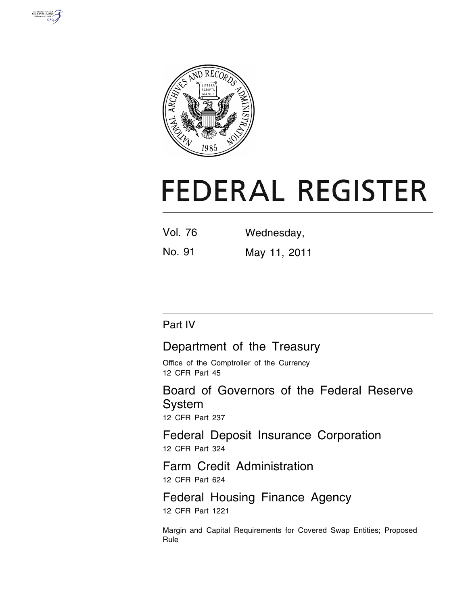



# **FEDERAL REGISTER**

| Vol. 76 | Wednesday, |
|---------|------------|
|         |            |

No. 91 May 11, 2011

# Part IV

# Department of the Treasury

Office of the Comptroller of the Currency 12 CFR Part 45

Board of Governors of the Federal Reserve System

12 CFR Part 237

Federal Deposit Insurance Corporation 12 CFR Part 324

Farm Credit Administration 12 CFR Part 624

Federal Housing Finance Agency 12 CFR Part 1221

Margin and Capital Requirements for Covered Swap Entities; Proposed Rule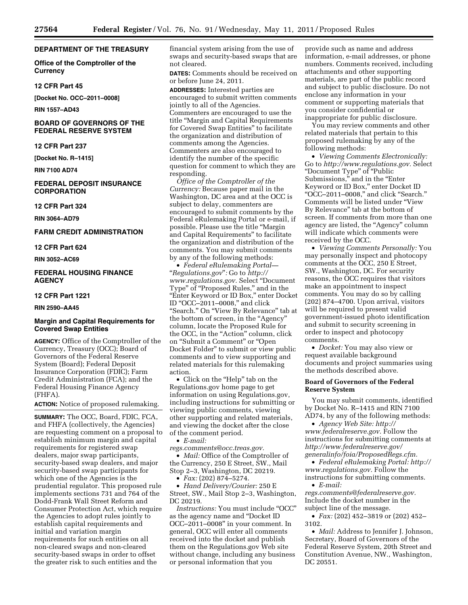# **DEPARTMENT OF THE TREASURY**

**Office of the Comptroller of the Currency** 

#### **12 CFR Part 45**

**[Docket No. OCC–2011–0008]** 

**RIN 1557–AD43** 

# **BOARD OF GOVERNORS OF THE FEDERAL RESERVE SYSTEM**

#### **12 CFR Part 237**

**[Docket No. R–1415]** 

**RIN 7100 AD74** 

### **FEDERAL DEPOSIT INSURANCE CORPORATION**

**12 CFR Part 324** 

**RIN 3064–AD79** 

# **FARM CREDIT ADMINISTRATION**

**12 CFR Part 624** 

#### **RIN 3052–AC69**

# **FEDERAL HOUSING FINANCE AGENCY**

# **12 CFR Part 1221**

# **RIN 2590–AA45**

## **Margin and Capital Requirements for Covered Swap Entities**

**AGENCY:** Office of the Comptroller of the Currency, Treasury (OCC); Board of Governors of the Federal Reserve System (Board); Federal Deposit Insurance Corporation (FDIC); Farm Credit Administration (FCA); and the Federal Housing Finance Agency (FHFA).

**ACTION:** Notice of proposed rulemaking.

**SUMMARY:** The OCC, Board, FDIC, FCA, and FHFA (collectively, the Agencies) are requesting comment on a proposal to establish minimum margin and capital requirements for registered swap dealers, major swap participants, security-based swap dealers, and major security-based swap participants for which one of the Agencies is the prudential regulator. This proposed rule implements sections 731 and 764 of the Dodd-Frank Wall Street Reform and Consumer Protection Act, which require the Agencies to adopt rules jointly to establish capital requirements and initial and variation margin requirements for such entities on all non-cleared swaps and non-cleared security-based swaps in order to offset the greater risk to such entities and the

financial system arising from the use of swaps and security-based swaps that are not cleared.

**DATES:** Comments should be received on or before June 24, 2011.

**ADDRESSES:** Interested parties are encouraged to submit written comments jointly to all of the Agencies. Commenters are encouraged to use the title ''Margin and Capital Requirements for Covered Swap Entities'' to facilitate the organization and distribution of comments among the Agencies. Commenters are also encouraged to identify the number of the specific question for comment to which they are responding.

*Office of the Comptroller of the Currency:* Because paper mail in the Washington, DC area and at the OCC is subject to delay, commenters are encouraged to submit comments by the Federal eRulemaking Portal or e-mail, if possible. Please use the title ''Margin and Capital Requirements'' to facilitate the organization and distribution of the comments. You may submit comments by any of the following methods:

• *Federal eRulemaking Portal—*  ''*Regulations.gov*''*:* Go to *[http://](http://www.regulations.gov)  [www.regulations.gov.](http://www.regulations.gov)* Select ''Document Type'' of ''Proposed Rules,'' and in the ''Enter Keyword or ID Box,'' enter Docket ID ''OCC–2011–0008,'' and click "Search." On "View By Relevance" tab at the bottom of screen, in the ''Agency'' column, locate the Proposed Rule for the OCC, in the "Action" column, click on "Submit a Comment" or "Open Docket Folder'' to submit or view public comments and to view supporting and related materials for this rulemaking action.

• Click on the "Help" tab on the Regulations.gov home page to get information on using Regulations.gov, including instructions for submitting or viewing public comments, viewing other supporting and related materials, and viewing the docket after the close of the comment period.

• *E-mail:* 

*[regs.comments@occ.treas.gov.](mailto:regs.comments@occ.treas.gov)* 

• *Mail:* Office of the Comptroller of the Currency, 250 E Street, SW., Mail Stop 2–3, Washington, DC 20219.  $\bullet$  *Fax:* (202) 874–5274.

• *Hand Delivery/Courier:* 250 E

Street, SW., Mail Stop 2–3, Washington, DC 20219.

*Instructions:* You must include ''OCC'' as the agency name and ''Docket ID OCC–2011–0008'' in your comment. In general, OCC will enter all comments received into the docket and publish them on the Regulations.gov Web site without change, including any business or personal information that you

provide such as name and address information, e-mail addresses, or phone numbers. Comments received, including attachments and other supporting materials, are part of the public record and subject to public disclosure. Do not enclose any information in your comment or supporting materials that you consider confidential or inappropriate for public disclosure.

You may review comments and other related materials that pertain to this proposed rulemaking by any of the following methods:

• *Viewing Comments Electronically:*  Go to *[http://www.regulations.gov.](http://www.regulations.gov)* Select ''Document Type'' of ''Public Submissions," and in the "Enter Keyword or ID Box,'' enter Docket ID ''OCC–2011–0008,'' and click ''Search.'' Comments will be listed under ''View By Relevance'' tab at the bottom of screen. If comments from more than one agency are listed, the ''Agency'' column will indicate which comments were received by the OCC.

• *Viewing Comments Personally:* You may personally inspect and photocopy comments at the OCC, 250 E Street, SW., Washington, DC. For security reasons, the OCC requires that visitors make an appointment to inspect comments. You may do so by calling (202) 874–4700. Upon arrival, visitors will be required to present valid government-issued photo identification and submit to security screening in order to inspect and photocopy comments.

• *Docket:* You may also view or request available background documents and project summaries using the methods described above.

#### **Board of Governors of the Federal Reserve System**

You may submit comments, identified by Docket No. R–1415 and RIN 7100 AD74, by any of the following methods:

• *Agency Web Site: [http://](http://www.federalreserve.gov)  [www.federalreserve.gov.](http://www.federalreserve.gov)* Follow the instructions for submitting comments at *[http://www.federalreserve.gov/](http://www.federalreserve.gov/generalinfo/foia/ProposedRegs.cfm)  [generalinfo/foia/ProposedRegs.cfm.](http://www.federalreserve.gov/generalinfo/foia/ProposedRegs.cfm)* 

• *Federal eRulemaking Portal: [http://](http://www.regulations.gov)  [www.regulations.gov.](http://www.regulations.gov)* Follow the instructions for submitting comments.

• *E-mail:* 

*[regs.comments@federalreserve.gov.](mailto:regs.comments@federalreserve.gov)*  Include the docket number in the subject line of the message.

• *Fax:* (202) 452–3819 or (202) 452– 3102.

• *Mail:* Address to Jennifer J. Johnson, Secretary, Board of Governors of the Federal Reserve System, 20th Street and Constitution Avenue, NW., Washington, DC 20551.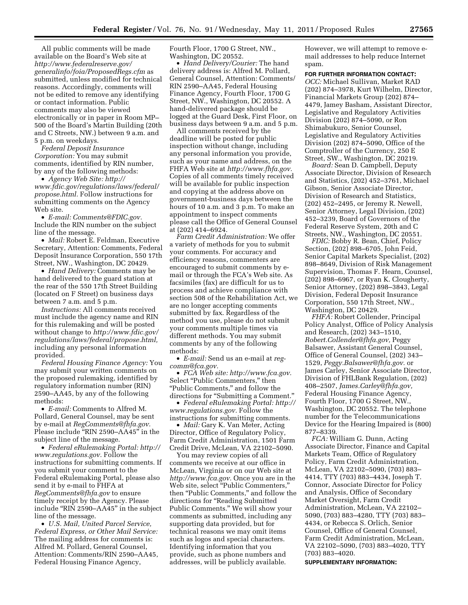All public comments will be made available on the Board's Web site at *[http://www.federalreserve.gov/](http://www.federalreserve.gov/generalinfo/foia/ProposedRegs.cfm)  [generalinfo/foia/ProposedRegs.cfm](http://www.federalreserve.gov/generalinfo/foia/ProposedRegs.cfm)* as submitted, unless modified for technical reasons. Accordingly, comments will not be edited to remove any identifying or contact information. Public comments may also be viewed electronically or in paper in Room MP– 500 of the Board's Martin Building (20th and C Streets, NW.) between 9 a.m. and 5 p.m. on weekdays.

*Federal Deposit Insurance Corporation:* You may submit comments, identified by RIN number, by any of the following methods:

• *Agency Web Site: [http://](http://www.fdic.gov/regulations/laws/federal/propose.html)  [www.fdic.gov/regulations/laws/federal/](http://www.fdic.gov/regulations/laws/federal/propose.html) [propose.html.](http://www.fdic.gov/regulations/laws/federal/propose.html)* Follow instructions for submitting comments on the Agency Web site.

• *E-mail: [Comments@FDIC.gov.](mailto:Comments@FDIC.gov)*  Include the RIN number on the subject line of the message.

• *Mail:* Robert E. Feldman, Executive Secretary, Attention: Comments, Federal Deposit Insurance Corporation, 550 17th Street, NW., Washington, DC 20429.

• *Hand Delivery:* Comments may be hand delivered to the guard station at the rear of the 550 17th Street Building (located on F Street) on business days between 7 a.m. and 5 p.m.

*Instructions:* All comments received must include the agency name and RIN for this rulemaking and will be posted without change to *[http://www.fdic.gov/](http://www.fdic.gov/regulations/laws/federal/propose.html) [regulations/laws/federal/propose.html,](http://www.fdic.gov/regulations/laws/federal/propose.html)*  including any personal information provided.

*Federal Housing Finance Agency:* You may submit your written comments on the proposed rulemaking, identified by regulatory information number (RIN) 2590–AA45, by any of the following methods:

• *E-mail:* Comments to Alfred M. Pollard, General Counsel, may be sent by e-mail at *[RegComments@fhfa.gov.](mailto:RegComments@fhfa.gov)*  Please include ''RIN 2590–AA45'' in the subject line of the message.

• *Federal eRulemaking Portal: [http://](http://www.regulations.gov)  [www.regulations.gov.](http://www.regulations.gov)* Follow the instructions for submitting comments. If you submit your comment to the Federal eRulemaking Portal, please also send it by e-mail to FHFA at *[RegComments@fhfa.gov](mailto:RegComments@fhfa.gov)* to ensure timely receipt by the Agency. Please include ''RIN 2590–AA45'' in the subject line of the message.

• *U.S. Mail, United Parcel Service, Federal Express, or Other Mail Service:*  The mailing address for comments is: Alfred M. Pollard, General Counsel, Attention: Comments/RIN 2590–AA45, Federal Housing Finance Agency,

Fourth Floor, 1700 G Street, NW., Washington, DC 20552.

• *Hand Delivery/Courier:* The hand delivery address is: Alfred M. Pollard, General Counsel, Attention: Comments/ RIN 2590–AA45, Federal Housing Finance Agency, Fourth Floor, 1700 G Street, NW., Washington, DC 20552. A hand-delivered package should be logged at the Guard Desk, First Floor, on business days between 9 a.m. and 5 p.m.

All comments received by the deadline will be posted for public inspection without change, including any personal information you provide, such as your name and address, on the FHFA Web site at *[http://www.fhfa.gov.](http://www.fhfa.gov)*  Copies of all comments timely received will be available for public inspection and copying at the address above on government-business days between the hours of 10 a.m. and 3 p.m. To make an appointment to inspect comments please call the Office of General Counsel at (202) 414–6924.

*Farm Credit Administration:* We offer a variety of methods for you to submit your comments. For accuracy and efficiency reasons, commenters are encouraged to submit comments by email or through the FCA's Web site. As facsimiles (fax) are difficult for us to process and achieve compliance with section 508 of the Rehabilitation Act, we are no longer accepting comments submitted by fax. Regardless of the method you use, please do not submit your comments multiple times via different methods. You may submit comments by any of the following methods:

• *E-mail:* Send us an e-mail at *[reg](mailto:reg-comm@fca.gov)[comm@fca.gov.](mailto:reg-comm@fca.gov)* 

• *FCA Web site: [http://www.fca.gov.](http://www.fca.gov)*  Select ''Public Commenters,'' then ''Public Comments,'' and follow the directions for ''Submitting a Comment.''

• *Federal eRulemaking Portal: [http://](http://www.regulations.gov)  [www.regulations.gov.](http://www.regulations.gov)* Follow the instructions for submitting comments.

• *Mail:* Gary K. Van Meter, Acting Director, Office of Regulatory Policy, Farm Credit Administration, 1501 Farm Credit Drive, McLean, VA 22102–5090.

You may review copies of all comments we receive at our office in McLean, Virginia or on our Web site at *[http://www.fca.gov.](http://www.fca.gov)* Once you are in the Web site, select "Public Commenters," then ''Public Comments,'' and follow the directions for ''Reading Submitted Public Comments.'' We will show your comments as submitted, including any supporting data provided, but for technical reasons we may omit items such as logos and special characters. Identifying information that you provide, such as phone numbers and addresses, will be publicly available.

However, we will attempt to remove email addresses to help reduce Internet spam.

**FOR FURTHER INFORMATION CONTACT:**  *OCC:* Michael Sullivan, Market RAD (202) 874–3978, Kurt Wilhelm, Director, Financial Markets Group (202) 874– 4479, Jamey Basham, Assistant Director, Legislative and Regulatory Activities Division (202) 874–5090, or Ron Shimabukuro, Senior Counsel, Legislative and Regulatory Activities Division (202) 874–5090, Office of the Comptroller of the Currency, 250 E Street, SW., Washington, DC 20219.

*Board:* Sean D. Campbell, Deputy Associate Director, Division of Research and Statistics, (202) 452–3761, Michael Gibson, Senior Associate Director, Division of Research and Statistics, (202) 452–2495, or Jeremy R. Newell, Senior Attorney, Legal Division, (202) 452–3239, Board of Governors of the Federal Reserve System, 20th and C Streets, NW., Washington, DC 20551.

*FDIC:* Bobby R. Bean, Chief, Policy Section, (202) 898–6705, John Feid, Senior Capital Markets Specialist, (202) 898–8649, Division of Risk Management Supervision, Thomas F. Hearn, Counsel, (202) 898–6967, or Ryan K. Clougherty, Senior Attorney, (202) 898–3843, Legal Division, Federal Deposit Insurance Corporation, 550 17th Street, NW., Washington, DC 20429.

*FHFA:* Robert Collender, Principal Policy Analyst, Office of Policy Analysis and Research, (202) 343–1510, *[Robert.Collender@fhfa.gov,](mailto:Robert.Collender@fhfa.gov)* Peggy Balsawer, Assistant General Counsel, Office of General Counsel, (202) 343– 1529, *[Peggy.Balsawer@fhfa.gov.](mailto:Peggy.Balsawer@fhfa.gov)* or James Carley, Senior Associate Director, Division of FHLBank Regulation, (202) 408–2507, *[James.Carley@fhfa.gov,](mailto:James.Carley@fhfa.gov)*  Federal Housing Finance Agency, Fourth Floor, 1700 G Street, NW., Washington, DC 20552. The telephone number for the Telecommunications Device for the Hearing Impaired is (800) 877–8339.

*FCA:* William G. Dunn, Acting Associate Director, Finance and Capital Markets Team, Office of Regulatory Policy, Farm Credit Administration, McLean, VA 22102–5090, (703) 883– 4414, TTY (703) 883–4434, Joseph T. Connor, Associate Director for Policy and Analysis, Office of Secondary Market Oversight, Farm Credit Administration, McLean, VA 22102– 5090, (703) 883–4280, TTY (703) 883– 4434, or Rebecca S. Orlich, Senior Counsel, Office of General Counsel, Farm Credit Administration, McLean, VA 22102–5090, (703) 883–4020, TTY (703) 883–4020.

**SUPPLEMENTARY INFORMATION:**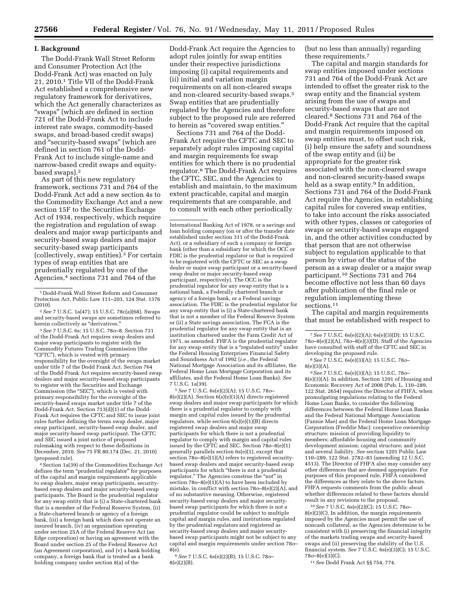#### **I. Background**

The Dodd-Frank Wall Street Reform and Consumer Protection Act (the Dodd-Frank Act) was enacted on July 21, 2010.1 Title VII of the Dodd-Frank Act established a comprehensive new regulatory framework for derivatives, which the Act generally characterizes as "swaps" (which are defined in section 721 of the Dodd-Frank Act to include interest rate swaps, commodity-based swaps, and broad-based credit swaps) and ''security-based swaps'' (which are defined in section 761 of the Dodd-Frank Act to include single-name and narrow-based credit swaps and equitybased swaps).2

As part of this new regulatory framework, sections 731 and 764 of the Dodd-Frank Act add a new section 4s to the Commodity Exchange Act and a new section 15F to the Securities Exchange Act of 1934, respectively, which require the registration and regulation of swap dealers and major swap participants and security-based swap dealers and major security-based swap participants (collectively, swap entities).3 For certain types of swap entities that are prudentially regulated by one of the Agencies,<sup>4</sup> sections 731 and 764 of the

3*See* 7 U.S.C. 6s; 15 U.S.C. 78*o*–8. Section 731 of the Dodd-Frank Act requires swap dealers and major swap participants to register with the Commodity Futures Trading Commission (the "CFTC"), which is vested with primary responsibility for the oversight of the swaps market under title 7 of the Dodd Frank Act. Section 764 of the Dodd-Frank Act requires security-based swap dealers and major security-based swap participants to register with the Securities and Exchange Commission (the "SEC"), which is vested with primary responsibility for the oversight of the security-based swaps market under title 7 of the Dodd-Frank Act. Section 713(d)(1) of the Dodd-Frank Act requires the CFTC and SEC to issue joint rules further defining the terms swap dealer, major swap participant, security-based swap dealer, and major security-based swap participant. The CFTC and SEC issued a joint notice of proposed rulemaking with respect to these definitions in December, 2010. *See* 75 FR 80,174 (Dec. 21, 2010) (proposed rule).

4Section 1a(39) of the Commodities Exchange Act defines the term "prudential regulator" for purposes of the capital and margin requirements applicable to swap dealers, major swap participants, securitybased swap dealers and major security-based swap participants. The Board is the prudential regulator for any swap entity that is (i) a State-chartered bank that is a member of the Federal Reserve System, (ii) a State-chartered branch or agency of a foreign bank, (iii) a foreign bank which does not operate an insured branch, (iv) an organization operating under section 25A of the Federal Reserve Act (an Edge corporation) or having an agreement with the Board under section 25 of the Federal Reserve Act (an Agreement corporation), and (v) a bank holding company, a foreign bank that is treated as a bank holding company under section 8(a) of the

Dodd-Frank Act require the Agencies to adopt rules jointly for swap entities under their respective jurisdictions imposing (i) capital requirements and (ii) initial and variation margin requirements on all non-cleared swaps and non-cleared security-based swaps.5 Swap entities that are prudentially regulated by the Agencies and therefore subject to the proposed rule are referred to herein as "covered swap entities."

Sections 731 and 764 of the Dodd-Frank Act require the CFTC and SEC to separately adopt rules imposing capital and margin requirements for swap entities for which there is no prudential regulator.6 The Dodd-Frank Act requires the CFTC, SEC, and the Agencies to establish and maintain, to the maximum extent practicable, capital and margin requirements that are comparable, and to consult with each other periodically

International Banking Act of 1978, or a savings and loan holding company (on or after the transfer date established under section 311 of the Dodd-Frank Act), or a subsidiary of such a company or foreign bank (other than a subsidiary for which the OCC or FDIC is the prudential regulator or that is required to be registered with the CFTC or SEC as a swap dealer or major swap participant or a security-based swap dealer or major security-based swap participant, respectively). The OCC is the prudential regulator for any swap entity that is a national bank, a Federally chartered branch or agency of a foreign bank, or a Federal savings association. The FDIC is the prudential regulator for any swap entity that is (i) a State-chartered bank that is not a member of the Federal Reserve System or (ii) a State savings association. The FCA is the prudential regulator for any swap entity that is an institution chartered under the Farm Credit Act of 1971, as amended. FHFA is the prudential regulator for any swap entity that is a "regulated entity" under the Federal Housing Enterprises Financial Safety and Soundness Act of 1992 (*i.e.,* the Federal National Mortgage Association and its affiliates, the Federal Home Loan Mortgage Corporation and its affiliates, and the Federal Home Loan Banks). *See*  7 U.S.C. 1a(39).

5*See* 7 U.S.C. 6s(e)(2)(A); 15 U.S.C. 78*o*– 8(e)(2)(A). Section 6(s)(e)(1)(A) directs registered swap dealers and major swap participants for which there is a prudential regulator to comply with margin and capital rules issued by the prudential regulators, while section  $6(s)(e)(1)(B)$  directs registered swap dealers and major swap participants for which there is not a prudential regulator to comply with margin and capital rules issued by the CFTC and SEC. Section  $780-8(e)(1)$ generally parallels section 6s(e)(1), except that section 78o–8(e)(1)(A) refers to registered securitybased swap dealers and major security-based swap participants for which ''there is not a prudential regulator.'' The Agencies construe the ''not'' in section  $780-8(e)(1)(A)$  to have been included by mistake, in conflict with section 78*o*–8(e)(2)(A), and of no substantive meaning. Otherwise, registered security-based swap dealers and major securitybased swap participants for which there is not a prudential regulator could be subject to multiple capital and margin rules, and institutions regulated by the prudential regulators and registered as security-based swap dealers and major securitybased swap participants might not be subject to any capital and margin requirements under section 78*o*– 8(e).

6*See* 7 U.S.C. 6s(e)(2)(B); 15 U.S.C. 78*o*– 8(e)(2)(B).

(but no less than annually) regarding these requirements.7

The capital and margin standards for swap entities imposed under sections 731 and 764 of the Dodd-Frank Act are intended to offset the greater risk to the swap entity and the financial system arising from the use of swaps and security-based swaps that are not cleared.8 Sections 731 and 764 of the Dodd-Frank Act require that the capital and margin requirements imposed on swap entities must, to offset such risk, (i) help ensure the safety and soundness of the swap entity and (ii) be appropriate for the greater risk associated with the non-cleared swaps and non-cleared security-based swaps held as a swap entity.<sup>9</sup> In addition, Sections 731 and 764 of the Dodd-Frank Act require the Agencies, in establishing capital rules for covered swap entities, to take into account the risks associated with other types, classes or categories of swaps or security-based swaps engaged in, and the other activities conducted by that person that are not otherwise subject to regulation applicable to that person by virtue of the status of the person as a swap dealer or a major swap participant.10 Sections 731 and 764 become effective not less than 60 days after publication of the final rule or regulation implementing these sections.11

The capital and margin requirements that must be established with respect to

9*See* 7 U.S.C. 6s(e)(3)(A); 15 U.S.C. 78*o*– 8(e)(3)(A). In addition, Section 1201 of Housing and Economic Recovery Act of 2008 (Pub. L. 110–289, 122 Stat. 2654) requires the Director of FHFA, when promulgating regulations relating to the Federal Home Loan Banks, to consider the following differences between the Federal Home Loan Banks and the Federal National Mortgage Association (Fannie Mae) and the Federal Home Loan Mortgage Corporation (Freddie Mac): cooperative ownership structure; mission of providing liquidity to members; affordable housing and community development mission; capital structure; and joint and several liability. *See* section 1201 Public Law 110–289, 122 Stat. 2782–83 (amending 12 U.S.C. 4513). The Director of FHFA also may consider any other differences that are deemed appropriate. For purposes of this proposed rule, FHFA considered the differences as they relate to the above factors. FHFA requests comments from the public about whether differences related to these factors should result in any revisions to the proposal.

10*See* 7 U.S.C. 6s(e)(2)(C); 15 U.S.C. 78*o*–  $8(\mathrm{e})(2)(\mathrm{C}).$  In addition, the margin requirements imposed by the Agencies must permit the use of noncash collateral, as the Agencies determine to be consistent with (i) preserving the financial integrity of the markets trading swaps and security-based swaps and (ii) preserving the stability of the U.S. financial system. *See* 7 U.S.C. 6s(e)(3)(C); 15 U.S.C. 78*o*–8(e)(3)(C).

11*See* Dodd Frank Act §§ 754, 774.

<sup>1</sup> Dodd-Frank Wall Street Reform and Consumer Protection Act, Public Law 111–203, 124 Stat. 1376 (2010).

<sup>2</sup>*See* 7 U.S.C. 1a(47); 15 U.S.C. 78c(a)(68). Swaps and security-based swaps are sometimes referred to herein collectively as "derivatives."

<sup>7</sup>*See* 7 U.S.C. 6s(e)(2)(A); 6s(e)(3)(D); 15 U.S.C. 78*o*–8(e)(2)(A), 78*o*–8(e)(3)(D). Staff of the Agencies have consulted with staff of the CFTC and SEC in developing the proposed rule.

<sup>8</sup>*See* 7 U.S.C. 6s(e)(3)(A); 15 U.S.C. 78*o*–  $8(e)(3)(A).$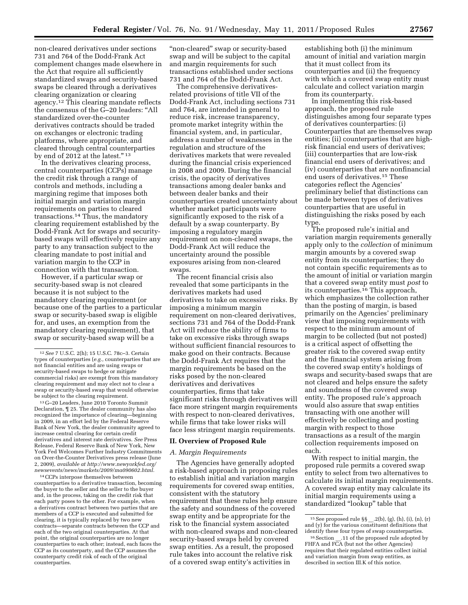non-cleared derivatives under sections 731 and 764 of the Dodd-Frank Act complement changes made elsewhere in the Act that require all sufficiently standardized swaps and security-based swaps be cleared through a derivatives clearing organization or clearing agency.12 This clearing mandate reflects the consensus of the G–20 leaders: ''All standardized over-the-counter derivatives contracts should be traded on exchanges or electronic trading platforms, where appropriate, and cleared through central counterparties by end of 2012 at the latest."<sup>13</sup>

In the derivatives clearing process, central counterparties (CCPs) manage the credit risk through a range of controls and methods, including a margining regime that imposes both initial margin and variation margin requirements on parties to cleared transactions.14 Thus, the mandatory clearing requirement established by the Dodd-Frank Act for swaps and securitybased swaps will effectively require any party to any transaction subject to the clearing mandate to post initial and variation margin to the CCP in connection with that transaction.

However, if a particular swap or security-based swap is not cleared because it is not subject to the mandatory clearing requirement (or because one of the parties to a particular swap or security-based swap is eligible for, and uses, an exemption from the mandatory clearing requirement), that swap or security-based swap will be a

13 G–20 Leaders, June 2010 Toronto Summit Declaration, ¶ 25. The dealer community has also recognized the importance of clearing—beginning in 2009, in an effort led by the Federal Reserve Bank of New York, the dealer community agreed to increase central clearing for certain credit derivatives and interest rate derivatives. *See* Press Release, Federal Reserve Bank of New York, New York Fed Welcomes Further Industry Commitments on Over-the-Counter Derivatives press release (June 2, 2009), *available at [http://www.newyorkfed.org/](http://www.newyorkfed.org/newsevents/news/markets/2009/ma090602.html)  [newsevents/news/markets/2009/ma090602.html.](http://www.newyorkfed.org/newsevents/news/markets/2009/ma090602.html)* 

14CCPs interpose themselves between counterparties to a derivative transaction, becoming the buyer to the seller and the seller to the buyer and, in the process, taking on the credit risk that each party poses to the other. For example, when a derivatives contract between two parties that are members of a CCP is executed and submitted for clearing, it is typically replaced by two new contracts—separate contracts between the CCP and each of the two original counterparties. At that point, the original counterparties are no longer counterparties to each other; instead, each faces the CCP as its counterparty, and the CCP assumes the counterparty credit risk of each of the original counterparties.

"non-cleared" swap or security-based swap and will be subject to the capital and margin requirements for such transactions established under sections 731 and 764 of the Dodd-Frank Act.

The comprehensive derivativesrelated provisions of title VII of the Dodd-Frank Act, including sections 731 and 764, are intended in general to reduce risk, increase transparency, promote market integrity within the financial system, and, in particular, address a number of weaknesses in the regulation and structure of the derivatives markets that were revealed during the financial crisis experienced in 2008 and 2009. During the financial crisis, the opacity of derivatives transactions among dealer banks and between dealer banks and their counterparties created uncertainty about whether market participants were significantly exposed to the risk of a default by a swap counterparty. By imposing a regulatory margin requirement on non-cleared swaps, the Dodd-Frank Act will reduce the uncertainty around the possible exposures arising from non-cleared swaps.

The recent financial crisis also revealed that some participants in the derivatives markets had used derivatives to take on excessive risks. By imposing a minimum margin requirement on non-cleared derivatives, sections 731 and 764 of the Dodd-Frank Act will reduce the ability of firms to take on excessive risks through swaps without sufficient financial resources to make good on their contracts. Because the Dodd-Frank Act requires that the margin requirements be based on the risks posed by the non-cleared derivatives and derivatives counterparties, firms that take significant risks through derivatives will face more stringent margin requirements with respect to non-cleared derivatives, while firms that take lower risks will face less stringent margin requirements.

#### **II. Overview of Proposed Rule**

#### *A. Margin Requirements*

The Agencies have generally adopted a risk-based approach in proposing rules to establish initial and variation margin requirements for covered swap entities, consistent with the statutory requirement that these rules help ensure the safety and soundness of the covered swap entity and be appropriate for the risk to the financial system associated with non-cleared swaps and non-cleared security-based swaps held by covered swap entities. As a result, the proposed rule takes into account the relative risk of a covered swap entity's activities in

establishing both (i) the minimum amount of initial and variation margin that it must collect from its counterparties and (ii) the frequency with which a covered swap entity must calculate and collect variation margin from its counterparty.

In implementing this risk-based approach, the proposed rule distinguishes among four separate types of derivatives counterparties: (i) Counterparties that are themselves swap entities; (ii) counterparties that are highrisk financial end users of derivatives; (iii) counterparties that are low-risk financial end users of derivatives; and (iv) counterparties that are nonfinancial end users of derivatives.15 These categories reflect the Agencies' preliminary belief that distinctions can be made between types of derivatives counterparties that are useful in distinguishing the risks posed by each type.

The proposed rule's initial and variation margin requirements generally apply only to the *collection* of minimum margin amounts by a covered swap entity from its counterparties; they do not contain specific requirements as to the amount of initial or variation margin that a covered swap entity must *post* to its counterparties.16 This approach, which emphasizes the collection rather than the posting of margin, is based primarily on the Agencies' preliminary view that imposing requirements with respect to the minimum amount of margin to be collected (but not posted) is a critical aspect of offsetting the greater risk to the covered swap entity and the financial system arising from the covered swap entity's holdings of swaps and security-based swaps that are not cleared and helps ensure the safety and soundness of the covered swap entity. The proposed rule's approach would also assure that swap entities transacting with one another will effectively be collecting and posting margin with respect to those transactions as a result of the margin collection requirements imposed on each.

With respect to initial margin, the proposed rule permits a covered swap entity to select from two alternatives to calculate its initial margin requirements. A covered swap entity may calculate its initial margin requirements using a standardized ''lookup'' table that

<sup>12</sup>*See* 7 U.S.C. 2(h); 15 U.S.C. 78c–3. Certain types of counterparties (*e.g.,* counterparties that are not financial entities and are using swaps or security-based swaps to hedge or mitigate commercial risks) are exempt from this mandatory clearing requirement and may elect not to clear a swap or security-based swap that would otherwise be subject to the clearing requirement.

 $^{15}$  See proposed rule  $\S\S \_2$  .2(b), (g), (h), (i), (n), (r) and (y) for the various constituent definitions that identify these four types of swap counterparties.

<sup>&</sup>lt;sup>16</sup> Section \_\_\_.11 of the proposed rule adopted by FHFA and FCA (but not the other Agencies) requires that their regulated entities collect initial and variation margin from swap entities, as described in section III.K of this notice.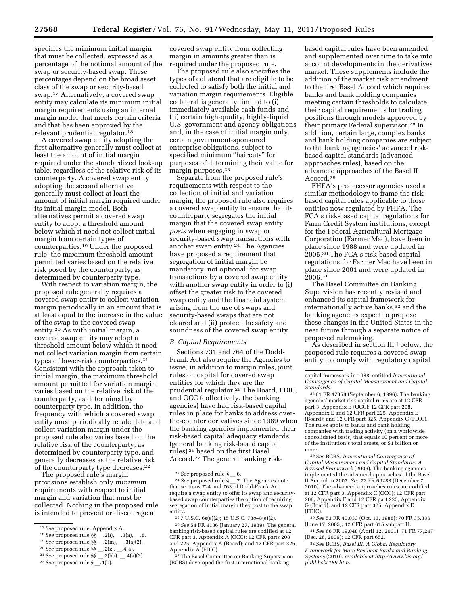specifies the minimum initial margin that must be collected, expressed as a percentage of the notional amount of the swap or security-based swap. These percentages depend on the broad asset class of the swap or security-based swap.17 Alternatively, a covered swap entity may calculate its minimum initial margin requirements using an internal margin model that meets certain criteria and that has been approved by the relevant prudential regulator.18

A covered swap entity adopting the first alternative generally must collect at least the amount of initial margin required under the standardized look-up table, regardless of the relative risk of its counterparty. A covered swap entity adopting the second alternative generally must collect at least the amount of initial margin required under its initial margin model. Both alternatives permit a covered swap entity to adopt a threshold amount below which it need not collect initial margin from certain types of counterparties.19 Under the proposed rule, the maximum threshold amount permitted varies based on the relative risk posed by the counterparty, as determined by counterparty type.

With respect to variation margin, the proposed rule generally requires a covered swap entity to collect variation margin periodically in an amount that is at least equal to the increase in the value of the swap to the covered swap entity.20 As with initial margin, a covered swap entity may adopt a threshold amount below which it need not collect variation margin from certain types of lower-risk counterparties.21 Consistent with the approach taken to initial margin, the maximum threshold amount permitted for variation margin varies based on the relative risk of the counterparty, as determined by counterparty type. In addition, the frequency with which a covered swap entity must periodically recalculate and collect variation margin under the proposed rule also varies based on the relative risk of the counterparty, as determined by counterparty type, and generally decreases as the relative risk of the counterparty type decreases.<sup>22</sup>

The proposed rule's margin provisions establish only *minimum*  requirements with respect to initial margin and variation that must be collected. Nothing in the proposed rule is intended to prevent or discourage a

19*See* proposed rule §§ \_\_.2(m), \_\_.3(a)(2).

22*See* proposed rule § \_\_.4(b).

covered swap entity from collecting margin in amounts greater than is required under the proposed rule.

The proposed rule also specifies the types of collateral that are eligible to be collected to satisfy both the initial and variation margin requirements. Eligible collateral is generally limited to (i) immediately available cash funds and (ii) certain high-quality, highly-liquid U.S. government and agency obligations and, in the case of initial margin only, certain government-sponsored enterprise obligations, subject to specified minimum "haircuts" for purposes of determining their value for margin purposes.23

Separate from the proposed rule's requirements with respect to the collection of initial and variation margin, the proposed rule also requires a covered swap entity to ensure that its counterparty segregates the initial margin that the covered swap entity *posts* when engaging in swap or security-based swap transactions with another swap entity.24 The Agencies have proposed a requirement that segregation of initial margin be mandatory, not optional, for swap transactions by a covered swap entity with another swap entity in order to (i) offset the greater risk to the covered swap entity and the financial system arising from the use of swaps and security-based swaps that are not cleared and (ii) protect the safety and soundness of the covered swap entity.

#### *B. Capital Requirements*

Sections 731 and 764 of the Dodd-Frank Act also require the Agencies to issue, in addition to margin rules, joint rules on capital for covered swap entities for which they are the prudential regulator.<sup>25</sup> The Board, FDIC, and OCC (collectively, the banking agencies) have had risk-based capital rules in place for banks to address overthe-counter derivatives since 1989 when the banking agencies implemented their risk-based capital adequacy standards (general banking risk-based capital rules) 26 based on the first Basel Accord.27 The general banking risk-

26*See* 54 FR 4186 (January 27, 1989). The general banking risk-based capital rules are codified at 12 CFR part 3, Appendix A (OCC); 12 CFR parts 208 and 225, Appendix A (Board); and 12 CFR part 325, Appendix A (FDIC).

The Basel Committee on Banking Supervision (BCBS) developed the first international banking

based capital rules have been amended and supplemented over time to take into account developments in the derivatives market. These supplements include the addition of the market risk amendment to the first Basel Accord which requires banks and bank holding companies meeting certain thresholds to calculate their capital requirements for trading positions through models approved by their primary Federal supervisor.28 In addition, certain large, complex banks and bank holding companies are subject to the banking agencies' advanced riskbased capital standards (advanced approaches rules), based on the advanced approaches of the Basel II Accord.29

FHFA's predecessor agencies used a similar methodology to frame the riskbased capital rules applicable to those entities now regulated by FHFA. The FCA's risk-based capital regulations for Farm Credit System institutions, except for the Federal Agricultural Mortgage Corporation (Farmer Mac), have been in place since 1988 and were updated in 2005.30 The FCA's risk-based capital regulations for Farmer Mac have been in place since 2001 and were updated in 2006.31

The Basel Committee on Banking Supervision has recently revised and enhanced its capital framework for internationally active banks,<sup>32</sup> and the banking agencies expect to propose these changes in the United States in the near future through a separate notice of proposed rulemaking.

As described in section III.J below, the proposed rule requires a covered swap entity to comply with regulatory capital

28 61 FR 47358 (September 6, 1996). The banking agencies' market risk capital rules are at 12 CFR part 3, Appendix B (OCC); 12 CFR part 208, Appendix E and 12 CFR part 225, Appendix E (Board); and 12 CFR part 325, Appendix C (FDIC). The rules apply to banks and bank holding companies with trading activity (on a worldwide consolidated basis) that equals 10 percent or more of the institution's total assets, or \$1 billion or more.

29*See* BCBS, *International Convergence of Capital Measurement and Capital Standards: A Revised Framework* (2006). The banking agencies implemented the advanced approaches of the Basel II Accord in 2007. *See* 72 FR 69288 (December 7, 2010). The advanced approaches rules are codified at 12 CFR part 3, Appendix C (OCC); 12 CFR part 208, Appendix F and 12 CFR part 225, Appendix G (Board); and 12 CFR part 325, Appendix D (FDIC).

30*See* 53 FR 40.033 (Oct. 13, 1988); 70 FR 35.336 (June 17, 2005); 12 CFR part 615 subpart H. 31*See* 66 FR 19,048 (April 12, 2001); 71 FR 77,247

(Dec. 26, 2006); 12 CFR part 652. 32*See* BCBS, *Basel III: A Global Regulatory* 

*Framework for More Resilient Banks and Banking Systems* (2010), *available at [http://www.bis.org/](http://www.bis.org/publ.bcbs189.htm) [publ.bcbs189.htm.](http://www.bis.org/publ.bcbs189.htm)* 

<sup>17</sup>*See* proposed rule, Appendix A.

<sup>18</sup>*See* proposed rule §§ \_\_.2(*l*), \_\_.3(a), \_\_.8.

<sup>20</sup>*See* proposed rule §§ \_\_.2(z), \_\_.4(a).

<sup>21</sup>*See* proposed rule §§ \_\_.2(bb), \_\_.4(a)(2).

 $\overline{a}$ <sup>23</sup> See proposed rule § \_.6.

<sup>24</sup>*See* proposed rule § \_\_.7. The Agencies note that sections 724 and 763 of Dodd-Frank Act require a swap entity to offer its swap and securitybased swap counterparties the option of requiring segregation of initial margin they post to the swap entity.

<sup>25</sup> 7 U.S.C. 6s(e)(2); 15 U.S.C. 78*o*–8(e)(2).

capital framework in 1988, entitled *International Convergence of Capital Measurement and Capital Standards.*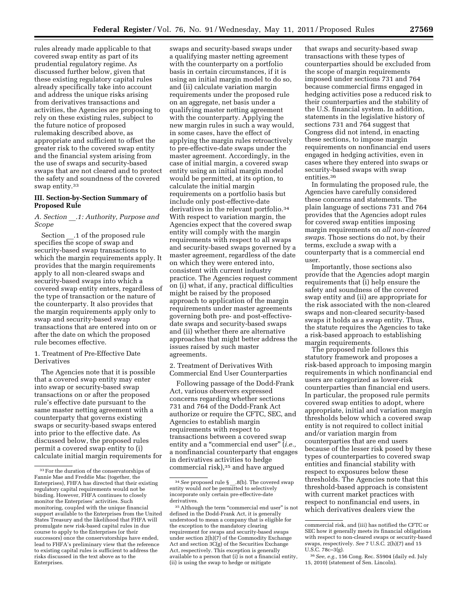rules already made applicable to that covered swap entity as part of its prudential regulatory regime. As discussed further below, given that these existing regulatory capital rules already specifically take into account and address the unique risks arising from derivatives transactions and activities, the Agencies are proposing to rely on these existing rules, subject to the future notice of proposed rulemaking described above, as appropriate and sufficient to offset the greater risk to the covered swap entity and the financial system arising from the use of swaps and security-based swaps that are not cleared and to protect the safety and soundness of the covered swap entity.33

# **III. Section-by-Section Summary of Proposed Rule**

# *A. Section* \_\_*.1: Authority, Purpose and Scope*

Section .1 of the proposed rule specifies the scope of swap and security-based swap transactions to which the margin requirements apply. It provides that the margin requirements apply to all non-cleared swaps and security-based swaps into which a covered swap entity enters, regardless of the type of transaction or the nature of the counterparty. It also provides that the margin requirements apply only to swap and security-based swap transactions that are entered into on or after the date on which the proposed rule becomes effective.

# 1. Treatment of Pre-Effective Date Derivatives

The Agencies note that it is possible that a covered swap entity may enter into swap or security-based swap transactions on or after the proposed rule's effective date pursuant to the same master netting agreement with a counterparty that governs existing swaps or security-based swaps entered into prior to the effective date. As discussed below, the proposed rules permit a covered swap entity to (i) calculate initial margin requirements for

swaps and security-based swaps under a qualifying master netting agreement with the counterparty on a portfolio basis in certain circumstances, if it is using an initial margin model to do so, and (ii) calculate variation margin requirements under the proposed rule on an aggregate, net basis under a qualifying master netting agreement with the counterparty. Applying the new margin rules in such a way would, in some cases, have the effect of applying the margin rules retroactively to pre-effective-date swaps under the master agreement. Accordingly, in the case of initial margin, a covered swap entity using an initial margin model would be permitted, at its option, to calculate the initial margin requirements on a portfolio basis but include only post-effective-date derivatives in the relevant portfolio.<sup>34</sup> With respect to variation margin, the Agencies expect that the covered swap entity will comply with the margin requirements with respect to all swaps and security-based swaps governed by a master agreement, regardless of the date on which they were entered into, consistent with current industry practice. The Agencies request comment on (i) what, if any, practical difficulties might be raised by the proposed approach to application of the margin requirements under master agreements governing both pre- and post-effectivedate swaps and security-based swaps and (ii) whether there are alternative approaches that might better address the issues raised by such master agreements.

2. Treatment of Derivatives With Commercial End User Counterparties

Following passage of the Dodd-Frank Act, various observers expressed concerns regarding whether sections 731 and 764 of the Dodd-Frank Act authorize or require the CFTC, SEC, and Agencies to establish margin requirements with respect to transactions between a covered swap entity and a ''commercial end user'' (*i.e.,*  a nonfinancial counterparty that engages in derivatives activities to hedge commercial risk),35 and have argued

that swaps and security-based swap transactions with these types of counterparties should be excluded from the scope of margin requirements imposed under sections 731 and 764 because commercial firms engaged in hedging activities pose a reduced risk to their counterparties and the stability of the U.S. financial system. In addition, statements in the legislative history of sections 731 and 764 suggest that Congress did not intend, in enacting these sections, to impose margin requirements on nonfinancial end users engaged in hedging activities, even in cases where they entered into swaps or security-based swaps with swap entities.36

In formulating the proposed rule, the Agencies have carefully considered these concerns and statements. The plain language of sections 731 and 764 provides that the Agencies adopt rules for covered swap entities imposing margin requirements on *all non-cleared swaps.* Those sections do not, by their terms, exclude a swap with a counterparty that is a commercial end user.

Importantly, those sections also provide that the Agencies adopt margin requirements that (i) help ensure the safety and soundness of the covered swap entity and (ii) are appropriate for the risk associated with the non-cleared swaps and non-cleared security-based swaps it holds as a swap entity. Thus, the statute requires the Agencies to take a risk-based approach to establishing margin requirements.

The proposed rule follows this statutory framework and proposes a risk-based approach to imposing margin requirements in which nonfinancial end users are categorized as lower-risk counterparties than financial end users. In particular, the proposed rule permits covered swap entities to adopt, where appropriate, initial and variation margin thresholds below which a covered swap entity is not required to collect initial and/or variation margin from counterparties that are end users because of the lesser risk posed by these types of counterparties to covered swap entities and financial stability with respect to exposures below these thresholds. The Agencies note that this threshold-based approach is consistent with current market practices with respect to nonfinancial end users, in which derivatives dealers view the

<sup>33</sup>For the duration of the conservatorships of Fannie Mae and Freddie Mac (together, the Enterprises), FHFA has directed that their existing regulatory capital requirements would not be binding. However, FHFA continues to closely monitor the Enterprises' activities. Such monitoring, coupled with the unique financial support available to the Enterprises from the United States Treasury and the likelihood that FHFA will promulgate new risk-based capital rules in due course to apply to the Enterprises (or their successors) once the conservatorships have ended, lead to FHFA's preliminary view that the reference to existing capital rules is sufficient to address the risks discussed in the text above as to the Enterprises.

<sup>&</sup>lt;sup>34</sup> See proposed rule § .8(b). The covered swap entity would *not* be permitted to selectively incorporate only certain pre-effective-date derivatives.

<sup>&</sup>lt;sup>35</sup> Although the term "commercial end user" is not defined in the Dodd-Frank Act, it is generally understood to mean a company that is eligible for the exception to the mandatory clearing requirement for swaps and security-based swaps under section 2(h)(7) of the Commodity Exchange Act and section 3C(g) of the Securities Exchange Act, respectively. This exception is generally available to a person that (i) is not a financial entity, (ii) is using the swap to hedge or mitigate

commercial risk, and (iii) has notified the CFTC or SEC how it generally meets its financial obligations with respect to non-cleared swaps or security-based swaps, respectively. *See* 7 U.S.C. 2(h)(7) and 15 U.S.C. 78c–3(g).

<sup>36</sup>*See, e.g.,* 156 Cong. Rec. S5904 (daily ed. July 15, 2010) (statement of Sen. Lincoln).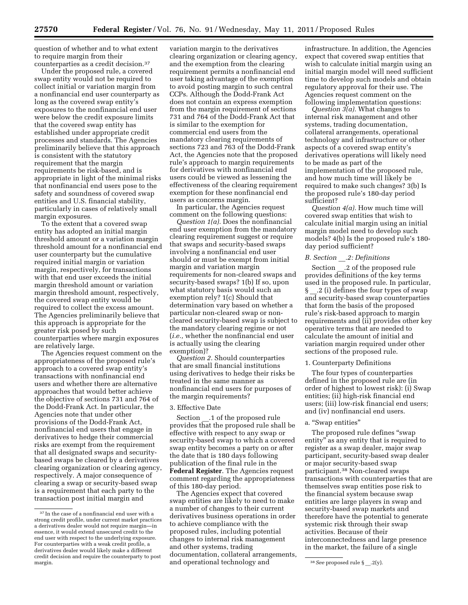question of whether and to what extent to require margin from their counterparties as a credit decision.37

Under the proposed rule, a covered swap entity would not be required to collect initial or variation margin from a nonfinancial end user counterparty as long as the covered swap entity's exposures to the nonfinancial end user were below the credit exposure limits that the covered swap entity has established under appropriate credit processes and standards. The Agencies preliminarily believe that this approach is consistent with the statutory requirement that the margin requirements be risk-based, and is appropriate in light of the minimal risks that nonfinancial end users pose to the safety and soundness of covered swap entities and U.S. financial stability, particularly in cases of relatively small margin exposures.

To the extent that a covered swap entity has adopted an initial margin threshold amount or a variation margin threshold amount for a nonfinancial end user counterparty but the cumulative required initial margin or variation margin, respectively, for transactions with that end user exceeds the initial margin threshold amount or variation margin threshold amount, respectively, the covered swap entity would be required to collect the excess amount. The Agencies preliminarily believe that this approach is appropriate for the greater risk posed by such counterparties where margin exposures are relatively large.

The Agencies request comment on the appropriateness of the proposed rule's approach to a covered swap entity's transactions with nonfinancial end users and whether there are alternative approaches that would better achieve the objective of sections 731 and 764 of the Dodd-Frank Act. In particular, the Agencies note that under other provisions of the Dodd-Frank Act, nonfinancial end users that engage in derivatives to hedge their commercial risks are exempt from the requirement that all designated swaps and securitybased swaps be cleared by a derivatives clearing organization or clearing agency, respectively. A major consequence of clearing a swap or security-based swap is a requirement that each party to the transaction post initial margin and

variation margin to the derivatives clearing organization or clearing agency, and the exemption from the clearing requirement permits a nonfinancial end user taking advantage of the exemption to avoid posting margin to such central CCPs. Although the Dodd-Frank Act does not contain an express exemption from the margin requirement of sections 731 and 764 of the Dodd-Frank Act that is similar to the exemption for commercial end users from the mandatory clearing requirements of sections 723 and 763 of the Dodd-Frank Act, the Agencies note that the proposed rule's approach to margin requirements for derivatives with nonfinancial end users could be viewed as lessening the effectiveness of the clearing requirement exemption for these nonfinancial end users as concerns margin.

In particular, the Agencies request comment on the following questions:

*Question 1(a).* Does the nonfinancial end user exemption from the mandatory clearing requirement suggest or require that swaps and security-based swaps involving a nonfinancial end user should or must be exempt from initial margin and variation margin requirements for non-cleared swaps and security-based swaps? 1(b) If so, upon what statutory basis would such an exemption rely? 1(c) Should that determination vary based on whether a particular non-cleared swap or noncleared security-based swap is subject to the mandatory clearing regime or not (*i.e.,* whether the nonfinancial end user is actually using the clearing exemption)?

*Question 2.* Should counterparties that are small financial institutions using derivatives to hedge their risks be treated in the same manner as nonfinancial end users for purposes of the margin requirements?

#### 3. Effective Date

Section .1 of the proposed rule provides that the proposed rule shall be effective with respect to any swap or security-based swap to which a covered swap entity becomes a party on or after the date that is 180 days following publication of the final rule in the **Federal Register**. The Agencies request comment regarding the appropriateness of this 180-day period.

margin. **1988 1988 1989 1989 1989 1989 1989 1989 1989 1989 1989 1989 1989 1989 1999 1999 1999 1999 1999 1999 1999 1999 1999 1999 1999 1999 1999 1999 1999 1999 199** The Agencies expect that covered swap entities are likely to need to make a number of changes to their current derivatives business operations in order to achieve compliance with the proposed rules, including potential changes to internal risk management and other systems, trading documentation, collateral arrangements,

infrastructure. In addition, the Agencies expect that covered swap entities that wish to calculate initial margin using an initial margin model will need sufficient time to develop such models and obtain regulatory approval for their use. The Agencies request comment on the following implementation questions:

*Question 3(a).* What changes to internal risk management and other systems, trading documentation, collateral arrangements, operational technology and infrastructure or other aspects of a covered swap entity's derivatives operations will likely need to be made as part of the implementation of the proposed rule, and how much time will likely be required to make such changes? 3(b) Is the proposed rule's 180-day period sufficient?

*Question 4(a).* How much time will covered swap entities that wish to calculate initial margin using an initial margin model need to develop such models? 4(b) Is the proposed rule's 180 day period sufficient?

#### *B. Section* \_\_*.2: Definitions*

Section .2 of the proposed rule provides definitions of the key terms used in the proposed rule. In particular, § .2 (i) defines the four types of swap and security-based swap counterparties that form the basis of the proposed rule's risk-based approach to margin requirements and (ii) provides other key operative terms that are needed to calculate the amount of initial and variation margin required under other sections of the proposed rule.

#### 1. Counterparty Definitions

The four types of counterparties defined in the proposed rule are (in order of highest to lowest risk): (i) Swap entities; (ii) high-risk financial end users; (iii) low-risk financial end users; and (iv) nonfinancial end users.

#### a. ''Swap entities''

The proposed rule defines "swap entity'' as any entity that is required to register as a swap dealer, major swap participant, security-based swap dealer or major security-based swap participant.38 Non-cleared swaps transactions with counterparties that are themselves swap entities pose risk to the financial system because swap entities are large players in swap and security-based swap markets and therefore have the potential to generate systemic risk through their swap activities. Because of their interconnectedness and large presence in the market, the failure of a single

<sup>37</sup> In the case of a nonfinancial end user with a strong credit profile, under current market practices a derivatives dealer would not require margin—in essence, it would extend unsecured credit to the end user with respect to the underlying exposure. For counterparties with a weak credit profile, a derivatives dealer would likely make a different credit decision and require the counterparty to post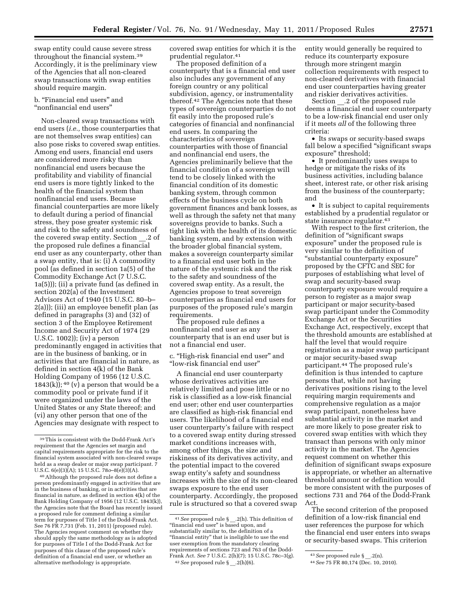swap entity could cause severe stress throughout the financial system.39 Accordingly, it is the preliminary view of the Agencies that all non-cleared swap transactions with swap entities should require margin.

# b. "Financial end users" and ''nonfinancial end users''

Non-cleared swap transactions with end users (*i.e.,* those counterparties that are not themselves swap entities) can also pose risks to covered swap entities. Among end users, financial end users are considered more risky than nonfinancial end users because the profitability and viability of financial end users is more tightly linked to the health of the financial system than nonfinancial end users. Because financial counterparties are more likely to default during a period of financial stress, they pose greater systemic risk and risk to the safety and soundness of the covered swap entity. Section .2 of the proposed rule defines a financial end user as any counterparty, other than a swap entity, that is: (i) A commodity pool (as defined in section 1a(5) of the Commodity Exchange Act (7 U.S.C. 1a(5))); (ii) a private fund (as defined in section 202(a) of the Investment Advisors Act of 1940 (15 U.S.C. 80–b– 2(a))); (iii) an employee benefit plan (as defined in paragraphs (3) and (32) of section 3 of the Employee Retirement Income and Security Act of 1974 (29 U.S.C. 1002)); (iv) a person predominantly engaged in activities that are in the business of banking, or in activities that are financial in nature, as defined in section 4(k) of the Bank Holding Company of 1956 (12 U.S.C. 1843(k));  $40 \frac{\nu}{\nu}$  a person that would be a commodity pool or private fund if it were organized under the laws of the United States or any State thereof; and (vi) any other person that one of the Agencies may designate with respect to

40Although the proposed rule does not define a person predominantly engaged in activities that are in the business of banking, or in activities that are financial in nature, as defined in section 4(k) of the Bank Holding Company of 1956 (12 U.S.C. 1843(k)), the Agencies note that the Board has recently issued a proposed rule for comment defining a similar term for purposes of Title I of the Dodd-Frank Act. See 76 FR 7,731 (Feb. 11, 2011) (proposed rule). The Agencies request comment on whether they should apply the same methodology as is adopted for purposes of Title I of the Dodd-Frank Act for purposes of this clause of the proposed rule's definition of a financial end user, or whether an alternative methodology is appropriate.

covered swap entities for which it is the prudential regulator.41

The proposed definition of a counterparty that is a financial end user also includes any government of any foreign country or any political subdivision, agency, or instrumentality thereof.42 The Agencies note that these types of sovereign counterparties do not fit easily into the proposed rule's categories of financial and nonfinancial end users. In comparing the characteristics of sovereign counterparties with those of financial and nonfinancial end users, the Agencies preliminarily believe that the financial condition of a sovereign will tend to be closely linked with the financial condition of its domestic banking system, through common effects of the business cycle on both government finances and bank losses, as well as through the safety net that many sovereigns provide to banks. Such a tight link with the health of its domestic banking system, and by extension with the broader global financial system, makes a sovereign counterparty similar to a financial end user both in the nature of the systemic risk and the risk to the safety and soundness of the covered swap entity. As a result, the Agencies propose to treat sovereign counterparties as financial end users for purposes of the proposed rule's margin requirements.

The proposed rule defines a nonfinancial end user as any counterparty that is an end user but is not a financial end user.

c. ''High-risk financial end user'' and ''low-risk financial end user''

A financial end user counterparty whose derivatives activities are relatively limited and pose little or no risk is classified as a low-risk financial end user; other end user counterparties are classified as high-risk financial end users. The likelihood of a financial end user counterparty's failure with respect to a covered swap entity during stressed market conditions increases with, among other things, the size and riskiness of its derivatives activity, and the potential impact to the covered swap entity's safety and soundness increases with the size of its non-cleared swaps exposure to the end user counterparty. Accordingly, the proposed rule is structured so that a covered swap

entity would generally be required to reduce its counterparty exposure through more stringent margin collection requirements with respect to non-cleared derivatives with financial end user counterparties having greater and riskier derivatives activities.

Section .2 of the proposed rule deems a financial end user counterparty to be a low-risk financial end user only if it meets *all* of the following three criteria:

• Its swaps or security-based swaps fall below a specified "significant swaps exposure'' threshold;

• It predominantly uses swaps to hedge or mitigate the risks of its business activities, including balance sheet, interest rate, or other risk arising from the business of the counterparty; and

• It is subject to capital requirements established by a prudential regulator or state insurance regulator.43

With respect to the first criterion, the definition of "significant swaps exposure'' under the proposed rule is very similar to the definition of ''substantial counterparty exposure'' proposed by the CFTC and SEC for purposes of establishing what level of swap and security-based swap counterparty exposure would require a person to register as a major swap participant or major security-based swap participant under the Commodity Exchange Act or the Securities Exchange Act, respectively, except that the threshold amounts are established at half the level that would require registration as a major swap participant or major security-based swap participant.44 The proposed rule's definition is thus intended to capture persons that, while not having derivatives positions rising to the level requiring margin requirements and comprehensive regulation as a major swap participant, nonetheless have substantial activity in the market and are more likely to pose greater risk to covered swap entities with which they transact than persons with only minor activity in the market. The Agencies request comment on whether this definition of significant swaps exposure is appropriate, or whether an alternative threshold amount or definition would be more consistent with the purposes of sections 731 and 764 of the Dodd-Frank Act.

The second criterion of the proposed definition of a low-risk financial end user references the purpose for which the financial end user enters into swaps or security-based swaps. This criterion

<sup>39</sup>This is consistent with the Dodd-Frank Act's requirement that the Agencies set margin and capital requirements appropriate for the risk to the financial system associated with non-cleared swaps held as a swap dealer or major swap participant. 7 U.S.C. 6(e)(3)(A); 15 U.S.C. 78*o*–8(e)(3)(A).

<sup>41</sup>*See* proposed rule § \_\_.2(h). This definition of "financial end user" is based upon, and substantially similar to, the definition of a "financial entity" that is ineligible to use the end user exemption from the mandatory clearing requirements of sections 723 and 763 of the Dodd-Frank Act. *See* 7 U.S.C. 2(h)(7); 15 U.S.C. 78c–3(g). 42*See* proposed rule § \_\_.2(h)(6).

<sup>43</sup>*See* proposed rule § \_\_.2(n).

<sup>44</sup>*See* 75 FR 80,174 (Dec. 10, 2010).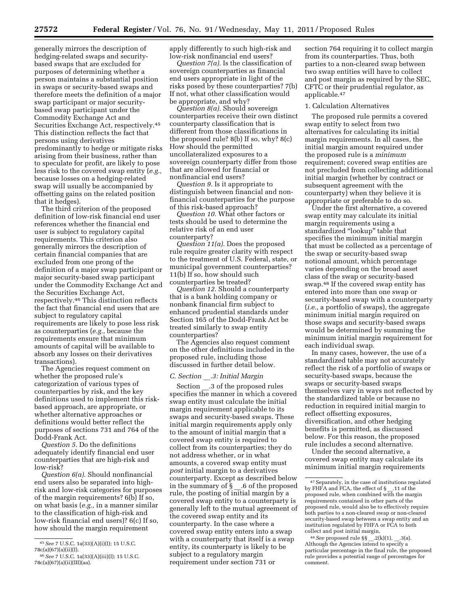generally mirrors the description of hedging-related swaps and securitybased swaps that are excluded for purposes of determining whether a person maintains a substantial position in swaps or security-based swaps and therefore meets the definition of a major swap participant or major securitybased swap participant under the Commodity Exchange Act and Securities Exchange Act, respectively.45 This distinction reflects the fact that persons using derivatives predominantly to hedge or mitigate risks arising from their business, rather than to speculate for profit, are likely to pose less risk to the covered swap entity (*e.g.,*  because losses on a hedging-related swap will usually be accompanied by offsetting gains on the related position that it hedges).

The third criterion of the proposed definition of low-risk financial end user references whether the financial end user is subject to regulatory capital requirements. This criterion also generally mirrors the description of certain financial companies that are excluded from one prong of the definition of a major swap participant or major security-based swap participant under the Commodity Exchange Act and the Securities Exchange Act, respectively.46 This distinction reflects the fact that financial end users that are subject to regulatory capital requirements are likely to pose less risk as counterparties (*e.g.,* because the requirements ensure that minimum amounts of capital will be available to absorb any losses on their derivatives transactions).

The Agencies request comment on whether the proposed rule's categorization of various types of counterparties by risk, and the key definitions used to implement this riskbased approach, are appropriate, or whether alternative approaches or definitions would better reflect the purposes of sections 731 and 764 of the Dodd-Frank Act.

*Question 5.* Do the definitions adequately identify financial end user counterparties that are high-risk and low-risk?

*Question 6(a).* Should nonfinancial end users also be separated into highrisk and low-risk categories for purposes of the margin requirements? 6(b) If so, on what basis (*e.g.,* in a manner similar to the classification of high-risk and low-risk financial end users)? 6(c) If so, how should the margin requirement

apply differently to such high-risk and low-risk nonfinancial end users?

*Question 7(a).* Is the classification of sovereign counterparties as financial end users appropriate in light of the risks posed by these counterparties? 7(b) If not, what other classification would be appropriate, and why?

*Question 8(a).* Should sovereign counterparties receive their own distinct counterparty classification that is different from those classifications in the proposed rule? 8(b) If so, why? 8(c) How should the permitted uncollateralized exposures to a sovereign counterparty differ from those that are allowed for financial or nonfinancial end users?

*Question 9.* Is it appropriate to distinguish between financial and nonfinancial counterparties for the purpose of this risk-based approach?

*Question 10.* What other factors or tests should be used to determine the relative risk of an end user counterparty?

*Question 11(a).* Does the proposed rule require greater clarity with respect to the treatment of U.S. Federal, state, or municipal government counterparties? 11(b) If so, how should such counterparties be treated?

*Question 12.* Should a counterparty that is a bank holding company or nonbank financial firm subject to enhanced prudential standards under Section 165 of the Dodd-Frank Act be treated similarly to swap entity counterparties?

The Agencies also request comment on the other definitions included in the proposed rule, including those discussed in further detail below.

#### *C. Section* \_\_*.3: Initial Margin*

Section .3 of the proposed rules specifies the manner in which a covered swap entity must calculate the initial margin requirement applicable to its swaps and security-based swaps. These initial margin requirements apply only to the amount of initial margin that a covered swap entity is required to collect from its counterparties; they do not address whether, or in what amounts, a covered swap entity must *post* initial margin to a derivatives counterparty. Except as described below in the summary of § \_\_.6 of the proposed rule, the posting of initial margin by a covered swap entity to a counterparty is generally left to the mutual agreement of the covered swap entity and its counterparty. In the case where a covered swap entity enters into a swap with a counterparty that itself is a swap entity, its counterparty is likely to be subject to a regulatory margin requirement under section 731 or

section 764 requiring it to collect margin from its counterparties. Thus, both parties to a non-cleared swap between two swap entities will have to collect and post margin as required by the SEC, CFTC or their prudential regulator, as applicable.47

#### 1. Calculation Alternatives

The proposed rule permits a covered swap entity to select from two alternatives for calculating its initial margin requirements. In all cases, the initial margin amount required under the proposed rule is a *minimum*  requirement; covered swap entities are not precluded from collecting additional initial margin (whether by contract or subsequent agreement with the counterparty) when they believe it is appropriate or preferable to do so.

Under the first alternative, a covered swap entity may calculate its initial margin requirements using a standardized ''lookup'' table that specifies the minimum initial margin that must be collected as a percentage of the swap or security-based swap notional amount, which percentage varies depending on the broad asset class of the swap or security-based swap.48 If the covered swap entity has entered into more than one swap or security-based swap with a counterparty (*i.e.,* a portfolio of swaps), the aggregate minimum initial margin required on those swaps and security-based swaps would be determined by summing the minimum initial margin requirement for each individual swap.

In many cases, however, the use of a standardized table may not accurately reflect the risk of a portfolio of swaps or security-based swaps, because the swaps or security-based swaps themselves vary in ways not reflected by the standardized table or because no reduction in required initial margin to reflect offsetting exposures, diversification, and other hedging benefits is permitted, as discussed below. For this reason, the proposed rule includes a second alternative.

Under the second alternative, a covered swap entity may calculate its minimum initial margin requirements

48*See* proposed rule §§ \_\_.2(k)(1), \_\_.3(a). Although the Agencies intend to specify a particular percentage in the final rule, the proposed rule provides a potential range of percentages for comment.

<sup>45</sup>*See* 7 U.S.C. 1a(33)(A)(i)(I); 15 U.S.C. 78c(a)(67)(a)(ii)(I).

<sup>46</sup>*See* 7 U.S.C. 1a(33)(A)(iii)(I); 15 U.S.C. 78c(a)(67)(a)(ii)(III)(aa).

<sup>47</sup>Separately, in the case of institutions regulated by FHFA and FCA, the effect of § \_\_.11 of the proposed rule, when combined with the margin requirements contained in other parts of the proposed rule, would also be to effectively require both parties to a non-cleared swap or non-cleared security-based swap between a swap entity and an institution regulated by FHFA or FCA to both collect and post initial margin.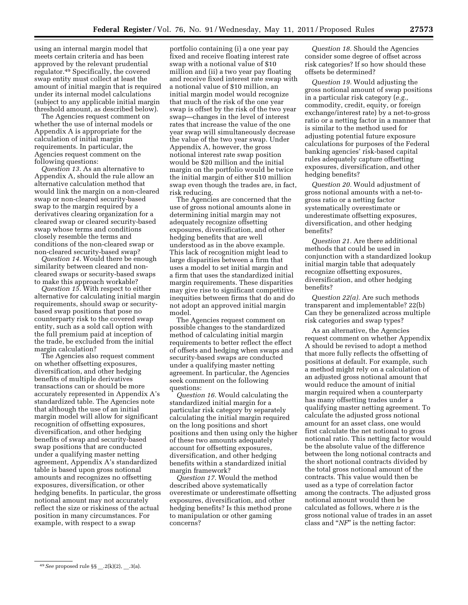using an internal margin model that meets certain criteria and has been approved by the relevant prudential regulator.49 Specifically, the covered swap entity must collect at least the amount of initial margin that is required under its internal model calculations (subject to any applicable initial margin threshold amount, as described below).

The Agencies request comment on whether the use of internal models or Appendix A is appropriate for the calculation of initial margin requirements. In particular, the Agencies request comment on the following questions:

*Question 13.* As an alternative to Appendix A, should the rule allow an alternative calculation method that would link the margin on a non-cleared swap or non-cleared security-based swap to the margin required by a derivatives clearing organization for a cleared swap or cleared security-based swap whose terms and conditions closely resemble the terms and conditions of the non-cleared swap or non-cleared security-based swap?

*Question 14.* Would there be enough similarity between cleared and noncleared swaps or security-based swaps to make this approach workable?

*Question 15.* With respect to either alternative for calculating initial margin requirements, should swap or securitybased swap positions that pose no counterparty risk to the covered swap entity, such as a sold call option with the full premium paid at inception of the trade, be excluded from the initial margin calculation?

The Agencies also request comment on whether offsetting exposures, diversification, and other hedging benefits of multiple derivatives transactions can or should be more accurately represented in Appendix A's standardized table. The Agencies note that although the use of an initial margin model will allow for significant recognition of offsetting exposures, diversification, and other hedging benefits of swap and security-based swap positions that are conducted under a qualifying master netting agreement, Appendix A's standardized table is based upon gross notional amounts and recognizes no offsetting exposures, diversification, or other hedging benefits. In particular, the gross notional amount may not accurately reflect the size or riskiness of the actual position in many circumstances. For example, with respect to a swap

portfolio containing (i) a one year pay fixed and receive floating interest rate swap with a notional value of \$10 million and (ii) a two year pay floating and receive fixed interest rate swap with a notional value of \$10 million, an initial margin model would recognize that much of the risk of the one year swap is offset by the risk of the two year swap—changes in the level of interest rates that increase the value of the one year swap will simultaneously decrease the value of the two year swap. Under Appendix A, however, the gross notional interest rate swap position would be \$20 million and the initial margin on the portfolio would be twice the initial margin of either \$10 million swap even though the trades are, in fact, risk reducing.

The Agencies are concerned that the use of gross notional amounts alone in determining initial margin may not adequately recognize offsetting exposures, diversification, and other hedging benefits that are well understood as in the above example. This lack of recognition might lead to large disparities between a firm that uses a model to set initial margin and a firm that uses the standardized initial margin requirements. These disparities may give rise to significant competitive inequities between firms that do and do not adopt an approved initial margin model.

The Agencies request comment on possible changes to the standardized method of calculating initial margin requirements to better reflect the effect of offsets and hedging when swaps and security-based swaps are conducted under a qualifying master netting agreement. In particular, the Agencies seek comment on the following questions:

*Question 16.* Would calculating the standardized initial margin for a particular risk category by separately calculating the initial margin required on the long positions and short positions and then using only the higher of these two amounts adequately account for offsetting exposures, diversification, and other hedging benefits within a standardized initial margin framework?

*Question 17.* Would the method described above systematically overestimate or underestimate offsetting exposures, diversification, and other hedging benefits? Is this method prone to manipulation or other gaming concerns?

*Question 18.* Should the Agencies consider some degree of offset across risk categories? If so how should these offsets be determined?

*Question 19.* Would adjusting the gross notional amount of swap positions in a particular risk category (*e.g.,*  commodity, credit, equity, or foreign exchange/interest rate) by a net-to-gross ratio or a netting factor in a manner that is similar to the method used for adjusting potential future exposure calculations for purposes of the Federal banking agencies' risk-based capital rules adequately capture offsetting exposures, diversification, and other hedging benefits?

*Question 20.* Would adjustment of gross notional amounts with a net-togross ratio or a netting factor systematically overestimate or underestimate offsetting exposures, diversification, and other hedging benefits?

*Question 21.* Are there additional methods that could be used in conjunction with a standardized lookup initial margin table that adequately recognize offsetting exposures, diversification, and other hedging benefits?

*Question 22(a).* Are such methods transparent and implementable? 22(b) Can they be generalized across multiple risk categories and swap types?

As an alternative, the Agencies request comment on whether Appendix A should be revised to adopt a method that more fully reflects the offsetting of positions at default. For example, such a method might rely on a calculation of an adjusted gross notional amount that would reduce the amount of initial margin required when a counterparty has many offsetting trades under a qualifying master netting agreement. To calculate the adjusted gross notional amount for an asset class, one would first calculate the net notional to gross notional ratio. This netting factor would be the absolute value of the difference between the long notional contracts and the short notional contracts divided by the total gross notional amount of the contracts. This value would then be used as a type of correlation factor among the contracts. The adjusted gross notional amount would then be calculated as follows, where *n* is the gross notional value of trades in an asset class and ''*NF*'' is the netting factor:

<sup>49</sup> See proposed rule §§ .2(k)(2), .3(a).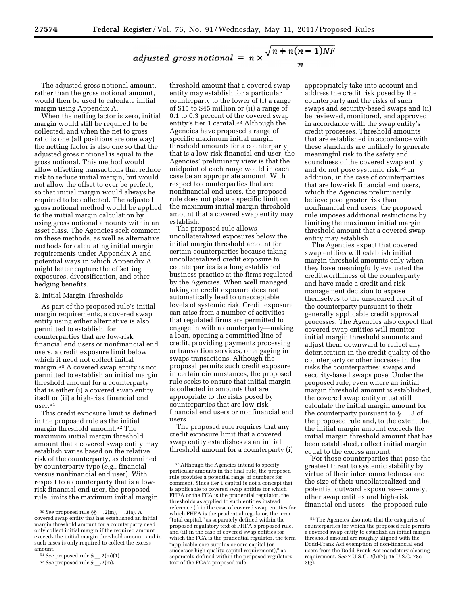adjusted gross notional = 
$$
n \times \frac{\sqrt{n+n(n-1)NF}}{n}
$$

The adjusted gross notional amount, rather than the gross notional amount, would then be used to calculate initial margin using Appendix A.

When the netting factor is zero, initial margin would still be required to be collected, and when the net to gross ratio is one (all positions are one way) the netting factor is also one so that the adjusted gross notional is equal to the gross notional. This method would allow offsetting transactions that reduce risk to reduce initial margin, but would not allow the offset to ever be perfect, so that initial margin would always be required to be collected. The adjusted gross notional method would be applied to the initial margin calculation by using gross notional amounts within an asset class. The Agencies seek comment on these methods, as well as alternative methods for calculating initial margin requirements under Appendix A and potential ways in which Appendix A might better capture the offsetting exposures, diversification, and other hedging benefits.

#### 2. Initial Margin Thresholds

As part of the proposed rule's initial margin requirements, a covered swap entity using either alternative is also permitted to establish, for counterparties that are low-risk financial end users or nonfinancial end users, a credit exposure limit below which it need not collect initial margin.50 A covered swap entity is not permitted to establish an initial margin threshold amount for a counterparty that is either (i) a covered swap entity itself or (ii) a high-risk financial end user.51

This credit exposure limit is defined in the proposed rule as the initial margin threshold amount.52 The maximum initial margin threshold amount that a covered swap entity may establish varies based on the relative risk of the counterparty, as determined by counterparty type (*e.g.,* financial versus nonfinancial end user). With respect to a counterparty that is a lowrisk financial end user, the proposed rule limits the maximum initial margin

51*See* proposed rule § \_\_.2(m)(1).

threshold amount that a covered swap entity may establish for a particular counterparty to the lower of (i) a range of \$15 to \$45 million or (ii) a range of 0.1 to 0.3 percent of the covered swap entity's tier 1 capital.53 Although the Agencies have proposed a range of specific maximum initial margin threshold amounts for a counterparty that is a low-risk financial end user, the Agencies' preliminary view is that the midpoint of each range would in each case be an appropriate amount. With respect to counterparties that are nonfinancial end users, the proposed rule does not place a specific limit on the maximum initial margin threshold amount that a covered swap entity may establish.

The proposed rule allows uncollateralized exposures below the initial margin threshold amount for certain counterparties because taking uncollateralized credit exposure to counterparties is a long established business practice at the firms regulated by the Agencies. When well managed, taking on credit exposure does not automatically lead to unacceptable levels of systemic risk. Credit exposure can arise from a number of activities that regulated firms are permitted to engage in with a counterparty—making a loan, opening a committed line of credit, providing payments processing or transaction services, or engaging in swaps transactions. Although the proposal permits such credit exposure in certain circumstances, the proposed rule seeks to ensure that initial margin is collected in amounts that are appropriate to the risks posed by counterparties that are low-risk financial end users or nonfinancial end users.

The proposed rule requires that any credit exposure limit that a covered swap entity establishes as an initial threshold amount for a counterparty (i)

appropriately take into account and address the credit risk posed by the counterparty and the risks of such swaps and security-based swaps and (ii) be reviewed, monitored, and approved in accordance with the swap entity's credit processes. Threshold amounts that are established in accordance with these standards are unlikely to generate meaningful risk to the safety and soundness of the covered swap entity and do not pose systemic risk.54 In addition, in the case of counterparties that are low-risk financial end users, which the Agencies preliminarily believe pose greater risk than nonfinancial end users, the proposed rule imposes additional restrictions by limiting the maximum initial margin threshold amount that a covered swap entity may establish.

The Agencies expect that covered swap entities will establish initial margin threshold amounts only when they have meaningfully evaluated the creditworthiness of the counterparty and have made a credit and risk management decision to expose themselves to the unsecured credit of the counterparty pursuant to their generally applicable credit approval processes. The Agencies also expect that covered swap entities will monitor initial margin threshold amounts and adjust them downward to reflect any deterioration in the credit quality of the counterparty or other increase in the risks the counterparties' swaps and security-based swaps pose. Under the proposed rule, even where an initial margin threshold amount is established, the covered swap entity must still calculate the initial margin amount for the counterparty pursuant to  $\S$  .3 of the proposed rule and, to the extent that the initial margin amount exceeds the initial margin threshold amount that has been established, collect initial margin equal to the excess amount.

For those counterparties that pose the greatest threat to systemic stability by virtue of their interconnectedness and the size of their uncollateralized and potential outward exposures—namely, other swap entities and high-risk financial end users—the proposed rule

<sup>50</sup>*See* proposed rule §§ \_\_.2(m), \_\_.3(a). A covered swap entity that has established an initial margin threshold amount for a counterparty need only collect initial margin if the required amount exceeds the initial margin threshold amount, and in such cases is only required to collect the excess amount.

<sup>52</sup>*See* proposed rule § \_\_.2(m).

<sup>53</sup>Although the Agencies intend to specify particular amounts in the final rule, the proposed rule provides a potential range of numbers for comment. Since tier 1 capital is not a concept that is applicable to covered swap entities for which FHFA or the FCA is the prudential regulator, the thresholds as applied to such entities instead reference (i) in the case of covered swap entities for which FHFA is the prudential regulator, the term "total capital," as separately defined within the proposed regulatory text of FHFA's proposed rule, and (ii) in the case of covered swap entities for which the FCA is the prudential regulator, the term ''applicable core surplus or core capital (or successor high quality capital requirement)," as separately defined within the proposed regulatory text of the FCA's proposed rule.

<sup>54</sup>The Agencies also note that the categories of counterparties for which the proposed rule permits a covered swap entity to establish an initial margin threshold amount are roughly aligned with the Dodd-Frank Act exemption of non-financial end users from the Dodd-Frank Act mandatory clearing requirement. *See* 7 U.S.C. 2(h)(7); 15 U.S.C. 78c– 3(g).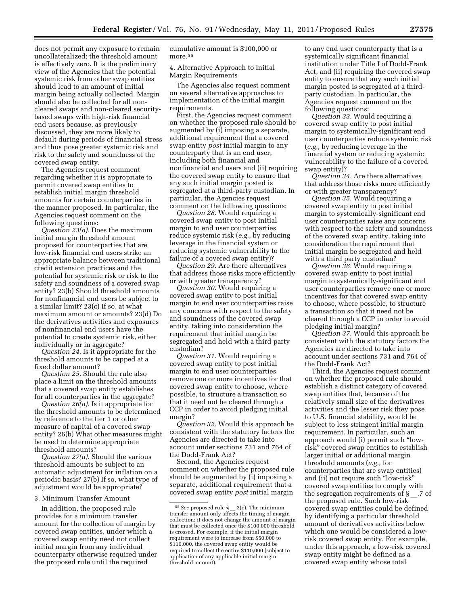does not permit any exposure to remain uncollateralized; the threshold amount is effectively zero. It is the preliminary view of the Agencies that the potential systemic risk from other swap entities should lead to an amount of initial margin being actually collected. Margin should also be collected for all noncleared swaps and non-cleared securitybased swaps with high-risk financial end users because, as previously discussed, they are more likely to default during periods of financial stress and thus pose greater systemic risk and risk to the safety and soundness of the covered swap entity.

The Agencies request comment regarding whether it is appropriate to permit covered swap entities to establish initial margin threshold amounts for certain counterparties in the manner proposed. In particular, the Agencies request comment on the following questions:

*Question 23(a).* Does the maximum initial margin threshold amount proposed for counterparties that are low-risk financial end users strike an appropriate balance between traditional credit extension practices and the potential for systemic risk or risk to the safety and soundness of a covered swap entity? 23(b) Should threshold amounts for nonfinancial end users be subject to a similar limit? 23(c) If so, at what maximum amount or amounts? 23(d) Do the derivatives activities and exposures of nonfinancial end users have the potential to create systemic risk, either individually or in aggregate?

*Question 24.* Is it appropriate for the threshold amounts to be capped at a fixed dollar amount?

*Question 25.* Should the rule also place a limit on the threshold amounts that a covered swap entity establishes for all counterparties in the aggregate?

*Question 26(a).* Is it appropriate for the threshold amounts to be determined by reference to the tier 1 or other measure of capital of a covered swap entity? 26(b) What other measures might be used to determine appropriate threshold amounts?

*Question 27(a).* Should the various threshold amounts be subject to an automatic adjustment for inflation on a periodic basis? 27(b) If so, what type of adjustment would be appropriate?

#### 3. Minimum Transfer Amount

In addition, the proposed rule provides for a minimum transfer amount for the collection of margin by covered swap entities, under which a covered swap entity need not collect initial margin from any individual counterparty otherwise required under the proposed rule until the required

cumulative amount is \$100,000 or more.<sup>55</sup>

4. Alternative Approach to Initial Margin Requirements

The Agencies also request comment on several alternative approaches to implementation of the initial margin requirements.

First, the Agencies request comment on whether the proposed rule should be augmented by (i) imposing a separate, additional requirement that a covered swap entity *post* initial margin to any counterparty that is an end user, including both financial and nonfinancial end users and (ii) requiring the covered swap entity to ensure that any such initial margin posted is segregated at a third-party custodian. In particular, the Agencies request comment on the following questions:

*Question 28.* Would requiring a covered swap entity to post initial margin to end user counterparties reduce systemic risk (*e.g.,* by reducing leverage in the financial system or reducing systemic vulnerability to the failure of a covered swap entity)?

*Question 29.* Are there alternatives that address those risks more efficiently or with greater transparency?

*Question 30.* Would requiring a covered swap entity to post initial margin to end user counterparties raise any concerns with respect to the safety and soundness of the covered swap entity, taking into consideration the requirement that initial margin be segregated and held with a third party custodian?

*Question 31.* Would requiring a covered swap entity to post initial margin to end user counterparties remove one or more incentives for that covered swap entity to choose, where possible, to structure a transaction so that it need not be cleared through a CCP in order to avoid pledging initial margin?

*Question 32.* Would this approach be consistent with the statutory factors the Agencies are directed to take into account under sections 731 and 764 of the Dodd-Frank Act?

Second, the Agencies request comment on whether the proposed rule should be augmented by (i) imposing a separate, additional requirement that a covered swap entity *post* initial margin

to any end user counterparty that is a systemically significant financial institution under Title I of Dodd-Frank Act, and (ii) requiring the covered swap entity to ensure that any such initial margin posted is segregated at a thirdparty custodian. In particular, the Agencies request comment on the following questions:

*Question 33.* Would requiring a covered swap entity to post initial margin to systemically-significant end user counterparties reduce systemic risk (*e.g.,* by reducing leverage in the financial system or reducing systemic vulnerability to the failure of a covered swap entity)?

*Question 34.* Are there alternatives that address those risks more efficiently or with greater transparency?

*Question 35.* Would requiring a covered swap entity to post initial margin to systemically-significant end user counterparties raise any concerns with respect to the safety and soundness of the covered swap entity, taking into consideration the requirement that initial margin be segregated and held with a third party custodian?

*Question 36.* Would requiring a covered swap entity to post initial margin to systemically-significant end user counterparties remove one or more incentives for that covered swap entity to choose, where possible, to structure a transaction so that it need not be cleared through a CCP in order to avoid pledging initial margin?

*Question 37.* Would this approach be consistent with the statutory factors the Agencies are directed to take into account under sections 731 and 764 of the Dodd-Frank Act?

Third, the Agencies request comment on whether the proposed rule should establish a distinct category of covered swap entities that, because of the relatively small size of the derivatives activities and the lesser risk they pose to U.S. financial stability, would be subject to less stringent initial margin requirement. In particular, such an approach would (i) permit such ''lowrisk'' covered swap entities to establish larger initial or additional margin threshold amounts (*e.g.,* for counterparties that are swap entities) and (ii) not require such ''low-risk'' covered swap entities to comply with the segregation requirements of  $\S$ . 7 of the proposed rule. Such low-risk covered swap entities could be defined by identifying a particular threshold amount of derivatives activities below which one would be considered a lowrisk covered swap entity. For example, under this approach, a low-risk covered swap entity might be defined as a covered swap entity whose total

<sup>55</sup>*See* proposed rule § \_\_.3(c). The minimum transfer amount only affects the timing of margin collection; it does not change the amount of margin that must be collected once the \$100,000 threshold is crossed. For example, if the initial margin requirement were to increase from \$50,000 to \$110,000, the covered swap entity would be required to collect the entire \$110,000 (subject to application of any applicable initial margin threshold amount).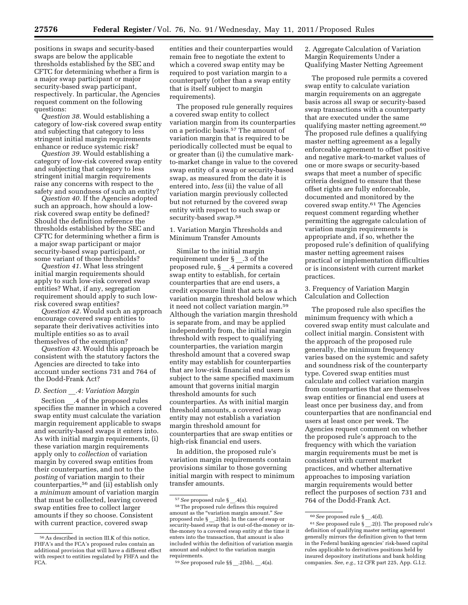positions in swaps and security-based swaps are below the applicable thresholds established by the SEC and CFTC for determining whether a firm is a major swap participant or major security-based swap participant, respectively. In particular, the Agencies request comment on the following questions:

*Question 38.* Would establishing a category of low-risk covered swap entity and subjecting that category to less stringent initial margin requirements enhance or reduce systemic risk?

*Question 39.* Would establishing a category of low-risk covered swap entity and subjecting that category to less stringent initial margin requirements raise any concerns with respect to the safety and soundness of such an entity?

*Question 40.* If the Agencies adopted such an approach, how should a lowrisk covered swap entity be defined? Should the definition reference the thresholds established by the SEC and CFTC for determining whether a firm is a major swap participant or major security-based swap participant, or some variant of those thresholds?

*Question 41.* What less stringent initial margin requirements should apply to such low-risk covered swap entities? What, if any, segregation requirement should apply to such lowrisk covered swap entities?

*Question 42.* Would such an approach encourage covered swap entities to separate their derivatives activities into multiple entities so as to avail themselves of the exemption?

*Question 43.* Would this approach be consistent with the statutory factors the Agencies are directed to take into account under sections 731 and 764 of the Dodd-Frank Act?

# *D. Section* \_\_*.4: Variation Margin*

Section \_ .4 of the proposed rules specifies the manner in which a covered swap entity must calculate the variation margin requirement applicable to swaps and security-based swaps it enters into. As with initial margin requirements, (i) these variation margin requirements apply only to *collection* of variation margin by covered swap entities from their counterparties, and not to the *posting* of variation margin to their counterparties,56 and (ii) establish only a *minimum* amount of variation margin that must be collected, leaving covered swap entities free to collect larger amounts if they so choose. Consistent with current practice, covered swap

entities and their counterparties would remain free to negotiate the extent to which a covered swap entity may be required to post variation margin to a counterparty (other than a swap entity that is itself subject to margin requirements).

The proposed rule generally requires a covered swap entity to collect variation margin from its counterparties on a periodic basis.57 The amount of variation margin that is required to be periodically collected must be equal to or greater than (i) the cumulative markto-market change in value to the covered swap entity of a swap or security-based swap, as measured from the date it is entered into, *less* (ii) the value of all variation margin previously collected but not returned by the covered swap entity with respect to such swap or security-based swap.<sup>58</sup>

# 1. Variation Margin Thresholds and Minimum Transfer Amounts

Similar to the initial margin requirement under § \_\_.3 of the proposed rule, § \_\_.4 permits a covered swap entity to establish, for certain counterparties that are end users, a credit exposure limit that acts as a variation margin threshold below which it need not collect variation margin.59 Although the variation margin threshold is separate from, and may be applied independently from, the initial margin threshold with respect to qualifying counterparties, the variation margin threshold amount that a covered swap entity may establish for counterparties that are low-risk financial end users is subject to the same specified maximum amount that governs initial margin threshold amounts for such counterparties. As with initial margin threshold amounts, a covered swap entity may not establish a variation margin threshold amount for counterparties that are swap entities or high-risk financial end users.

In addition, the proposed rule's variation margin requirements contain provisions similar to those governing initial margin with respect to minimum transfer amounts.

2. Aggregate Calculation of Variation Margin Requirements Under a Qualifying Master Netting Agreement

The proposed rule permits a covered swap entity to calculate variation margin requirements on an aggregate basis across all swap or security-based swap transactions with a counterparty that are executed under the same qualifying master netting agreement.<sup>60</sup> The proposed rule defines a qualifying master netting agreement as a legally enforceable agreement to offset positive and negative mark-to-market values of one or more swaps or security-based swaps that meet a number of specific criteria designed to ensure that these offset rights are fully enforceable, documented and monitored by the covered swap entity.61 The Agencies request comment regarding whether permitting the aggregate calculation of variation margin requirements is appropriate and, if so, whether the proposed rule's definition of qualifying master netting agreement raises practical or implementation difficulties or is inconsistent with current market practices.

3. Frequency of Variation Margin Calculation and Collection

The proposed rule also specifies the minimum frequency with which a covered swap entity must calculate and collect initial margin. Consistent with the approach of the proposed rule generally, the minimum frequency varies based on the systemic and safety and soundness risk of the counterparty type. Covered swap entities must calculate and collect variation margin from counterparties that are themselves swap entities or financial end users at least once per business day, and from counterparties that are nonfinancial end users at least once per week. The Agencies request comment on whether the proposed rule's approach to the frequency with which the variation margin requirements must be met is consistent with current market practices, and whether alternative approaches to imposing variation margin requirements would better reflect the purposes of section 731 and 764 of the Dodd-Frank Act.

 $^{56}\mathrm{As}$  described in section III.K of this notice, FHFA's and the FCA's proposed rules contain an additional provision that will have a different effect with respect to entities regulated by FHFA and the FCA.

<sup>57</sup>*See* proposed rule § \_\_.4(a).

<sup>58</sup>The proposed rule defines this required amount as the ''variation margin amount.'' *See*  proposed rule § \_\_.2(bb). In the case of swap or security-based swap that is out-of-the-money or inthe-money to a covered swap entity at the time it enters into the transaction, that amount is also included within the definition of variation margin amount and subject to the variation margin requirements.

<sup>59</sup>*See* proposed rule §§ \_\_.2(bb), \_\_.4(a).

<sup>60</sup>*See* proposed rule § \_\_.4(d).

<sup>61</sup>*See* proposed rule § \_\_.2(t). The proposed rule's definition of qualifying master netting agreement generally mirrors the definition given to that term in the Federal banking agencies' risk-based capital rules applicable to derivatives positions held by insured depository institutions and bank holding companies. *See, e.g.,* 12 CFR part 225, App. G.I.2.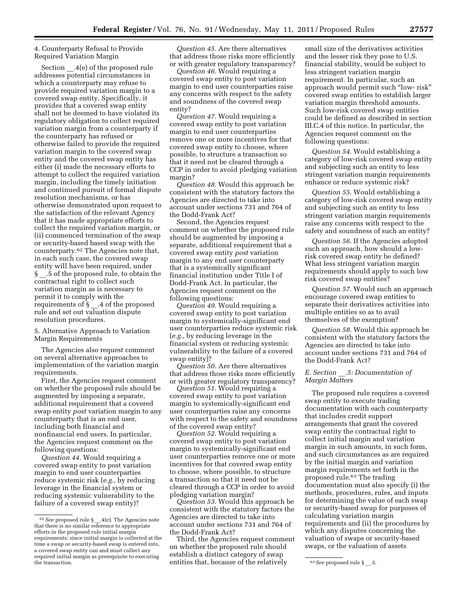# 4. Counterparty Refusal to Provide Required Variation Margin

Section .4(e) of the proposed rule addresses potential circumstances in which a counterparty may refuse to provide required variation margin to a covered swap entity. Specifically, it provides that a covered swap entity shall not be deemed to have violated its regulatory obligation to collect required variation margin from a counterparty if the counterparty has refused or otherwise failed to provide the required variation margin to the covered swap entity and the covered swap entity has either (i) made the necessary efforts to attempt to collect the required variation margin, including the timely initiation and continued pursuit of formal dispute resolution mechanisms, or has otherwise demonstrated upon request to the satisfaction of the relevant Agency that it has made appropriate efforts to collect the required variation margin, or (ii) commenced termination of the swap or security-based based swap with the counterparty.62 The Agencies note that, in each such case, the covered swap entity will have been required, under § .5 of the proposed rule, to obtain the contractual right to collect such variation margin as is necessary to permit it to comply with the requirements of § \_\_.4 of the proposed rule and set out valuation dispute resolution procedures.

5. Alternative Approach to Variation Margin Requirements

The Agencies also request comment on several alternative approaches to implementation of the variation margin requirements.

First, the Agencies request comment on whether the proposed rule should be augmented by imposing a separate, additional requirement that a covered swap entity *post* variation margin to any counterparty that is an end user, including both financial and nonfinancial end users. In particular, the Agencies request comment on the following questions:

*Question 44.* Would requiring a covered swap entity to post variation margin to end user counterparties reduce systemic risk (*e.g.,* by reducing leverage in the financial system or reducing systemic vulnerability to the failure of a covered swap entity)?

*Question 45.* Are there alternatives that address those risks more efficiently or with greater regulatory transparency?

*Question 46.* Would requiring a covered swap entity to post variation margin to end user counterparties raise any concerns with respect to the safety and soundness of the covered swap entity?

*Question 47.* Would requiring a covered swap entity to post variation margin to end user counterparties remove one or more incentives for that covered swap entity to choose, where possible, to structure a transaction so that it need not be cleared through a CCP in order to avoid pledging variation margin?

*Question 48.* Would this approach be consistent with the statutory factors the Agencies are directed to take into account under sections 731 and 764 of the Dodd-Frank Act?

Second, the Agencies request comment on whether the proposed rule should be augmented by imposing a separate, additional requirement that a covered swap entity *post* variation margin to any end user counterparty that is a systemically significant financial institution under Title I of Dodd-Frank Act. In particular, the Agencies request comment on the following questions:

*Question 49.* Would requiring a covered swap entity to post variation margin to systemically-significant end user counterparties reduce systemic risk (*e.g.,* by reducing leverage in the financial system or reducing systemic vulnerability to the failure of a covered swap entity)?

*Question 50.* Are there alternatives that address those risks more efficiently or with greater regulatory transparency?

*Question 51.* Would requiring a covered swap entity to post variation margin to systemically-significant end user counterparties raise any concerns with respect to the safety and soundness of the covered swap entity?

*Question 52.* Would requiring a covered swap entity to post variation margin to systemically-significant end user counterparties remove one or more incentives for that covered swap entity to choose, where possible, to structure a transaction so that it need not be cleared through a CCP in order to avoid pledging variation margin?

*Question 53.* Would this approach be consistent with the statutory factors the Agencies are directed to take into account under sections 731 and 764 of the Dodd-Frank Act?

the transaction. **Example 2** on the transaction. The transaction is seen proposed rule § \_\_5. Third, the Agencies request comment on whether the proposed rule should establish a distinct category of swap

small size of the derivatives activities and the lesser risk they pose to U.S. financial stability, would be subject to less stringent variation margin requirement. In particular, such an approach would permit such ''low- risk'' covered swap entities to establish larger variation margin threshold amounts. Such low-risk covered swap entities could be defined as described in section III.C.4 of this notice. In particular, the Agencies request comment on the following questions:

*Question 54.* Would establishing a category of low-risk covered swap entity and subjecting such an entity to less stringent variation margin requirements enhance or reduce systemic risk?

*Question 55.* Would establishing a category of low-risk covered swap entity and subjecting such an entity to less stringent variation margin requirements raise any concerns with respect to the safety and soundness of such an entity?

*Question 56.* If the Agencies adopted such an approach, how should a lowrisk covered swap entity be defined? What less stringent variation margin requirements should apply to such low risk covered swap entities?

*Question 57.* Would such an approach encourage covered swap entities to separate their derivatives activities into multiple entities so as to avail themselves of the exemption?

*Question 58.* Would this approach be consistent with the statutory factors the Agencies are directed to take into account under sections 731 and 764 of the Dodd-Frank Act?

# *E. Section* \_\_*.5: Documentation of Margin Matters*

The proposed rule requires a covered swap entity to execute trading documentation with each counterparty that includes credit support arrangements that grant the covered swap entity the contractual right to collect initial margin and variation margin in such amounts, in such form, and such circumstances as are required by the initial margin and variation margin requirements set forth in the proposed rule.63 The trading documentation must also specify (i) the methods, procedures, rules, and inputs for determining the value of each swap or security-based swap for purposes of calculating variation margin requirements and (ii) the procedures by which any disputes concerning the valuation of swaps or security-based swaps, or the valuation of assets

<sup>62</sup>*See* proposed rule § \_\_.4(e). The Agencies note that there is no similar reference to appropriate efforts in the proposed rule initial margin requirements; since initial margin is collected at the time a swap or security-based swap is entered into, a covered swap entity can and must collect any required initial margin as prerequisite to executing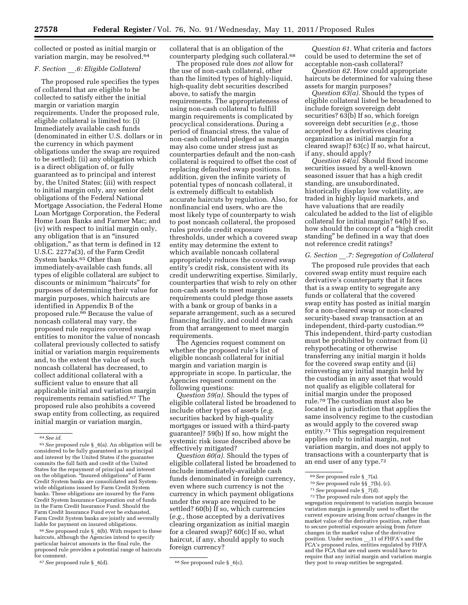collected or posted as initial margin or variation margin, may be resolved.64

#### *F. Section* \_\_*.6: Eligible Collateral*

The proposed rule specifies the types of collateral that are eligible to be collected to satisfy either the initial margin or variation margin requirements. Under the proposed rule, eligible collateral is limited to: (i) Immediately available cash funds (denominated in either U.S. dollars or in the currency in which payment obligations under the swap are required to be settled); (ii) any obligation which is a direct obligation of, or fully guaranteed as to principal and interest by, the United States; (iii) with respect to initial margin only, any senior debt obligations of the Federal National Mortgage Association, the Federal Home Loan Mortgage Corporation, the Federal Home Loan Banks and Farmer Mac; and (iv) with respect to initial margin only, any obligation that is an ''insured obligation,'' as that term is defined in 12 U.S.C. 2277a(3), of the Farm Credit System banks.65 Other than immediately-available cash funds, all types of eligible collateral are subject to discounts or minimum ''haircuts'' for purposes of determining their value for margin purposes, which haircuts are identified in Appendix B of the proposed rule.66 Because the value of noncash collateral may vary, the proposed rule requires covered swap entities to monitor the value of noncash collateral previously collected to satisfy initial or variation margin requirements and, to the extent the value of such noncash collateral has decreased, to collect additional collateral with a sufficient value to ensure that all applicable initial and variation margin requirements remain satisfied.67 The proposed rule also prohibits a covered swap entity from collecting, as required initial margin or variation margin,

66*See* proposed rule § \_6(b). With respect to these haircuts, although the Agencies intend to specify particular haircut amounts in the final rule, the proposed rule provides a potential range of haircuts for comment.<br><sup>67</sup> See proposed rule § \_6(d).

collateral that is an obligation of the counterparty pledging such collateral.68

The proposed rule does *not* allow for the use of non-cash collateral, other than the limited types of highly-liquid, high-quality debt securities described above, to satisfy the margin requirements. The appropriateness of using non-cash collateral to fulfill margin requirements is complicated by procyclical considerations. During a period of financial stress, the value of non-cash collateral pledged as margin may also come under stress just as counterparties default and the non-cash collateral is required to offset the cost of replacing defaulted swap positions. In addition, given the infinite variety of potential types of noncash collateral, it is extremely difficult to establish accurate haircuts by regulation. Also, for nonfinancial end users, who are the most likely type of counterparty to wish to post noncash collateral, the proposed rules provide credit exposure thresholds, under which a covered swap entity may determine the extent to which available noncash collateral appropriately reduces the covered swap entity's credit risk, consistent with its credit underwriting expertise. Similarly, counterparties that wish to rely on other non-cash assets to meet margin requirements could pledge those assets with a bank or group of banks in a separate arrangement, such as a secured financing facility, and could draw cash from that arrangement to meet margin requirements.

The Agencies request comment on whether the proposed rule's list of eligible noncash collateral for initial margin and variation margin is appropriate in scope. In particular, the Agencies request comment on the following questions:

*Question 59(a).* Should the types of eligible collateral listed be broadened to include other types of assets (*e.g.*  securities backed by high-quality mortgages or issued with a third-party guarantee)? 59(b) If so, how might the systemic risk issue described above be effectively mitigated?

*Question 60(a).* Should the types of eligible collateral listed be broadened to include immediately-available cash funds denominated in foreign currency, even where such currency is not the currency in which payment obligations under the swap are required to be settled? 60(b) If so, which currencies (*e.g.,* those accepted by a derivatives clearing organization as initial margin for a cleared swap)? 60(c) If so, what haircut, if any, should apply to such foreign currency?

*Question 61.* What criteria and factors could be used to determine the set of acceptable non-cash collateral?

*Question 62.* How could appropriate haircuts be determined for valuing these assets for margin purposes?

*Question 63(a).* Should the types of eligible collateral listed be broadened to include foreign sovereign debt securities? 63(b) If so, which foreign sovereign debt securities (*e.g.,* those accepted by a derivatives clearing organization as initial margin for a cleared swap)? 63(c) If so, what haircut, if any, should apply?

*Question 64(a).* Should fixed income securities issued by a well-known seasoned issuer that has a high credit standing, are unsubordinated, historically display low volatility, are traded in highly liquid markets, and have valuations that are readily calculated be added to the list of eligible collateral for initial margin? 64(b) If so, how should the concept of a "high credit" standing'' be defined in a way that does not reference credit ratings?

#### *G. Section* \_\_*.7: Segregation of Collateral*

The proposed rule provides that each covered swap entity must require each derivative's counterparty that it faces that is a swap entity to segregate any funds or collateral that the covered swap entity has posted as initial margin for a non-cleared swap or non-cleared security-based swap transaction at an independent, third-party custodian.69 This independent, third-party custodian must be prohibited by contract from (i) rehypothecating or otherwise transferring any initial margin it holds for the covered swap entity and (ii) reinvesting any initial margin held by the custodian in any asset that would not qualify as eligible collateral for initial margin under the proposed rule.70 The custodian must also be located in a jurisdiction that applies the same insolvency regime to the custodian as would apply to the covered swap entity.71 This segregation requirement applies only to initial margin, not variation margin, and does not apply to transactions with a counterparty that is an end user of any type.72

<sup>69</sup> See proposed rule § \_7(a).<br><sup>70</sup> See proposed rule §§ \_7(b), (c).<br><sup>71</sup> See proposed rule § \_7(d).<br><sup>72</sup>The proposed rule does not apply the segregation requirement to variation margin because variation margin is generally used to offset the current exposure arising from *actual* changes in the market value of the derivative position, rather than to secure potential exposure arising from *future*  changes in the market value of the derivative position. Under section .11 of FHFA's and the FCA's proposed rules, entities regulated by FHFA and the FCA that are end users would have to require that any initial margin and variation margin they post to swap entities be segregated.

<sup>64</sup>*See id.* 

<sup>65</sup>*See* proposed rule § \_6(a). An obligation will be considered to be fully guaranteed as to principal and interest by the United States if the guarantee commits the full faith and credit of the United States for the repayment of principal and interest on the obligation. ''Insured obligations'' of Farm Credit System banks are consolidated and Systemwide obligations issued by Farm Credit System banks. These obligations are insured by the Farm Credit System Insurance Corporation out of funds in the Farm Credit Insurance Fund. Should the Farm Credit Insurance Fund ever be exhausted, Farm Credit System banks are jointly and severally liable for payment on insured obligations.

<sup>67</sup>*See* proposed rule § \_6(d). 68*See* proposed rule § \_6(c).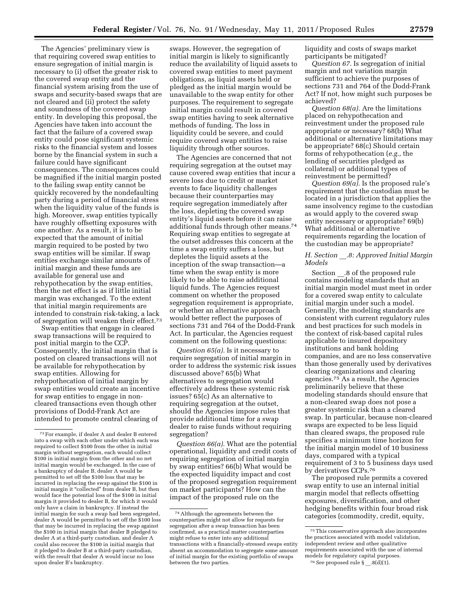The Agencies' preliminary view is that requiring covered swap entities to ensure segregation of initial margin is necessary to (i) offset the greater risk to the covered swap entity and the financial system arising from the use of swaps and security-based swaps that are not cleared and (ii) protect the safety and soundness of the covered swap entity. In developing this proposal, the Agencies have taken into account the fact that the failure of a covered swap entity could pose significant systemic risks to the financial system and losses borne by the financial system in such a failure could have significant consequences. The consequences could be magnified if the initial margin posted to the failing swap entity cannot be quickly recovered by the nondefaulting party during a period of financial stress when the liquidity value of the funds is high. Moreover, swap entities typically have roughly offsetting exposures with one another. As a result, it is to be expected that the amount of initial margin required to be posted by two swap entities will be similar. If swap entities exchange similar amounts of initial margin and these funds are available for general use and rehypothecation by the swap entities, then the net effect is as if little initial margin was exchanged. To the extent that initial margin requirements are intended to constrain risk-taking, a lack of segregation will weaken their effect.73

Swap entities that engage in cleared swap transactions will be required to post initial margin to the CCP. Consequently, the initial margin that is posted on cleared transactions will not be available for rehypothecation by swap entities. Allowing for rehypothecation of initial margin by swap entities would create an incentive for swap entities to engage in noncleared transactions even though other provisions of Dodd-Frank Act are intended to promote central clearing of

swaps. However, the segregation of initial margin is likely to significantly reduce the availability of liquid assets to covered swap entities to meet payment obligations, as liquid assets held or pledged as the initial margin would be unavailable to the swap entity for other purposes. The requirement to segregate initial margin could result in covered swap entities having to seek alternative methods of funding. The loss in liquidity could be severe, and could require covered swap entities to raise liquidity through other sources.

The Agencies are concerned that not requiring segregation at the outset may cause covered swap entities that incur a severe loss due to credit or market events to face liquidity challenges because their counterparties may require segregation immediately after the loss, depleting the covered swap entity's liquid assets before it can raise additional funds through other means.74 Requiring swap entities to segregate at the outset addresses this concern at the time a swap entity suffers a loss, but depletes the liquid assets at the inception of the swap transaction—a time when the swap entity is more likely to be able to raise additional liquid funds. The Agencies request comment on whether the proposed segregation requirement is appropriate, or whether an alternative approach would better reflect the purposes of sections 731 and 764 of the Dodd-Frank Act. In particular, the Agencies request comment on the following questions:

*Question 65(a).* Is it necessary to require segregation of initial margin in order to address the systemic risk issues discussed above? 65(b) What alternatives to segregation would effectively address these systemic risk issues? 65(c) As an alternative to requiring segregation at the outset, should the Agencies impose rules that provide additional time for a swap dealer to raise funds without requiring segregation?

*Question 66(a).* What are the potential operational, liquidity and credit costs of requiring segregation of initial margin by swap entities? 66(b) What would be the expected liquidity impact and cost of the proposed segregation requirement on market participants? How can the impact of the proposed rule on the

liquidity and costs of swaps market participants be mitigated?

*Question 67.* Is segregation of initial margin and not variation margin sufficient to achieve the purposes of sections 731 and 764 of the Dodd-Frank Act? If not, how might such purposes be achieved?

*Question 68(a).* Are the limitations placed on rehypothecation and reinvestment under the proposed rule appropriate or necessary? 68(b) What additional or alternative limitations may be appropriate? 68(c) Should certain forms of rehypothecation (*e.g.,* the lending of securities pledged as collateral) or additional types of reinvestment be permitted?

*Question 69(a).* Is the proposed rule's requirement that the custodian must be located in a jurisdiction that applies the same insolvency regime to the custodian as would apply to the covered swap entity necessary or appropriate? 69(b) What additional or alternative requirements regarding the location of the custodian may be appropriate?

# *H. Section* \_\_*.8: Approved Initial Margin Models*

Section .8 of the proposed rule contains modeling standards that an initial margin model must meet in order for a covered swap entity to calculate initial margin under such a model. Generally, the modeling standards are consistent with current regulatory rules and best practices for such models in the context of risk-based capital rules applicable to insured depository institutions and bank holding companies, and are no less conservative than those generally used by derivatives clearing organizations and clearing agencies.75 As a result, the Agencies preliminarily believe that these modeling standards should ensure that a non-cleared swap does not pose a greater systemic risk than a cleared swap. In particular, because non-cleared swaps are expected to be less liquid than cleared swaps, the proposed rule specifies a minimum time horizon for the initial margin model of 10 business days, compared with a typical requirement of 3 to 5 business days used by derivatives CCPs.76

The proposed rule permits a covered swap entity to use an internal initial margin model that reflects offsetting exposures, diversification, and other hedging benefits within four broad risk categories (commodity, credit, equity,

<sup>73</sup>For example, if dealer A and dealer B entered into a swap with each other under which each was required to collect \$100 from the other in initial margin without segregation, each would collect \$100 in initial margin from the other and no net initial margin would be exchanged. In the case of a bankruptcy of dealer B, dealer A would be permitted to set off the \$100 loss that may be incurred in replacing the swap against the \$100 in initial margin it "collected" from dealer B, but then would face the potential loss of the \$100 in initial margin it provided to dealer B, for which it would only have a claim in bankruptcy. If instead the initial margin for such a swap had been segregated, dealer A would be permitted to set off the \$100 loss that may be incurred in replacing the swap against the \$100 in initial margin that dealer B pledged to dealer A at a third-party custodian, and dealer A could also recover the \$100 in initial margin that it pledged to dealer B at a third-party custodian, with the result that dealer A would incur no loss upon dealer B's bankruptcy.

<sup>74</sup>Although the agreements between the counterparties might not allow for requests for segregation after a swap transaction has been confirmed, as a practical matter counterparties might refuse to enter into any additional transactions with a financially-stressed swaps entity absent an accommodation to segregate some amount of initial margin for the existing portfolio of swaps between the two parties.

<sup>75</sup>This conservative approach also incorporates the practices associated with model validation, independent review and other qualitative requirements associated with the use of internal models for regulatory capital purposes. 76*See* proposed rule § \_\_.8(d)(1).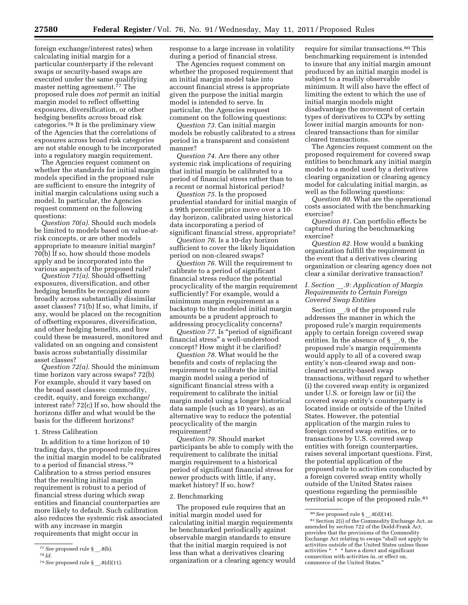foreign exchange/interest rates) when calculating initial margin for a particular counterparty if the relevant swaps or security-based swaps are executed under the same qualifying master netting agreement. $\bar{7}$ <sup>7</sup> The proposed rule does *not* permit an initial margin model to reflect offsetting exposures, diversification, or other hedging benefits *across* broad risk categories.78 It is the preliminary view of the Agencies that the correlations of exposures across broad risk categories are not stable enough to be incorporated into a regulatory margin requirement.

The Agencies request comment on whether the standards for initial margin models specified in the proposed rule are sufficient to ensure the integrity of initial margin calculations using such a model. In particular, the Agencies request comment on the following questions:

*Question 70(a).* Should such models be limited to models based on value-atrisk concepts, or are other models appropriate to measure initial margin? 70(b) If so, how should those models apply and be incorporated into the various aspects of the proposed rule?

*Question 71(a).* Should offsetting exposures, diversification, and other hedging benefits be recognized more broadly across substantially dissimilar asset classes? 71(b) If so, what limits, if any, would be placed on the recognition of offsetting exposures, diversification, and other hedging benefits, and how could these be measured, monitored and validated on an ongoing and consistent basis across substantially dissimilar asset classes?

*Question 72(a).* Should the minimum time horizon vary across swaps? 72(b) For example, should it vary based on the broad asset classes: commodity, credit, equity, and foreign exchange/ interest rate? 72(c) If so, how should the horizons differ and what would be the basis for the different horizons?

# 1. Stress Calibration

In addition to a time horizon of 10 trading days, the proposed rule requires the initial margin model to be calibrated to a period of financial stress.79 Calibration to a stress period ensures that the resulting initial margin requirement is robust to a period of financial stress during which swap entities and financial counterparties are more likely to default. Such calibration also reduces the systemic risk associated with any increase in margin requirements that might occur in

response to a large increase in volatility during a period of financial stress.

The Agencies request comment on whether the proposed requirement that an initial margin model take into account financial stress is appropriate given the purpose the initial margin model is intended to serve. In particular, the Agencies request comment on the following questions:

*Question 73.* Can initial margin models be robustly calibrated to a stress period in a transparent and consistent manner?

*Question 74.* Are there any other systemic risk implications of requiring that initial margin be calibrated to a period of financial stress rather than to a recent or normal historical period?

*Question 75.* Is the proposed prudential standard for initial margin of a 99th percentile price move over a 10 day horizon, calibrated using historical data incorporating a period of significant financial stress, appropriate?

*Question 76.* Is a 10-day horizon sufficient to cover the likely liquidation period on non-cleared swaps?

*Question 76.* Will the requirement to calibrate to a period of significant financial stress reduce the potential procyclicality of the margin requirement sufficiently? For example, would a minimum margin requirement as a backstop to the modeled initial margin amounts be a prudent approach to addressing procyclicality concerns?

*Question 77.* Is ''period of significant financial stress'' a well-understood concept? How might it be clarified?

*Question 78.* What would be the benefits and costs of replacing the requirement to calibrate the initial margin model using a period of significant financial stress with a requirement to calibrate the initial margin model using a longer historical data sample (such as 10 years), as an alternative way to reduce the potential procyclicality of the margin requirement?

*Question 79.* Should market participants be able to comply with the requirement to calibrate the initial margin requirement to a historical period of significant financial stress for newer products with little, if any, market history? If so, how?

#### 2. Benchmarking

The proposed rule requires that an initial margin model used for calculating initial margin requirements be benchmarked periodically against observable margin standards to ensure that the initial margin required is not less than what a derivatives clearing organization or a clearing agency would

require for similar transactions.80 This benchmarking requirement is intended to insure that any initial margin amount produced by an initial margin model is subject to a readily observable minimum. It will also have the effect of limiting the extent to which the use of initial margin models might disadvantage the movement of certain types of derivatives to CCPs by setting lower initial margin amounts for noncleared transactions than for similar cleared transactions.

The Agencies request comment on the proposed requirement for covered swap entities to benchmark any initial margin model to a model used by a derivatives clearing organization or clearing agency model for calculating initial margin, as well as the following questions:

*Question 80.* What are the operational costs associated with the benchmarking exercise?

*Question 81.* Can portfolio effects be captured during the benchmarking exercise?

*Question 82.* How would a banking organization fulfill the requirement in the event that a derivatives clearing organization or clearing agency does not clear a similar derivative transaction?

## *I. Section* \_\_*.9: Application of Margin Requirements to Certain Foreign Covered Swap Entities*

Section .9 of the proposed rule addresses the manner in which the proposed rule's margin requirements apply to certain foreign covered swap entities. In the absence of  $\S$  .9, the proposed rule's margin requirements would apply to all of a covered swap entity's non-cleared swap and noncleared security-based swap transactions, without regard to whether (i) the covered swap entity is organized under U.S. or foreign law or (ii) the covered swap entity's counterparty is located inside or outside of the United States. However, the potential application of the margin rules to foreign covered swap entities, or to transactions by U.S. covered swap entities with foreign counterparties, raises several important questions. First, the potential application of the proposed rule to activities conducted by a foreign covered swap entity wholly outside of the United States raises questions regarding the permissible territorial scope of the proposed rule.<sup>81</sup>

<sup>77</sup>*See* proposed rule § \_\_.8(b).

<sup>78</sup> *Id.* 

<sup>79</sup>*See* proposed rule § \_\_.8(d)(11).

<sup>&</sup>lt;sup>80</sup> See proposed rule § \_.8(d)(14).<br><sup>81</sup> Section 2(i) of the Commodity Exchange Act, as amended by section 722 of the Dodd-Frank Act, provides that the provisions of the Commodity Exchange Act relating to swaps ''shall not apply to activities outside of the United States unless those activities \* \* \* have a direct and significant connection with activities in, or effect on, commerce of the United States.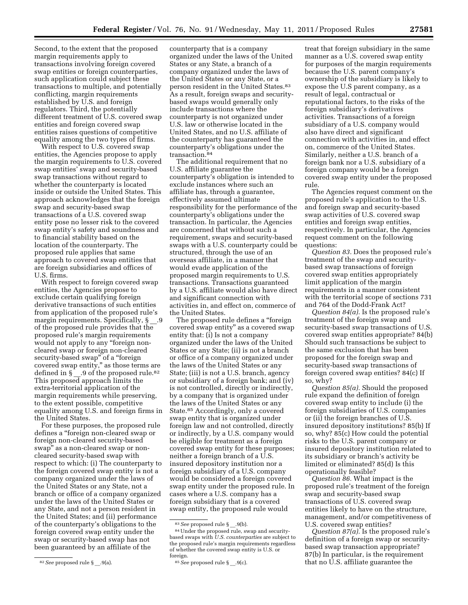Second, to the extent that the proposed margin requirements apply to transactions involving foreign covered swap entities or foreign counterparties, such application could subject these transactions to multiple, and potentially conflicting, margin requirements established by U.S. and foreign regulators. Third, the potentially different treatment of U.S. covered swap entities and foreign covered swap entities raises questions of competitive equality among the two types of firms.

With respect to U.S. covered swap entities, the Agencies propose to apply the margin requirements to U.S. covered swap entities' swap and security-based swap transactions without regard to whether the counterparty is located inside or outside the United States. This approach acknowledges that the foreign swap and security-based swap transactions of a U.S. covered swap entity pose no lesser risk to the covered swap entity's safety and soundness and to financial stability based on the location of the counterparty. The proposed rule applies that same approach to covered swap entities that are foreign subsidiaries and offices of U.S. firms.

With respect to foreign covered swap entities, the Agencies propose to exclude certain qualifying foreign derivative transactions of such entities from application of the proposed rule's margin requirements. Specifically, § .9 of the proposed rule provides that the proposed rule's margin requirements would not apply to any "foreign noncleared swap or foreign non-cleared security-based swap" of a "foreign covered swap entity,'' as those terms are defined in § \_.9 of the proposed rule.<sup>82</sup> This proposed approach limits the extra-territorial application of the margin requirements while preserving, to the extent possible, competitive equality among U.S. and foreign firms in the United States.

For these purposes, the proposed rule defines a ''foreign non-cleared swap or foreign non-cleared security-based swap'' as a non-cleared swap or noncleared security-based swap with respect to which: (i) The counterparty to the foreign covered swap entity is not a company organized under the laws of the United States or any State, not a branch or office of a company organized under the laws of the United States or any State, and not a person resident in the United States; and (ii) performance of the counterparty's obligations to the foreign covered swap entity under the swap or security-based swap has not been guaranteed by an affiliate of the

counterparty that is a company organized under the laws of the United States or any State, a branch of a company organized under the laws of the United States or any State, or a person resident in the United States.<sup>83</sup> As a result, foreign swaps and securitybased swaps would generally only include transactions where the counterparty is not organized under U.S. law or otherwise located in the United States, and no U.S. affiliate of the counterparty has guaranteed the counterparty's obligations under the transaction.84

The additional requirement that no U.S. affiliate guarantee the counterparty's obligation is intended to exclude instances where such an affiliate has, through a guarantee, effectively assumed ultimate responsibility for the performance of the counterparty's obligations under the transaction. In particular, the Agencies are concerned that without such a requirement, swaps and security-based swaps with a U.S. counterparty could be structured, through the use of an overseas affiliate, in a manner that would evade application of the proposed margin requirements to U.S. transactions. Transactions guaranteed by a U.S. affiliate would also have direct and significant connection with activities in, and effect on, commerce of the United States.

The proposed rule defines a ''foreign covered swap entity'' as a covered swap entity that: (i) Is not a company organized under the laws of the United States or any State; (ii) is not a branch or office of a company organized under the laws of the United States or any State; (iii) is not a U.S. branch, agency or subsidiary of a foreign bank; and (iv) is not controlled, directly or indirectly, by a company that is organized under the laws of the United States or any State.85 Accordingly, only a covered swap entity that is organized under foreign law and not controlled, directly or indirectly, by a U.S. company would be eligible for treatment as a foreign covered swap entity for these purposes; neither a foreign branch of a U.S. insured depository institution nor a foreign subsidiary of a U.S. company would be considered a foreign covered swap entity under the proposed rule. In cases where a U.S. company has a foreign subsidiary that is a covered swap entity, the proposed rule would

treat that foreign subsidiary in the same manner as a U.S. covered swap entity for purposes of the margin requirements because the U.S. parent company's ownership of the subsidiary is likely to expose the U.S parent company, as a result of legal, contractual or reputational factors, to the risks of the foreign subsidiary's derivatives activities. Transactions of a foreign subsidiary of a U.S. company would also have direct and significant connection with activities in, and effect on, commerce of the United States. Similarly, neither a U.S. branch of a foreign bank nor a U.S. subsidiary of a foreign company would be a foreign covered swap entity under the proposed rule.

The Agencies request comment on the proposed rule's application to the U.S. and foreign swap and security-based swap activities of U.S. covered swap entities and foreign swap entities, respectively. In particular, the Agencies request comment on the following questions:

*Question 83.* Does the proposed rule's treatment of the swap and securitybased swap transactions of foreign covered swap entities appropriately limit application of the margin requirements in a manner consistent with the territorial scope of sections 731 and 764 of the Dodd-Frank Act?

*Question 84(a).* Is the proposed rule's treatment of the foreign swap and security-based swap transactions of U.S. covered swap entities appropriate? 84(b) Should such transactions be subject to the same exclusion that has been proposed for the foreign swap and security-based swap transactions of foreign covered swap entities? 84(c) If so, why?

*Question 85(a).* Should the proposed rule expand the definition of foreign covered swap entity to include (i) the foreign subsidiaries of U.S. companies or (ii) the foreign branches of U.S. insured depository institutions? 85(b) If so, why? 85(c) How could the potential risks to the U.S. parent company or insured depository institution related to its subsidiary or branch's activity be limited or eliminated? 85(d) Is this operationally feasible?

*Question 86.* What impact is the proposed rule's treatment of the foreign swap and security-based swap transactions of U.S. covered swap entities likely to have on the structure, management, and/or competitiveness of U.S. covered swap entities?

*Question 87(a).* Is the proposed rule's definition of a foreign swap or securitybased swap transaction appropriate? 87(b) In particular, is the requirement that no U.S. affiliate guarantee the

<sup>82</sup>*See* proposed rule § \_\_.9(a).

<sup>&</sup>lt;sup>83</sup> See proposed rule §\_.9(b).

<sup>84</sup>Under the proposed rule, swap and securitybased swaps with *U.S. counterparties* are subject to the proposed rule's margin requirements regardless of whether the covered swap entity is U.S. or foreign.

<sup>85</sup>*See* proposed rule § \_\_.9(c).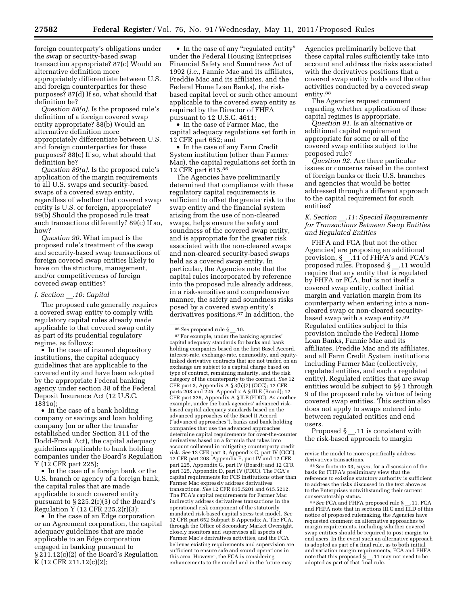foreign counterparty's obligations under the swap or security-based swap transaction appropriate? 87(c) Would an alternative definition more appropriately differentiate between U.S. and foreign counterparties for these purposes? 87(d) If so, what should that definition be?

*Question 88(a).* Is the proposed rule's definition of a foreign covered swap entity appropriate? 88(b) Would an alternative definition more appropriately differentiate between U.S. and foreign counterparties for these purposes? 88(c) If so, what should that definition be?

*Question 89(a).* Is the proposed rule's application of the margin requirements to all U.S. swaps and security-based swaps of a covered swap entity, regardless of whether that covered swap entity is U.S. or foreign, appropriate? 89(b) Should the proposed rule treat such transactions differently? 89(c) If so, how?

*Question 90.* What impact is the proposed rule's treatment of the swap and security-based swap transactions of foreign covered swap entities likely to have on the structure, management, and/or competitiveness of foreign covered swap entities?

#### *J. Section* \_\_*.10: Capital*

The proposed rule generally requires a covered swap entity to comply with regulatory capital rules already made applicable to that covered swap entity as part of its prudential regulatory regime, as follows:

• In the case of insured depository institutions, the capital adequacy guidelines that are applicable to the covered entity and have been adopted by the appropriate Federal banking agency under section 38 of the Federal Deposit Insurance Act (12 U.S.C. 1831o);

• In the case of a bank holding company or savings and loan holding company (on or after the transfer established under Section 311 of the Dodd-Frank Act), the capital adequacy guidelines applicable to bank holding companies under the Board's Regulation Y (12 CFR part 225);

• In the case of a foreign bank or the U.S. branch or agency of a foreign bank, the capital rules that are made applicable to such covered entity pursuant to § 225.2(r)(3) of the Board's Regulation Y (12 CFR 225.2(r)(3);

• In the case of an Edge corporation or an Agreement corporation, the capital adequacy guidelines that are made applicable to an Edge corporation engaged in banking pursuant to § 211.12(c)(2) of the Board's Regulation K (12 CFR 211.12(c)(2);

• In the case of any "regulated entity" under the Federal Housing Enterprises Financial Safety and Soundness Act of 1992 (*i.e.,* Fannie Mae and its affiliates, Freddie Mac and its affiliates, and the Federal Home Loan Banks), the riskbased capital level or such other amount applicable to the covered swap entity as required by the Director of FHFA pursuant to 12 U.S.C. 4611;

• In the case of Farmer Mac, the capital adequacy regulations set forth in 12 CFR part 652; and

• In the case of any Farm Credit System institution (other than Farmer Mac), the capital regulations set forth in 12 CFR part 615.86

The Agencies have preliminarily determined that compliance with these regulatory capital requirements is sufficient to offset the greater risk to the swap entity and the financial system arising from the use of non-cleared swaps, helps ensure the safety and soundness of the covered swap entity, and is appropriate for the greater risk associated with the non-cleared swaps and non-cleared security-based swaps held as a covered swap entity. In particular, the Agencies note that the capital rules incorporated by reference into the proposed rule already address, in a risk-sensitive and comprehensive manner, the safety and soundness risks posed by a covered swap entity's derivatives positions.<sup>87</sup> In addition, the

87For example, under the banking agencies' capital adequacy standards for banks and bank holding companies based on the first Basel Accord, interest-rate, exchange-rate, commodity, and equitylinked derivative contracts that are not traded on an exchange are subject to a capital charge based on type of contract, remaining maturity, and the risk category of the counterparty to the contract. *See* 12 CFR part 3, Appendix  $\hat{A}$  § 3(b)(7) (OCC); 12 CFR parts 208 and 225, Appendix A § III.E (Board); 12 CFR part 325, Appendix A § II.E (FDIC). As another example, under the bank agencies' advanced riskbased capital adequacy standards based on the advanced approaches of the Basel II Accord (''advanced approaches''), banks and bank holding companies that use the advanced approaches determine capital requirements for over-the-counter derivatives based on a formula that takes into account collateral in mitigating counterparty credit risk. *See* 12 CFR part 3, Appendix C, part IV (OCC); 12 CFR part 208, Appendix F, part IV and 12 CFR part 225, Appendix G, part IV (Board); and 12 CFR part 325, Appendix D, part IV (FDIC). The FCA's capital requirements for FCS institutions other than Farmer Mac expressly address derivatives transactions. *See* 12 CFR 615.5201 and 615.5212. The FCA's capital requirements for Farmer Mac indirectly address derivatives transactions in the operational risk component of the statutorily mandated risk-based capital stress test model. *See*  12 CFR part 652 Subpart B Appendix A. The FCA, through the Office of Secondary Market Oversight, closely monitors and supervises all aspects of Farmer Mac's derivatives activities, and the FCA believes existing requirements and supervision are sufficient to ensure safe and sound operations in this area. However, the FCA is considering enhancements to the model and in the future may

Agencies preliminarily believe that these capital rules sufficiently take into account and address the risks associated with the derivatives positions that a covered swap entity holds and the other activities conducted by a covered swap entity.88

The Agencies request comment regarding whether application of these capital regimes is appropriate.

*Question 91.* Is an alternative or additional capital requirement appropriate for some or all of the covered swap entities subject to the proposed rule?

*Question 92.* Are there particular issues or concerns raised in the context of foreign banks or their U.S. branches and agencies that would be better addressed through a different approach to the capital requirement for such entities?

# *K. Section* \_\_*.11: Special Requirements for Transactions Between Swap Entities and Regulated Entities*

FHFA and FCA (but not the other Agencies) are proposing an additional provision, § \_\_.11 of FHFA's and FCA's proposed rules. Proposed § \_\_.11 would require that any entity that is regulated by FHFA or FCA, but is not itself a covered swap entity, collect initial margin and variation margin from its counterparty when entering into a noncleared swap or non-cleared securitybased swap with a swap entity.89 Regulated entities subject to this provision include the Federal Home Loan Banks, Fannie Mae and its affiliates, Freddie Mac and its affiliates, and all Farm Credit System institutions including Farmer Mac (collectively, regulated entities, and each a regulated entity). Regulated entities that are swap entities would be subject to §§ 1 through 9 of the proposed rule by virtue of being covered swap entities. This section also does not apply to swaps entered into between regulated entities and end users.

Proposed § \_\_.11 is consistent with the risk-based approach to margin

<sup>88</sup> See footnote 33, *supra*, for a discussion of the basis for FHFA's preliminary view that the reference to existing statutory authority is sufficient to address the risks discussed in the text above as to the Enterprises notwithstanding their current conservatorship status.

89*See* FCA and FHFA proposed rule § \_\_.11. FCA and FHFA note that in sections III.C and  $\overline{\text{III}}$ .D of this notice of proposed rulemaking, the Agencies have requested comment on alternative approaches to margin requirements, including whether covered swap entities should be required to post margin to end users. In the event such an alternative approach is adopted as part of a final rule, as to both initial and variation margin requirements, FCA and FHFA note that this proposed § \_\_.11 may not need to be adopted as part of that final rule.

<sup>86</sup>*See* proposed rule § \_\_.10.

revise the model to more specifically address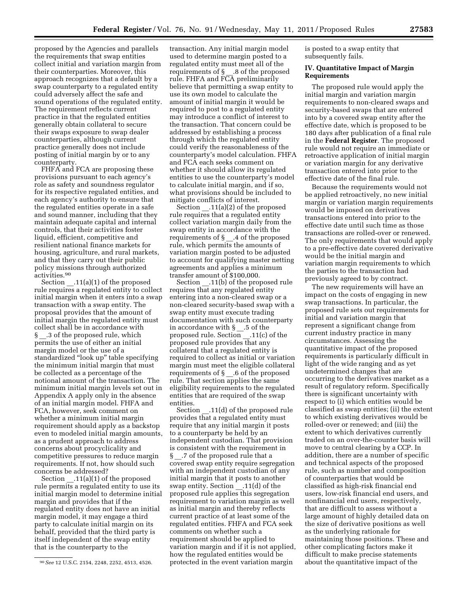proposed by the Agencies and parallels the requirements that swap entities collect initial and variation margin from their counterparties. Moreover, this approach recognizes that a default by a swap counterparty to a regulated entity could adversely affect the safe and sound operations of the regulated entity. The requirement reflects current practice in that the regulated entities generally obtain collateral to secure their swaps exposure to swap dealer counterparties, although current practice generally does not include posting of initial margin by or to any counterparty.

FHFA and FCA are proposing these provisions pursuant to each agency's role as safety and soundness regulator for its respective regulated entities, and each agency's authority to ensure that the regulated entities operate in a safe and sound manner, including that they maintain adequate capital and internal controls, that their activities foster liquid, efficient, competitive and resilient national finance markets for housing, agriculture, and rural markets, and that they carry out their public policy missions through authorized activities.90

Section \_\_.11(a)(1) of the proposed rule requires a regulated entity to collect initial margin when it enters into a swap transaction with a swap entity. The proposal provides that the amount of initial margin the regulated entity must collect shall be in accordance with § \_\_.3 of the proposed rule, which permits the use of either an initial margin model or the use of a standardized ''look up'' table specifying the minimum initial margin that must be collected as a percentage of the notional amount of the transaction. The minimum initial margin levels set out in Appendix A apply only in the absence of an initial margin model. FHFA and FCA, however, seek comment on whether a minimum initial margin requirement should apply as a backstop even to modeled initial margin amounts, as a prudent approach to address concerns about procyclicality and competitive pressures to reduce margin requirements. If not, how should such concerns be addressed?

Section .11(a)(1) of the proposed rule permits a regulated entity to use its initial margin model to determine initial margin and provides that if the regulated entity does not have an initial margin model, it may engage a third party to calculate initial margin on its behalf, provided that the third party is itself independent of the swap entity that is the counterparty to the

transaction. Any initial margin model used to determine margin posted to a regulated entity must meet all of the requirements of § \_\_.8 of the proposed rule. FHFA and FCA preliminarily believe that permitting a swap entity to use its own model to calculate the amount of initial margin it would be required to post to a regulated entity may introduce a conflict of interest to the transaction. That concern could be addressed by establishing a process through which the regulated entity could verify the reasonableness of the counterparty's model calculation. FHFA and FCA each seeks comment on whether it should allow its regulated entities to use the counterparty's model to calculate initial margin, and if so, what provisions should be included to mitigate conflicts of interest.

Section  $.11(a)(2)$  of the proposed rule requires that a regulated entity collect variation margin daily from the swap entity in accordance with the requirements of  $\S$  .4 of the proposed rule, which permits the amounts of variation margin posted to be adjusted to account for qualifying master netting agreements and applies a minimum transfer amount of \$100,000.

Section \_\_\_.11(b) of the proposed rule requires that any regulated entity entering into a non-cleared swap or a non-cleared security-based swap with a swap entity must execute trading documentation with such counterparty in accordance with § \_\_.5 of the proposed rule. Section \_\_.11(c) of the proposed rule provides that any collateral that a regulated entity is required to collect as initial or variation margin must meet the eligible collateral requirements of  $\S$  .6 of the proposed rule. That section applies the same eligibility requirements to the regulated entities that are required of the swap entities.

Section .11(d) of the proposed rule provides that a regulated entity must require that any initial margin it posts to a counterparty be held by an independent custodian. That provision is consistent with the requirement in § .7 of the proposed rule that a covered swap entity require segregation with an independent custodian of any initial margin that it posts to another swap entity. Section .11(d) of the proposed rule applies this segregation requirement to variation margin as well as initial margin and thereby reflects current practice of at least some of the regulated entities. FHFA and FCA seek comments on whether such a requirement should be applied to variation margin and if it is not applied, how the regulated entities would be protected in the event variation margin

is posted to a swap entity that subsequently fails.

#### **IV. Quantitative Impact of Margin Requirements**

The proposed rule would apply the initial margin and variation margin requirements to non-cleared swaps and security-based swaps that are entered into by a covered swap entity after the effective date, which is proposed to be 180 days after publication of a final rule in the **Federal Register**. The proposed rule would not require an immediate or retroactive application of initial margin or variation margin for any derivative transaction entered into prior to the effective date of the final rule.

Because the requirements would not be applied retroactively, no new initial margin or variation margin requirements would be imposed on derivatives transactions entered into prior to the effective date until such time as those transactions are rolled-over or renewed. The only requirements that would apply to a pre-effective date covered derivative would be the initial margin and variation margin requirements to which the parties to the transaction had previously agreed to by contract.

The new requirements will have an impact on the costs of engaging in new swap transactions. In particular, the proposed rule sets out requirements for initial and variation margin that represent a significant change from current industry practice in many circumstances. Assessing the quantitative impact of the proposed requirements is particularly difficult in light of the wide ranging and as yet undetermined changes that are occurring to the derivatives market as a result of regulatory reform. Specifically there is significant uncertainty with respect to (i) which entities would be classified as swap entities; (ii) the extent to which existing derivatives would be rolled-over or renewed; and (iii) the extent to which derivatives currently traded on an over-the-counter basis will move to central clearing by a CCP. In addition, there are a number of specific and technical aspects of the proposed rule, such as number and composition of counterparties that would be classified as high-risk financial end users, low-risk financial end users, and nonfinancial end users, respectively, that are difficult to assess without a large amount of highly detailed data on the size of derivative positions as well as the underlying rationale for maintaining those positions. These and other complicating factors make it difficult to make precise statements about the quantitative impact of the

<sup>90</sup>*See* 12 U.S.C. 2154, 2248, 2252, 4513, 4526.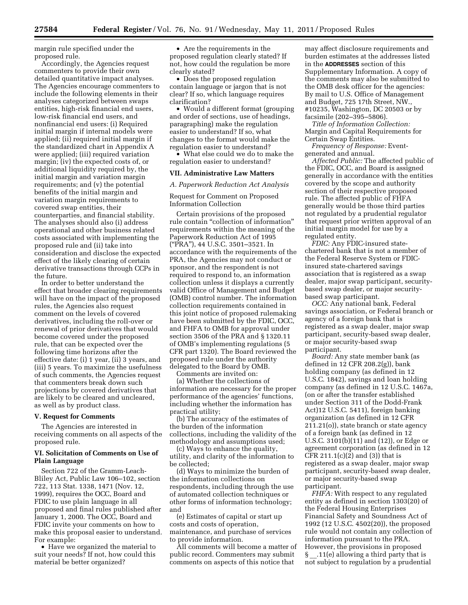margin rule specified under the proposed rule.

Accordingly, the Agencies request commenters to provide their own detailed quantitative impact analyses. The Agencies encourage commenters to include the following elements in their analyses categorized between swaps entities, high-risk financial end users, low-risk financial end users, and nonfinancial end users: (i) Required initial margin if internal models were applied; (ii) required initial margin if the standardized chart in Appendix A were applied; (iii) required variation margin; (iv) the expected costs of, or additional liquidity required by, the initial margin and variation margin requirements; and (v) the potential benefits of the initial margin and variation margin requirements to covered swap entities, their counterparties, and financial stability. The analyses should also (i) address operational and other business related costs associated with implementing the proposed rule and (ii) take into consideration and disclose the expected effect of the likely clearing of certain derivative transactions through CCPs in the future.

In order to better understand the effect that broader clearing requirements will have on the impact of the proposed rules, the Agencies also request comment on the levels of covered derivatives, including the roll-over or renewal of prior derivatives that would become covered under the proposed rule, that can be expected over the following time horizons after the effective date: (i) 1 year, (ii) 3 years, and (iii) 5 years. To maximize the usefulness of such comments, the Agencies request that commenters break down such projections by covered derivatives that are likely to be cleared and uncleared, as well as by product class.

#### **V. Request for Comments**

The Agencies are interested in receiving comments on all aspects of the proposed rule.

# **VI. Solicitation of Comments on Use of Plain Language**

Section 722 of the Gramm-Leach-Bliley Act, Public Law 106–102, section 722, 113 Stat. 1338, 1471 (Nov. 12, 1999), requires the OCC, Board and FDIC to use plain language in all proposed and final rules published after January 1, 2000. The OCC, Board and FDIC invite your comments on how to make this proposal easier to understand. For example:

• Have we organized the material to suit your needs? If not, how could this material be better organized?

• Are the requirements in the proposed regulation clearly stated? If not, how could the regulation be more clearly stated?

• Does the proposed regulation contain language or jargon that is not clear? If so, which language requires clarification?

• Would a different format (grouping and order of sections, use of headings, paragraphing) make the regulation easier to understand? If so, what changes to the format would make the regulation easier to understand?

• What else could we do to make the regulation easier to understand?

#### **VII. Administrative Law Matters**

#### *A. Paperwork Reduction Act Analysis*

# Request for Comment on Proposed Information Collection

Certain provisions of the proposed rule contain ''collection of information'' requirements within the meaning of the Paperwork Reduction Act of 1995 (''PRA''), 44 U.S.C. 3501–3521. In accordance with the requirements of the PRA, the Agencies may not conduct or sponsor, and the respondent is not required to respond to, an information collection unless it displays a currently valid Office of Management and Budget (OMB) control number. The information collection requirements contained in this joint notice of proposed rulemaking have been submitted by the FDIC, OCC, and FHFA to OMB for approval under section 3506 of the PRA and § 1320.11 of OMB's implementing regulations (5 CFR part 1320). The Board reviewed the proposed rule under the authority delegated to the Board by OMB.

Comments are invited on: (a) Whether the collections of

information are necessary for the proper performance of the agencies' functions, including whether the information has practical utility;

(b) The accuracy of the estimates of the burden of the information collections, including the validity of the methodology and assumptions used;

(c) Ways to enhance the quality, utility, and clarity of the information to be collected;

(d) Ways to minimize the burden of the information collections on respondents, including through the use of automated collection techniques or other forms of information technology; and

(e) Estimates of capital or start up costs and costs of operation, maintenance, and purchase of services to provide information.

All comments will become a matter of public record. Commenters may submit comments on aspects of this notice that

may affect disclosure requirements and burden estimates at the addresses listed in the **ADDRESSES** section of this Supplementary Information. A copy of the comments may also be submitted to the OMB desk officer for the agencies: By mail to U.S. Office of Management and Budget, 725 17th Street, NW., #10235, Washington, DC 20503 or by facsimile (202–395–5806).

*Title of Information Collection:*  Margin and Capital Requirements for Certain Swap Entities.

*Frequency of Response:* Eventgenerated and annual.

*Affected Public:* The affected public of the FDIC, OCC, and Board is assigned generally in accordance with the entities covered by the scope and authority section of their respective proposed rule. The affected public of FHFA generally would be those third parties not regulated by a prudential regulator that request prior written approval of an initial margin model for use by a regulated entity.

*FDIC:* Any FDIC-insured statechartered bank that is not a member of the Federal Reserve System or FDICinsured state-chartered savings association that is registered as a swap dealer, major swap participant, securitybased swap dealer, or major securitybased swap participant.

*OCC:* Any national bank, Federal savings association, or Federal branch or agency of a foreign bank that is registered as a swap dealer, major swap participant, security-based swap dealer, or major security-based swap participant.

*Board:* Any state member bank (as defined in 12 CFR 208.2(g)), bank holding company (as defined in 12 U.S.C. 1842), savings and loan holding company (as defined in 12 U.S.C. 1467a, (on or after the transfer established under Section 311 of the Dodd-Frank Act)12 U.S.C. 5411), foreign banking organization (as defined in 12 CFR 211.21(o)), state branch or state agency of a foreign bank (as defined in 12 U.S.C. 3101(b)(11) and (12)), or Edge or agreement corporation (as defined in 12 CFR 211.1(c)(2) and (3)) that is registered as a swap dealer, major swap participant, security-based swap dealer, or major security-based swap participant.

*FHFA:* With respect to any regulated entity as defined in section 1303(20) of the Federal Housing Enterprises Financial Safety and Soundness Act of 1992 (12 U.S.C. 4502(20)), the proposed rule would not contain any collection of information pursuant to the PRA. However, the provisions in proposed § .11(e) allowing a third party that is not subject to regulation by a prudential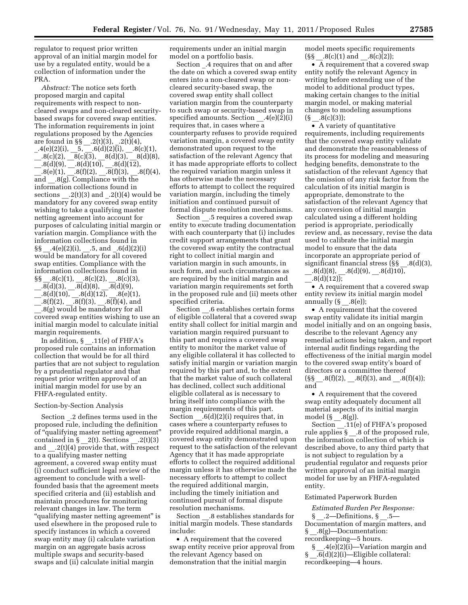regulator to request prior written approval of an initial margin model for use by a regulated entity, would be a collection of information under the PRA.

*Abstract:* The notice sets forth proposed margin and capital requirements with respect to noncleared swaps and non-cleared securitybased swaps for covered swap entities. The information requirements in joint regulations proposed by the Agencies are found in §§ \_\_.2(t)(3), \_.2(t)(4),  $.4(e)(2)(i), -5, -.6(d)(2)(i), -.8(c)(1),$  $.8(c)(2), 8(c)(3), 8(d)(3), 8(d)(8),$  $-.8(d)(9), -.8(d)(10), -.8(d)(12),$  $3(e)(1), 8(f)(2), 8(f)(3), 8(f)(4),$ and  $.8(g)$ . Compliance with the information collections found in sections  $.2(t)(3)$  and  $.2(t)(4)$  would be mandatory for any covered swap entity wishing to take a qualifying master netting agreement into account for purposes of calculating initial margin or variation margin. Compliance with the information collections found in  $\S$ § .4(e)(2)(i), .5, and .6(d)(2)(i) would be mandatory for all covered swap entities. Compliance with the information collections found in  $\S\$  \_\_.8(c)(1), \_\_.8(c)(2), \_\_.8(c)(3),  $.8(d)(3),$   $.8(d)(8),$   $.8(d)(9),$ 

 $.8(d)(10),$   $.8(d)(12),$   $.8(e)(1),$  $[0.8(f)(2), \underline{\hspace{1cm}}.8(f)(3), \underline{\hspace{1cm}}.8(f)(4), \text{and}$ \_\_.8(g) would be mandatory for all covered swap entities wishing to use an initial margin model to calculate initial margin requirements.

In addition,  $\S$  .11(e) of FHFA's proposed rule contains an information collection that would be for all third parties that are not subject to regulation by a prudential regulator and that request prior written approval of an initial margin model for use by an FHFA-regulated entity.

# Section-by-Section Analysis

Section \_.2 defines terms used in the proposed rule, including the definition of ''qualifying master netting agreement'' contained in  $\S_2(t)$ . Sections  $\_2(t)(3)$ and  $.2(t)(4)$  provide that, with respect to a qualifying master netting agreement, a covered swap entity must (i) conduct sufficient legal review of the agreement to conclude with a wellfounded basis that the agreement meets specified criteria and (ii) establish and maintain procedures for monitoring relevant changes in law. The term ''qualifying master netting agreement'' is used elsewhere in the proposed rule to specify instances in which a covered swap entity may (i) calculate variation margin on an aggregate basis across multiple swaps and security-based swaps and (ii) calculate initial margin

requirements under an initial margin model on a portfolio basis.

Section .4 requires that on and after the date on which a covered swap entity enters into a non-cleared swap or noncleared security-based swap, the covered swap entity shall collect variation margin from the counterparty to such swap or security-based swap in specified amounts. Section  $.4(e)(2)(i)$ requires that, in cases where a counterparty refuses to provide required variation margin, a covered swap entity demonstrated upon request to the satisfaction of the relevant Agency that it has made appropriate efforts to collect the required variation margin unless it has otherwise made the necessary efforts to attempt to collect the required variation margin, including the timely initiation and continued pursuit of formal dispute resolution mechanisms.

Section \_\_.5 requires a covered swap entity to execute trading documentation with each counterparty that (i) includes credit support arrangements that grant the covered swap entity the contractual right to collect initial margin and variation margin in such amounts, in such form, and such circumstances as are required by the initial margin and variation margin requirements set forth in the proposed rule and (ii) meets other specified criteria.

Section .6 establishes certain forms of eligible collateral that a covered swap entity shall collect for initial margin and variation margin required pursuant to this part and requires a covered swap entity to monitor the market value of any eligible collateral it has collected to satisfy initial margin or variation margin required by this part and, to the extent that the market value of such collateral has declined, collect such additional eligible collateral as is necessary to bring itself into compliance with the margin requirements of this part. Section  $.6(d)(2)(i)$  requires that, in cases where a counterparty refuses to provide required additional margin, a covered swap entity demonstrated upon request to the satisfaction of the relevant Agency that it has made appropriate efforts to collect the required additional margin unless it has otherwise made the necessary efforts to attempt to collect the required additional margin, including the timely initiation and continued pursuit of formal dispute resolution mechanisms.

Section .8 establishes standards for initial margin models. These standards include:

• A requirement that the covered swap entity receive prior approval from the relevant Agency based on demonstration that the initial margin

model meets specific requirements  $(S\ S - .8(c)(1) \text{ and } .8(c)(2));$ 

• A requirement that a covered swap entity notify the relevant Agency in writing before extending use of the model to additional product types, making certain changes to the initial margin model, or making material changes to modeling assumptions  $(S_8 = .8(c)(3));$ 

• A variety of quantitative requirements, including requirements that the covered swap entity validate and demonstrate the reasonableness of its process for modeling and measuring hedging benefits, demonstrate to the satisfaction of the relevant Agency that the omission of any risk factor from the calculation of its initial margin is appropriate, demonstrate to the satisfaction of the relevant Agency that any conversion of initial margin calculated using a different holding period is appropriate, periodically review and, as necessary, revise the data used to calibrate the initial margin model to ensure that the data incorporate an appropriate period of significant financial stress (§§ \_\_.8(d)(3),  $-.8(d)(8), -.8(d)(9), -.8(d)10,$  $-8(d)(12)$ ;

• A requirement that a covered swap entity review its initial margin model annually  $(S \t .8(e))$ ;

• A requirement that the covered swap entity validate its initial margin model initially and on an ongoing basis, describe to the relevant Agency any remedial actions being taken, and report internal audit findings regarding the effectiveness of the initial margin model to the covered swap entity's board of directors or a committee thereof  $(S\S - .8(f)(2), \quad .8(f)(3), \text{ and } \quad .8(f)(4));$ and

• A requirement that the covered swap entity adequately document all material aspects of its initial margin model  $(\S_8, 8(g))$ .

Section .11(e) of FHFA's proposed rule applies  $\S$  \_.8 of the proposed rule, the information collection of which is described above, to any third party that is not subject to regulation by a prudential regulator and requests prior written approval of an initial margin model for use by an FHFA-regulated entity.

#### Estimated Paperwork Burden

*Estimated Burden Per Response:* 

§ \_\_.2—Definitions, § \_\_.5— Documentation of margin matters, and § .8(g)—Documentation: recordkeeping—5 hours.

§  $.4(e)(2)(i)$ —Variation margin and  $\overline{\mathcal{E}}$  .6(d)(2)(i)—Eligible collateral: recordkeeping—4 hours.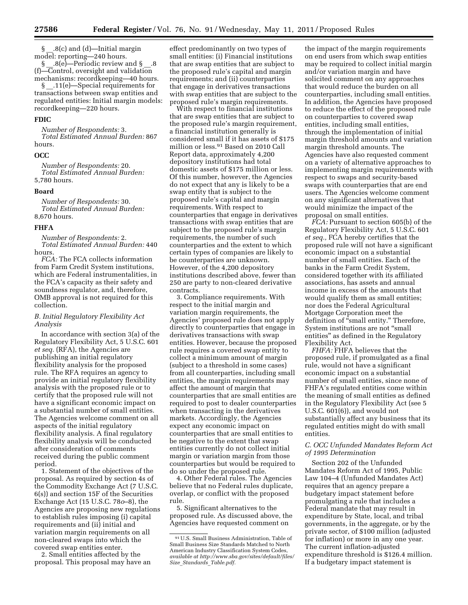§ .8(c) and (d)—Initial margin model: reporting—240 hours. § \_\_.8(e)—Periodic review and § \_\_.8

(f)—Control, oversight and validation mechanisms: recordkeeping—40 hours. § \_\_.11(e)—Special requirements for

transactions between swap entities and regulated entities: Initial margin models: recordkeeping—220 hours.

# **FDIC**

*Number of Respondents:* 3. *Total Estimated Annual Burden:* 867 hours.

# **OCC**

*Number of Respondents:* 20. *Total Estimated Annual Burden:*  5,780 hours.

#### **Board**

*Number of Respondents:* 30. *Total Estimated Annual Burden:*  8,670 hours.

#### **FHFA**

*Number of Respondents:* 2. *Total Estimated Annual Burden:* 440 hours.

*FCA:* The FCA collects information from Farm Credit System institutions, which are Federal instrumentalities, in the FCA's capacity as their safety and soundness regulator, and, therefore, OMB approval is not required for this collection.

# *B. Initial Regulatory Flexibility Act Analysis*

In accordance with section 3(a) of the Regulatory Flexibility Act, 5 U.S.C. 601 *et seq.* (RFA), the Agencies are publishing an initial regulatory flexibility analysis for the proposed rule. The RFA requires an agency to provide an initial regulatory flexibility analysis with the proposed rule or to certify that the proposed rule will not have a significant economic impact on a substantial number of small entities. The Agencies welcome comment on all aspects of the initial regulatory flexibility analysis. A final regulatory flexibility analysis will be conducted after consideration of comments received during the public comment period.

1. Statement of the objectives of the proposal. As required by section 4s of the Commodity Exchange Act (7 U.S.C. 6(s)) and section 15F of the Securities Exchange Act (15 U.S.C. 78*o*–8), the Agencies are proposing new regulations to establish rules imposing (i) capital requirements and (ii) initial and variation margin requirements on all non-cleared swaps into which the covered swap entities enter.

2. Small entities affected by the proposal. This proposal may have an

effect predominantly on two types of small entities: (i) Financial institutions that are swap entities that are subject to the proposed rule's capital and margin requirements; and (ii) counterparties that engage in derivatives transactions with swap entities that are subject to the proposed rule's margin requirements.

With respect to financial institutions that are swap entities that are subject to the proposed rule's margin requirement, a financial institution generally is considered small if it has assets of \$175 million or less.91 Based on 2010 Call Report data, approximately 4,200 depository institutions had total domestic assets of \$175 million or less. Of this number, however, the Agencies do not expect that any is likely to be a swap entity that is subject to the proposed rule's capital and margin requirements. With respect to counterparties that engage in derivatives transactions with swap entities that are subject to the proposed rule's margin requirements, the number of such counterparties and the extent to which certain types of companies are likely to be counterparties are unknown. However, of the 4,200 depository institutions described above, fewer than 250 are party to non-cleared derivative contracts.

3. Compliance requirements. With respect to the initial margin and variation margin requirements, the Agencies' proposed rule does not apply directly to counterparties that engage in derivatives transactions with swap entities. However, because the proposed rule requires a covered swap entity to collect a minimum amount of margin (subject to a threshold in some cases) from all counterparties, including small entities, the margin requirements may affect the amount of margin that counterparties that are small entities are required to post to dealer counterparties when transacting in the derivatives markets. Accordingly, the Agencies expect any economic impact on counterparties that are small entities to be negative to the extent that swap entities currently do not collect initial margin or variation margin from those counterparties but would be required to do so under the proposed rule.

4. Other Federal rules. The Agencies believe that no Federal rules duplicate, overlap, or conflict with the proposed rule.

5. Significant alternatives to the proposed rule. As discussed above, the Agencies have requested comment on

the impact of the margin requirements on end users from which swap entities may be required to collect initial margin and/or variation margin and have solicited comment on any approaches that would reduce the burden on all counterparties, including small entities. In addition, the Agencies have proposed to reduce the effect of the proposed rule on counterparties to covered swap entities, including small entities, through the implementation of initial margin threshold amounts and variation margin threshold amounts. The Agencies have also requested comment on a variety of alternative approaches to implementing margin requirements with respect to swaps and security-based swaps with counterparties that are end users. The Agencies welcome comment on any significant alternatives that would minimize the impact of the proposal on small entities.

*FCA:* Pursuant to section 605(b) of the Regulatory Flexibility Act, 5 U.S.C. 601 *et seq.,* FCA hereby certifies that the proposed rule will not have a significant economic impact on a substantial number of small entities. Each of the banks in the Farm Credit System, considered together with its affiliated associations, has assets and annual income in excess of the amounts that would qualify them as small entities; nor does the Federal Agricultural Mortgage Corporation meet the definition of "small entity." Therefore, System institutions are not ''small entities'' as defined in the Regulatory Flexibility Act.

*FHFA:* FHFA believes that the proposed rule, if promulgated as a final rule, would not have a significant economic impact on a substantial number of small entities, since none of FHFA's regulated entities come within the meaning of small entities as defined in the Regulatory Flexibility Act (see 5 U.S.C. 601(6)), and would not substantially affect any business that its regulated entities might do with small entities.

# *C. OCC Unfunded Mandates Reform Act of 1995 Determination*

Section 202 of the Unfunded Mandates Reform Act of 1995, Public Law 104–4 (Unfunded Mandates Act) requires that an agency prepare a budgetary impact statement before promulgating a rule that includes a Federal mandate that may result in expenditure by State, local, and tribal governments, in the aggregate, or by the private sector, of \$100 million (adjusted for inflation) or more in any one year. The current inflation-adjusted expenditure threshold is \$126.4 million. If a budgetary impact statement is

<sup>91</sup>U.S. Small Business Administration, Table of Small Business Size Standards Matched to North American Industry Classification System Codes, *available at [http://www.sba.gov/sites/default/files/](http://www.sba.gov/sites/default/files/Size_Standards_Table.pdf) Size*\_*[Standards](http://www.sba.gov/sites/default/files/Size_Standards_Table.pdf)*\_*Table.pdf.*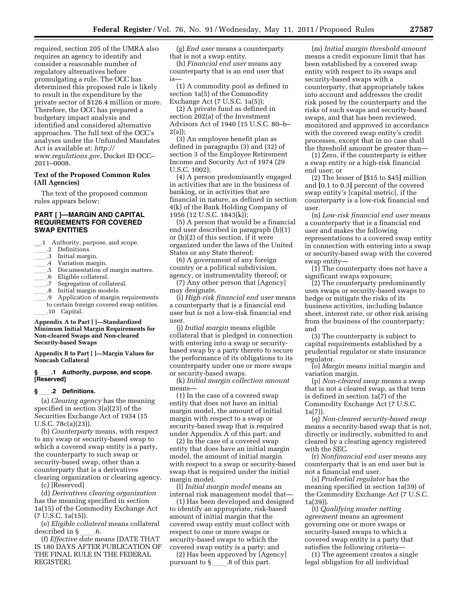required, section 205 of the UMRA also requires an agency to identify and consider a reasonable number of regulatory alternatives before promulgating a rule. The OCC has determined this proposed rule is likely to result in the expenditure by the private sector of \$126.4 million or more. Therefore, the OCC has prepared a budgetary impact analysis and identified and considered alternative approaches. The full text of the OCC's analyses under the Unfunded Mandates Act is available at: *[http://](http://www.regulations.gov)  [www.regulations.gov](http://www.regulations.gov)*, Docket ID OCC– 2011–0008.

# **Text of the Proposed Common Rules (All Agencies)**

The text of the proposed common rules appears below:

# **PART [ ]—MARGIN AND CAPITAL REQUIREMENTS FOR COVERED SWAP ENTITIES**

\_\_.1 Authority, purpose, and scope.

- 2 Definitions.<br>3 Initial margi
- ll.3 Initial margin.
- .4 Variation margin.
- .5 Documentation of margin matters.
- .6 Eligible collateral.
- .7 Segregation of collateral.
- .8 Initial margin models.
- .9 Application of margin requirements
- to certain foreign covered swap entities. .10 Capital.

#### **Appendix A to Part [ ]—Standardized Minimum Initial Margin Requirements for Non-cleared Swaps and Non-cleared Security-based Swaps**

**Appendix B to Part [ ]—Margin Values for Noncash Collateral** 

#### **§**ll**.1 Authority, purpose, and scope. [Reserved]**

# **§**ll**.2 Definitions.**

(a) *Clearing agency* has the meaning specified in section 3(a)(23) of the Securities Exchange Act of 1934 (15 U.S.C. 78c(a)(23)).

(b) *Counterparty* means, with respect to any swap or security-based swap to which a covered swap entity is a party, the counterparty to such swap or security-based swap, other than a counterparty that is a derivatives clearing organization or clearing agency.

(c) [Reserved]

(d) *Derivatives clearing organization*  has the meaning specified in section 1a(15) of the Commodity Exchange Act (7 U.S.C. 1a(15)).

(e) *Eligible collateral* means collateral

described in §ll.6. (f) *Effective date* means [DATE THAT IS 180 DAYS AFTER PUBLICATION OF THE FINAL RULE IN THE FEDERAL REGISTER].

(g) *End user* means a counterparty that is not a swap entity.

(h) *Financial end user* means any counterparty that is an end user that is—

(1) A commodity pool as defined in section 1a(5) of the Commodity Exchange Act (7 U.S.C. 1a(5));

(2) A private fund as defined in section 202(a) of the Investment Advisors Act of 1940 (15 U.S.C. 80–b– 2(a));

(3) An employee benefit plan as defined in paragraphs (3) and (32) of section 3 of the Employee Retirement Income and Security Act of 1974 (29 U.S.C. 1002);

(4) A person predominantly engaged in activities that are in the business of banking, or in activities that are financial in nature, as defined in section 4(k) of the Bank Holding Company of 1956 (12 U.S.C. 1843(k));

(5) A person that would be a financial end user described in paragraph (h)(1) or (h)(2) of this section, if it were organized under the laws of the United States or any State thereof;

(6) A government of any foreign country or a political subdivision, agency, or instrumentality thereof; or

(7) Any other person that [Agency] may designate.

(i) *High-risk financial end user* means a counterparty that is a financial end user but is not a low-risk financial end user.

(j) *Initial margin* means eligible collateral that is pledged in connection with entering into a swap or securitybased swap by a party thereto to secure the performance of its obligations to its counterparty under one or more swaps or security-based swaps.

(k) *Initial margin collection amount*  means—

(1) In the case of a covered swap entity that does not have an initial margin model, the amount of initial margin with respect to a swap or security-based swap that is required under Appendix A of this part; and

(2) In the case of a covered swap entity that does have an initial margin model, the amount of initial margin with respect to a swap or security-based swap that is required under the initial margin model.

(l) *Initial margin model* means an internal risk management model that—

(1) Has been developed and designed to identify an appropriate, risk-based amount of initial margin that the covered swap entity must collect with respect to one or more swaps or security-based swaps to which the covered swap entity is a party; and

(2) Has been approved by [Agency] pursuant to  $\S$  .8 of this part.

(m) *Initial margin threshold amount*  means a credit exposure limit that has been established by a covered swap entity with respect to its swaps and security-based swaps with a counterparty, that appropriately takes into account and addresses the credit risk posed by the counterparty and the risks of such swaps and security-based swaps, and that has been reviewed, monitored and approved in accordance with the covered swap entity's credit processes, except that in no case shall the threshold amount be greater than—

(1) Zero, if the counterparty is either a swap entity or a high-risk financial end user; or

(2) The lesser of **[**\$15 to \$45**]** million and **[**0.1 to 0.3**]** percent of the covered swap entity's [capital metric], if the counterparty is a low-risk financial end user.

(n) *Low-risk financial end user* means a counterparty that is a financial end user and makes the following representations to a covered swap entity in connection with entering into a swap or security-based swap with the covered swap entity—

(1) The counterparty does not have a significant swaps exposure;

(2) The counterparty predominantly uses swaps or security-based swaps to hedge or mitigate the risks of its business activities, including balance sheet, interest rate, or other risk arising from the business of the counterparty; and

(3) The counterparty is subject to capital requirements established by a prudential regulator or state insurance regulator.

(o) *Margin* means initial margin and variation margin.

(p) *Non-cleared swap* means a swap that is not a cleared swap, as that term is defined in section 1a(7) of the Commodity Exchange Act (7 U.S.C. 1a(7)).

(q) *Non-cleared security-based swap*  means a security-based swap that is not, directly or indirectly, submitted to and cleared by a clearing agency registered with the SEC.

(r) *Nonfinancial end user* means any counterparty that is an end user but is not a financial end user.

(s) *Prudential regulator* has the meaning specified in section 1a(39) of the Commodity Exchange Act (7 U.S.C. 1a(39)).

(t) *Qualifying master netting agreement* means an agreement governing one or more swaps or security-based swaps to which a covered swap entity is a party that satisfies the following criteria—

(1) The agreement creates a single legal obligation for all individual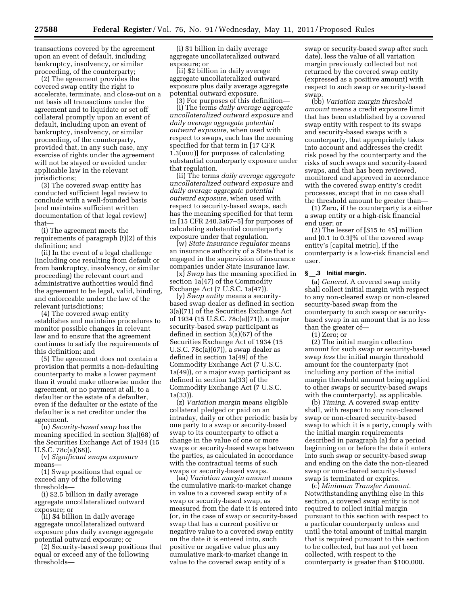transactions covered by the agreement upon an event of default, including bankruptcy, insolvency, or similar proceeding, of the counterparty;

(2) The agreement provides the covered swap entity the right to accelerate, terminate, and close-out on a net basis all transactions under the agreement and to liquidate or set off collateral promptly upon an event of default, including upon an event of bankruptcy, insolvency, or similar proceeding, of the counterparty, provided that, in any such case, any exercise of rights under the agreement will not be stayed or avoided under applicable law in the relevant jurisdictions;

(3) The covered swap entity has conducted sufficient legal review to conclude with a well-founded basis (and maintains sufficient written documentation of that legal review) that—

(i) The agreement meets the requirements of paragraph (t)(2) of this definition; and

(ii) In the event of a legal challenge (including one resulting from default or from bankruptcy, insolvency, or similar proceeding) the relevant court and administrative authorities would find the agreement to be legal, valid, binding, and enforceable under the law of the relevant jurisdictions;

(4) The covered swap entity establishes and maintains procedures to monitor possible changes in relevant law and to ensure that the agreement continues to satisfy the requirements of this definition; and

(5) The agreement does not contain a provision that permits a non-defaulting counterparty to make a lower payment than it would make otherwise under the agreement, or no payment at all, to a defaulter or the estate of a defaulter, even if the defaulter or the estate of the defaulter is a net creditor under the agreement.

(u) *Security-based swap* has the meaning specified in section 3(a)(68) of the Securities Exchange Act of 1934 (15 U.S.C. 78c(a)(68)).

(v) *Significant swaps exposure*  means—

(1) Swap positions that equal or exceed any of the following thresholds—

(i) \$2.5 billion in daily average aggregate uncollateralized outward exposure; or

(ii) \$4 billion in daily average aggregate uncollateralized outward exposure plus daily average aggregate potential outward exposure; or

(2) Security-based swap positions that equal or exceed any of the following thresholds—

(i) \$1 billion in daily average aggregate uncollateralized outward exposure; or

(ii) \$2 billion in daily average aggregate uncollateralized outward exposure plus daily average aggregate potential outward exposure.

(3) For purposes of this definition— (i) The terms *daily average aggregate uncollateralized outward exposure* and *daily average aggregate potential outward exposure,* when used with respect to swaps, each has the meaning specified for that term in **[**17 CFR 1.3(uuu)**]** for purposes of calculating substantial counterparty exposure under that regulation.

(ii) The terms *daily average aggregate uncollateralized outward exposure* and *daily average aggregate potential outward exposure,* when used with respect to security-based swaps, each has the meaning specified for that term in **[**15 CFR 240.3a67–5**]** for purposes of calculating substantial counterparty exposure under that regulation.

(w) *State insurance regulator* means an insurance authority of a State that is engaged in the supervision of insurance companies under State insurance law.

(x) *Swap* has the meaning specified in section 1a(47) of the Commodity Exchange Act (7 U.S.C. 1a(47)).

(y) *Swap entity* means a securitybased swap dealer as defined in section 3(a)(71) of the Securities Exchange Act of 1934 (15 U.S.C. 78c(a)(71)), a major security-based swap participant as defined in section 3(a)(67) of the Securities Exchange Act of 1934 (15 U.S.C. 78c(a)(67)), a swap dealer as defined in section 1a(49) of the Commodity Exchange Act (7 U.S.C. 1a(49)), or a major swap participant as defined in section 1a(33) of the Commodity Exchange Act (7 U.S.C. 1a(33)).

(z) *Variation margin* means eligible collateral pledged or paid on an intraday, daily or other periodic basis by one party to a swap or security-based swap to its counterparty to offset a change in the value of one or more swaps or security-based swaps between the parties, as calculated in accordance with the contractual terms of such swaps or security-based swaps.

(aa) *Variation margin amount* means the cumulative mark-to-market change in value to a covered swap entity of a swap or security-based swap, as measured from the date it is entered into (or, in the case of swap or security-based swap that has a current positive or negative value to a covered swap entity on the date it is entered into, such positive or negative value plus any cumulative mark-to-market change in value to the covered swap entity of a

swap or security-based swap after such date), less the value of all variation margin previously collected but not returned by the covered swap entity (expressed as a positive amount) with respect to such swap or security-based swap.

(bb) *Variation margin threshold amount* means a credit exposure limit that has been established by a covered swap entity with respect to its swaps and security-based swaps with a counterparty, that appropriately takes into account and addresses the credit risk posed by the counterparty and the risks of such swaps and security-based swaps, and that has been reviewed, monitored and approved in accordance with the covered swap entity's credit processes, except that in no case shall the threshold amount be greater than—

(1) Zero, if the counterparty is a either a swap entity or a high-risk financial end user; or

(2) The lesser of **[**\$15 to 45**]** million and **[**0.1 to 0.3**]**% of the covered swap entity's [capital metric], if the counterparty is a low-risk financial end user.

# **§** \_\_**.3 Initial margin.**

(a) *General.* A covered swap entity shall collect initial margin with respect to any non-cleared swap or non-cleared security-based swap from the counterparty to such swap or securitybased swap in an amount that is no less than the greater of—

(1) Zero; or

(2) The initial margin collection amount for such swap or security-based swap *less* the initial margin threshold amount for the counterparty (not including any portion of the initial margin threshold amount being applied to other swaps or security-based swaps with the counterparty), as applicable.

(b) *Timing.* A covered swap entity shall, with respect to any non-cleared swap or non-cleared security-based swap to which it is a party, comply with the initial margin requirements described in paragraph (a) for a period beginning on or before the date it enters into such swap or security-based swap and ending on the date the non-cleared swap or non-cleared security-based swap is terminated or expires.

(c) *Minimum Transfer Amount.*  Notwithstanding anything else in this section, a covered swap entity is not required to collect initial margin pursuant to this section with respect to a particular counterparty unless and until the total amount of initial margin that is required pursuant to this section to be collected, but has not yet been collected, with respect to the counterparty is greater than \$100,000.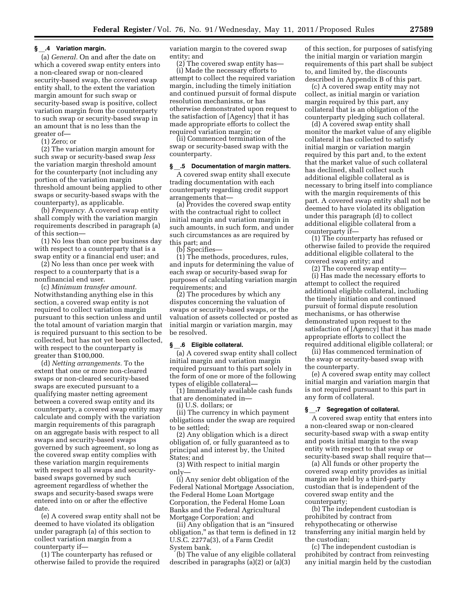#### **§** \_\_**.4 Variation margin.**

(a) *General.* On and after the date on which a covered swap entity enters into a non-cleared swap or non-cleared security-based swap, the covered swap entity shall, to the extent the variation margin amount for such swap or security-based swap is positive, collect variation margin from the counterparty to such swap or security-based swap in an amount that is no less than the greater of—

(1) Zero; or

(2) The variation margin amount for such swap or security-based swap *less*  the variation margin threshold amount for the counterparty (not including any portion of the variation margin threshold amount being applied to other swaps or security-based swaps with the counterparty), as applicable.

(b) *Frequency.* A covered swap entity shall comply with the variation margin requirements described in paragraph (a) of this section—

(1) No less than once per business day with respect to a counterparty that is a swap entity or a financial end user; and

(2) No less than once per week with respect to a counterparty that is a nonfinancial end user.

(c) *Minimum transfer amount.*  Notwithstanding anything else in this section, a covered swap entity is not required to collect variation margin pursuant to this section unless and until the total amount of variation margin that is required pursuant to this section to be collected, but has not yet been collected, with respect to the counterparty is greater than \$100,000.

(d) *Netting arrangements.* To the extent that one or more non-cleared swaps or non-cleared security-based swaps are executed pursuant to a qualifying master netting agreement between a covered swap entity and its counterparty, a covered swap entity may calculate and comply with the variation margin requirements of this paragraph on an aggregate basis with respect to all swaps and security-based swaps governed by such agreement, so long as the covered swap entity complies with these variation margin requirements with respect to all swaps and securitybased swaps governed by such agreement regardless of whether the swaps and security-based swaps were entered into on or after the effective date.

(e) A covered swap entity shall not be deemed to have violated its obligation under paragraph (a) of this section to collect variation margin from a counterparty if—

(1) The counterparty has refused or otherwise failed to provide the required variation margin to the covered swap entity; and

(2) The covered swap entity has— (i) Made the necessary efforts to attempt to collect the required variation margin, including the timely initiation and continued pursuit of formal dispute resolution mechanisms, or has otherwise demonstrated upon request to the satisfaction of [Agency] that it has made appropriate efforts to collect the required variation margin; or

(ii) Commenced termination of the swap or security-based swap with the counterparty.

#### **§** \_\_**.5 Documentation of margin matters.**

A covered swap entity shall execute trading documentation with each counterparty regarding credit support arrangements that—

(a) Provides the covered swap entity with the contractual right to collect initial margin and variation margin in such amounts, in such form, and under such circumstances as are required by this part; and

(b) Specifies—

(1) The methods, procedures, rules, and inputs for determining the value of each swap or security-based swap for purposes of calculating variation margin requirements; and

(2) The procedures by which any disputes concerning the valuation of swaps or security-based swaps, or the valuation of assets collected or posted as initial margin or variation margin, may be resolved.

# **§** \_\_**.6 Eligible collateral.**

(a) A covered swap entity shall collect initial margin and variation margin required pursuant to this part solely in the form of one or more of the following types of eligible collateral—

(1) Immediately available cash funds that are denominated in—

(i) U.S. dollars; or

(ii) The currency in which payment obligations under the swap are required to be settled;

(2) Any obligation which is a direct obligation of, or fully guaranteed as to principal and interest by, the United States; and

(3) With respect to initial margin only—

(i) Any senior debt obligation of the Federal National Mortgage Association, the Federal Home Loan Mortgage Corporation, the Federal Home Loan Banks and the Federal Agricultural Mortgage Corporation; and

(ii) Any obligation that is an ''insured obligation," as that term is defined in 12 U.S.C. 2277a(3), of a Farm Credit System bank.

(b) The value of any eligible collateral described in paragraphs (a)(2) or (a)(3)

of this section, for purposes of satisfying the initial margin or variation margin requirements of this part shall be subject to, and limited by, the discounts described in Appendix B of this part.

(c) A covered swap entity may not collect, as initial margin or variation margin required by this part, any collateral that is an obligation of the counterparty pledging such collateral.

(d) A covered swap entity shall monitor the market value of any eligible collateral it has collected to satisfy initial margin or variation margin required by this part and, to the extent that the market value of such collateral has declined, shall collect such additional eligible collateral as is necessary to bring itself into compliance with the margin requirements of this part. A covered swap entity shall not be deemed to have violated its obligation under this paragraph (d) to collect additional eligible collateral from a counterparty if—

(1) The counterparty has refused or otherwise failed to provide the required additional eligible collateral to the covered swap entity; and

(2) The covered swap entity— (i) Has made the necessary efforts to attempt to collect the required additional eligible collateral, including the timely initiation and continued pursuit of formal dispute resolution mechanisms, or has otherwise demonstrated upon request to the satisfaction of [Agency] that it has made appropriate efforts to collect the required additional eligible collateral; or

(ii) Has commenced termination of the swap or security-based swap with the counterparty.

(e) A covered swap entity may collect initial margin and variation margin that is not required pursuant to this part in any form of collateral.

# **§** \_\_**.7 Segregation of collateral.**

A covered swap entity that enters into a non-cleared swap or non-cleared security-based swap with a swap entity and posts initial margin to the swap entity with respect to that swap or security-based swap shall require that—

(a) All funds or other property the covered swap entity provides as initial margin are held by a third-party custodian that is independent of the covered swap entity and the counterparty;

(b) The independent custodian is prohibited by contract from rehypothecating or otherwise transferring any initial margin held by the custodian;

(c) The independent custodian is prohibited by contract from reinvesting any initial margin held by the custodian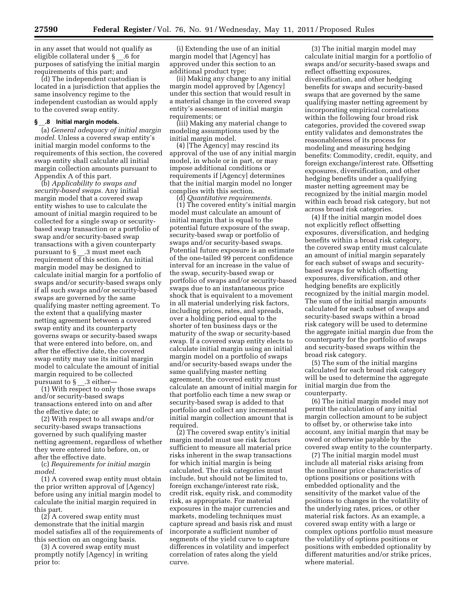in any asset that would not qualify as eligible collateral under § \_\_.6 for purposes of satisfying the initial margin requirements of this part; and

(d) The independent custodian is located in a jurisdiction that applies the same insolvency regime to the independent custodian as would apply to the covered swap entity.

# **§** \_\_**.8 Initial margin models.**

(a) *General adequacy of initial margin model.* Unless a covered swap entity's initial margin model conforms to the requirements of this section, the covered swap entity shall calculate all initial margin collection amounts pursuant to Appendix A of this part.

(b) *Applicability to swaps and security-based swaps.* Any initial margin model that a covered swap entity wishes to use to calculate the amount of initial margin required to be collected for a single swap or securitybased swap transaction or a portfolio of swap and/or security-based swap transactions with a given counterparty pursuant to § .3 must meet each requirement of this section. An initial margin model may be designed to calculate initial margin for a portfolio of swaps and/or security-based swaps only if all such swaps and/or security-based swaps are governed by the same qualifying master netting agreement. To the extent that a qualifying master netting agreement between a covered swap entity and its counterparty governs swaps or security-based swaps that were entered into before, on, and after the effective date, the covered swap entity may use its initial margin model to calculate the amount of initial margin required to be collected pursuant to § .3 either-

(1) With respect to only those swaps and/or security-based swaps transactions entered into on and after the effective date; or

(2) With respect to all swaps and/or security-based swaps transactions governed by such qualifying master netting agreement, regardless of whether they were entered into before, on, or after the effective date.

(c) *Requirements for initial margin model.* 

(1) A covered swap entity must obtain the prior written approval of [Agency] before using any initial margin model to calculate the initial margin required in this part.

(2) A covered swap entity must demonstrate that the initial margin model satisfies all of the requirements of this section on an ongoing basis.

(3) A covered swap entity must promptly notify [Agency] in writing prior to:

(i) Extending the use of an initial margin model that [Agency] has approved under this section to an additional product type;

(ii) Making any change to any initial margin model approved by [Agency] under this section that would result in a material change in the covered swap entity's assessment of initial margin requirements; or

(iii) Making any material change to modeling assumptions used by the initial margin model.

(4) [The Agency] may rescind its approval of the use of any initial margin model, in whole or in part, or may impose additional conditions or requirements if [Agency] determines that the initial margin model no longer complies with this section.

(d) *Quantitative requirements.*  (1) The covered entity's initial margin model must calculate an amount of initial margin that is equal to the potential future exposure of the swap, security-based swap or portfolio of swaps and/or security-based swaps. Potential future exposure is an estimate of the one-tailed 99 percent confidence interval for an increase in the value of the swap, security-based swap or portfolio of swaps and/or security-based swaps due to an instantaneous price shock that is equivalent to a movement in all material underlying risk factors, including prices, rates, and spreads, over a holding period equal to the shorter of ten business days or the maturity of the swap or security-based swap. If a covered swap entity elects to calculate initial margin using an initial margin model on a portfolio of swaps and/or security-based swaps under the same qualifying master netting agreement, the covered entity must calculate an amount of initial margin for that portfolio each time a new swap or security-based swap is added to that portfolio and collect any incremental initial margin collection amount that is required.

(2) The covered swap entity's initial margin model must use risk factors sufficient to measure all material price risks inherent in the swap transactions for which initial margin is being calculated. The risk categories must include, but should not be limited to, foreign exchange/interest rate risk, credit risk, equity risk, and commodity risk, as appropriate. For material exposures in the major currencies and markets, modeling techniques must capture spread and basis risk and must incorporate a sufficient number of segments of the yield curve to capture differences in volatility and imperfect correlation of rates along the yield curve.

(3) The initial margin model may calculate initial margin for a portfolio of swaps and/or security-based swaps and reflect offsetting exposures, diversification, and other hedging benefits for swaps and security-based swaps that are governed by the same qualifying master netting agreement by incorporating empirical correlations within the following four broad risk categories, provided the covered swap entity validates and demonstrates the reasonableness of its process for modeling and measuring hedging benefits: Commodity, credit, equity, and foreign exchange/interest rate. Offsetting exposures, diversification, and other hedging benefits under a qualifying master netting agreement may be recognized by the initial margin model within each broad risk category, but not across broad risk categories.

(4) If the initial margin model does not explicitly reflect offsetting exposures, diversification, and hedging benefits within a broad risk category, the covered swap entity must calculate an amount of initial margin separately for each subset of swaps and securitybased swaps for which offsetting exposures, diversification, and other hedging benefits are explicitly recognized by the initial margin model. The sum of the initial margin amounts calculated for each subset of swaps and security-based swaps within a broad risk category will be used to determine the aggregate initial margin due from the counterparty for the portfolio of swaps and security-based swaps within the broad risk category.

(5) The sum of the initial margins calculated for each broad risk category will be used to determine the aggregate initial margin due from the counterparty.

(6) The initial margin model may not permit the calculation of any initial margin collection amount to be subject to offset by, or otherwise take into account, any initial margin that may be owed or otherwise payable by the covered swap entity to the counterparty.

(7) The initial margin model must include all material risks arising from the nonlinear price characteristics of options positions or positions with embedded optionality and the sensitivity of the market value of the positions to changes in the volatility of the underlying rates, prices, or other material risk factors. As an example, a covered swap entity with a large or complex options portfolio must measure the volatility of options positions or positions with embedded optionality by different maturities and/or strike prices, where material.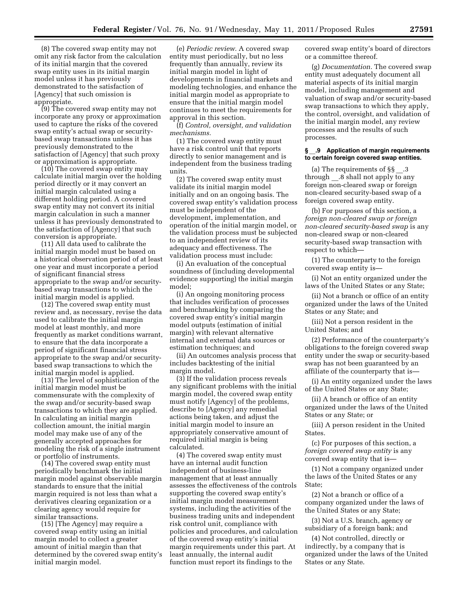(8) The covered swap entity may not omit any risk factor from the calculation of its initial margin that the covered swap entity uses in its initial margin model unless it has previously demonstrated to the satisfaction of [Agency] that such omission is appropriate.

(9) The covered swap entity may not incorporate any proxy or approximation used to capture the risks of the covered swap entity's actual swap or securitybased swap transactions unless it has previously demonstrated to the satisfaction of [Agency] that such proxy or approximation is appropriate.

(10) The covered swap entity may calculate initial margin over the holding period directly or it may convert an initial margin calculated using a different holding period. A covered swap entity may not convert its initial margin calculation in such a manner unless it has previously demonstrated to the satisfaction of [Agency] that such conversion is appropriate.

(11) All data used to calibrate the initial margin model must be based on a historical observation period of at least one year and must incorporate a period of significant financial stress appropriate to the swap and/or securitybased swap transactions to which the initial margin model is applied.

(12) The covered swap entity must review and, as necessary, revise the data used to calibrate the initial margin model at least monthly, and more frequently as market conditions warrant, to ensure that the data incorporate a period of significant financial stress appropriate to the swap and/or securitybased swap transactions to which the initial margin model is applied.

(13) The level of sophistication of the initial margin model must be commensurate with the complexity of the swap and/or security-based swap transactions to which they are applied. In calculating an initial margin collection amount, the initial margin model may make use of any of the generally accepted approaches for modeling the risk of a single instrument or portfolio of instruments.

(14) The covered swap entity must periodically benchmark the initial margin model against observable margin standards to ensure that the initial margin required is not less than what a derivatives clearing organization or a clearing agency would require for similar transactions.

(15) [The Agency] may require a covered swap entity using an initial margin model to collect a greater amount of initial margin than that determined by the covered swap entity's initial margin model.

(e) *Periodic review.* A covered swap entity must periodically, but no less frequently than annually, review its initial margin model in light of developments in financial markets and modeling technologies, and enhance the initial margin model as appropriate to ensure that the initial margin model continues to meet the requirements for approval in this section.

(f) *Control, oversight, and validation mechanisms.* 

(1) The covered swap entity must have a risk control unit that reports directly to senior management and is independent from the business trading units.

(2) The covered swap entity must validate its initial margin model initially and on an ongoing basis. The covered swap entity's validation process must be independent of the development, implementation, and operation of the initial margin model, or the validation process must be subjected to an independent review of its adequacy and effectiveness. The validation process must include:

(i) An evaluation of the conceptual soundness of (including developmental evidence supporting) the initial margin model;

(i) An ongoing monitoring process that includes verification of processes and benchmarking by comparing the covered swap entity's initial margin model outputs (estimation of initial margin) with relevant alternative internal and external data sources or estimation techniques; and

(ii) An outcomes analysis process that includes backtesting of the initial margin model.

(3) If the validation process reveals any significant problems with the initial margin model, the covered swap entity must notify [Agency] of the problems, describe to [Agency] any remedial actions being taken, and adjust the initial margin model to insure an appropriately conservative amount of required initial margin is being calculated.

(4) The covered swap entity must have an internal audit function independent of business-line management that at least annually assesses the effectiveness of the controls supporting the covered swap entity's initial margin model measurement systems, including the activities of the business trading units and independent risk control unit, compliance with policies and procedures, and calculation of the covered swap entity's initial margin requirements under this part. At least annually, the internal audit function must report its findings to the

covered swap entity's board of directors or a committee thereof.

(g) *Documentation.* The covered swap entity must adequately document all material aspects of its initial margin model, including management and valuation of swap and/or security-based swap transactions to which they apply, the control, oversight, and validation of the initial margin model, any review processes and the results of such processes.

#### **§** \_\_**.9 Application of margin requirements to certain foreign covered swap entities.**

(a) The requirements of  $\S$ § .3 through .8 shall not apply to any foreign non-cleared swap or foreign non-cleared security-based swap of a foreign covered swap entity.

(b) For purposes of this section, a *foreign non-cleared swap or foreign non-cleared security-based swap* is any non-cleared swap or non-cleared security-based swap transaction with respect to which—

(1) The counterparty to the foreign covered swap entity is—

(i) Not an entity organized under the laws of the United States or any State;

(ii) Not a branch or office of an entity organized under the laws of the United States or any State; and

(iii) Not a person resident in the United States; and

(2) Performance of the counterparty's obligations to the foreign covered swap entity under the swap or security-based swap has not been guaranteed by an affiliate of the counterparty that is—

(i) An entity organized under the laws of the United States or any State;

(ii) A branch or office of an entity organized under the laws of the United States or any State; or

(iii) A person resident in the United States.

(c) For purposes of this section, a *foreign covered swap entity* is any covered swap entity that is—

(1) Not a company organized under the laws of the United States or any State;

(2) Not a branch or office of a company organized under the laws of the United States or any State;

(3) Not a U.S. branch, agency or subsidiary of a foreign bank; and

(4) Not controlled, directly or indirectly, by a company that is organized under the laws of the United States or any State.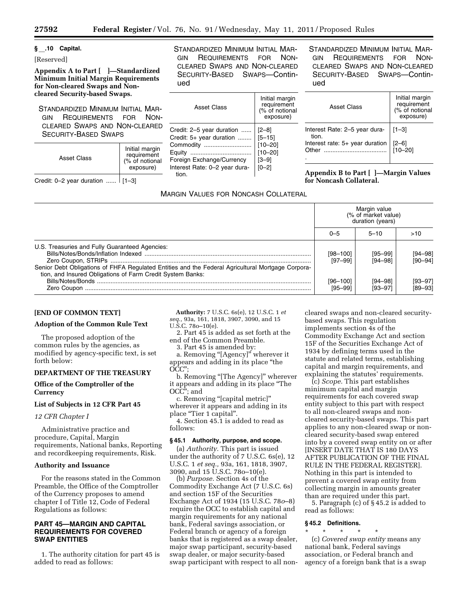# **§** \_\_**.10 Capital.**

# [Reserved]

**Appendix A to Part [ ]—Standardized Minimum Initial Margin Requirements for Non-cleared Swaps and Noncleared Security-based Swaps.** 

STANDARDIZED MINIMUM INITIAL MAR-GIN REQUIREMENTS FOR NON-CLEARED SWAPS AND NON-CLEARED SECURITY-BASED SWAPS

| Asset Class                          | Initial margin<br>requirement<br>(% of notional<br>exposure) |  |
|--------------------------------------|--------------------------------------------------------------|--|
| Credit: $0-2$ year duration    [1-3] |                                                              |  |

STANDARDIZED MINIMUM INITIAL MAR-GIN REQUIREMENTS FOR NON-CLEARED SWAPS AND NON-CLEARED SECURITY-BASED SWAPS—Continued

Asset Class Initial margin requirement (% of notional exposure) Credit: 2–5 year duration ...... [2–8] Credit:  $5+$  year duration ........  $\mid$   $[5-15]$ Commodity ............................ [10–20] Equity .................................... [10–20] Foreign Exchange/Currency | [3-9] Interest Rate: 0–2 year duration.  $[0 - 2]$ 

# MARGIN VALUES FOR NONCASH COLLATERAL

STANDARDIZED MINIMUM INITIAL MAR-GIN REQUIREMENTS FOR NON-CLEARED SWAPS AND NON-CLEARED SECURITY-BASED SWAPS—Continued

| <b>Asset Class</b>                             | Initial margin<br>requirement<br>(% of notional<br>exposure) |  |
|------------------------------------------------|--------------------------------------------------------------|--|
| Interest Rate: 2-5 year dura-   [1-3]<br>tion. |                                                              |  |
| Interest rate: $5+$ year duration  <br>Other   | [2–6]<br>[10–20]                                             |  |
|                                                |                                                              |  |

**Appendix B to Part [ ]—Margin Values for Noncash Collateral.** 

|                                                                                                                                                                                                                   | Margin value<br>(% of market value)<br>duration (years) |                        |                            |
|-------------------------------------------------------------------------------------------------------------------------------------------------------------------------------------------------------------------|---------------------------------------------------------|------------------------|----------------------------|
|                                                                                                                                                                                                                   | $()$ –5                                                 | $5 - 10$               | >10                        |
| U.S. Treasuries and Fully Guaranteed Agencies:<br>Senior Debt Obligations of FHFA Regulated Entities and the Federal Agricultural Mortgage Corpora-<br>tion, and Insured Obligations of Farm Credit System Banks: | $[98 - 100]$<br>$[97 - 99]$                             | [95–99]<br>$[94 - 98]$ | $[94 - 98]$<br>$[90 - 94]$ |
|                                                                                                                                                                                                                   | [96–100]<br>$[95 - 99]$                                 | [94–98]<br>[93–97]     | $[93 - 97]$<br>$[89 - 93]$ |

# **[END OF COMMON TEXT]**

# **Adoption of the Common Rule Text**

The proposed adoption of the common rules by the agencies, as modified by agency-specific text, is set forth below:

# **DEPARTMENT OF THE TREASURY**

**Office of the Comptroller of the Currency** 

# **List of Subjects in 12 CFR Part 45**

# *12 CFR Chapter I*

Administrative practice and procedure, Capital, Margin requirements, National banks, Reporting and recordkeeping requirements, Risk.

#### **Authority and Issuance**

For the reasons stated in the Common Preamble, the Office of the Comptroller of the Currency proposes to amend chapter I of Title 12, Code of Federal Regulations as follows:

# **PART 45—MARGIN AND CAPITAL REQUIREMENTS FOR COVERED SWAP ENTITIES**

1. The authority citation for part 45 is added to read as follows:

**Authority:** 7 U.S.C. 6s(e), 12 U.S.C. 1 *et seq.,* 93a, 161, 1818, 3907, 3090, and 15 U.S.C. 78o–10(e).

2. Part 45 is added as set forth at the end of the Common Preamble.

3. Part 45 is amended by:

a. Removing ''[Agency]'' wherever it appears and adding in its place ''the OCC'';

b. Removing "[The Agency]" wherever it appears and adding in its place ''The OCC''; and

c. Removing ''[capital metric]'' wherever it appears and adding in its place "Tier 1 capital".

4. Section 45.1 is added to read as follows:

#### **§ 45.1 Authority, purpose, and scope.**

(a) *Authority.* This part is issued under the authority of 7 U.S.C. 6s(e), 12 U.S.C. 1 *et seq.,* 93a, 161, 1818, 3907, 3090, and 15 U.S.C. 78o–10(e).

(b) *Purpose.* Section 4s of the Commodity Exchange Act (7 U.S.C. 6s) and section 15F of the Securities Exchange Act of 1934 (15 U.S.C. 78*o*–8) require the OCC to establish capital and margin requirements for any national bank, Federal savings association, or Federal branch or agency of a foreign banks that is registered as a swap dealer, major swap participant, security-based swap dealer, or major security-based swap participant with respect to all noncleared swaps and non-cleared securitybased swaps. This regulation implements section 4s of the Commodity Exchange Act and section 15F of the Securities Exchange Act of 1934 by defining terms used in the statute and related terms, establishing capital and margin requirements, and explaining the statutes' requirements.

(c) *Scope.* This part establishes minimum capital and margin requirements for each covered swap entity subject to this part with respect to all non-cleared swaps and noncleared security-based swaps. This part applies to any non-cleared swap or noncleared security-based swap entered into by a covered swap entity on or after [INSERT DATE THAT IS 180 DAYS AFTER PUBLICATION OF THE FINAL RULE IN THE FEDERAL REGISTER]. Nothing in this part is intended to prevent a covered swap entity from collecting margin in amounts greater than are required under this part.

5. Paragraph (c) of § 45.2 is added to read as follows:

#### **§ 45.2 Definitions.**

\* \* \* \* \*

(c) *Covered swap entity* means any national bank, Federal savings association, or Federal branch and agency of a foreign bank that is a swap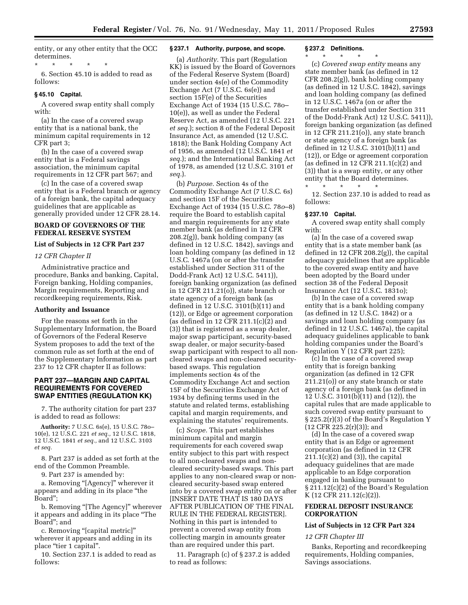entity, or any other entity that the OCC determines.

\* \* \* \* \* 6. Section 45.10 is added to read as follows:

#### **§ 45.10 Capital.**

A covered swap entity shall comply with:

(a) In the case of a covered swap entity that is a national bank, the minimum capital requirements in 12 CFR part 3;

(b) In the case of a covered swap entity that is a Federal savings association, the minimum capital requirements in 12 CFR part 567; and

(c) In the case of a covered swap entity that is a Federal branch or agency of a foreign bank, the capital adequacy guidelines that are applicable as generally provided under 12 CFR 28.14.

### **BOARD OF GOVERNORS OF THE FEDERAL RESERVE SYSTEM**

#### **List of Subjects in 12 CFR Part 237**

#### *12 CFR Chapter II*

Administrative practice and procedure, Banks and banking, Capital, Foreign banking, Holding companies, Margin requirements, Reporting and recordkeeping requirements, Risk.

#### **Authority and Issuance**

For the reasons set forth in the Supplementary Information, the Board of Governors of the Federal Reserve System proposes to add the text of the common rule as set forth at the end of the Supplementary Information as part 237 to 12 CFR chapter II as follows:

#### **PART 237—MARGIN AND CAPITAL REQUIREMENTS FOR COVERED SWAP ENTITIES (REGULATION KK)**

7. The authority citation for part 237 is added to read as follows:

**Authority:** 7 U.S.C. 6s(e), 15 U.S.C. 78o– 10(e), 12 U.S.C. 221 *et seq.,* 12 U.S.C. 1818, 12 U.S.C. 1841 *et seq.,* and 12 U.S.C. 3103 *et seq.* 

8. Part 237 is added as set forth at the end of the Common Preamble.

9. Part 237 is amended by:

a. Removing "[Agency]" wherever it appears and adding in its place ''the Board'';

b. Removing "[The Agency]" wherever it appears and adding in its place ''The Board''; and

c. Removing ''[capital metric]'' wherever it appears and adding in its place "tier 1 capital".

10. Section 237.1 is added to read as follows:

# **§ 237.1 Authority, purpose, and scope.**

(a) *Authority.* This part (Regulation KK) is issued by the Board of Governors of the Federal Reserve System (Board) under section 4s(e) of the Commodity Exchange Act (7 U.S.C. 6s(e)) and section 15F(e) of the Securities Exchange Act of 1934 (15 U.S.C. 78o– 10(e)), as well as under the Federal Reserve Act, as amended (12 U.S.C. 221 *et seq.*); section 8 of the Federal Deposit Insurance Act, as amended (12 U.S.C. 1818); the Bank Holding Company Act of 1956, as amended (12 U.S.C. 1841 *et seq.*); and the International Banking Act of 1978, as amended (12 U.S.C. 3101 *et seq.*).

(b) *Purpose.* Section 4s of the Commodity Exchange Act (7 U.S.C. 6s) and section 15F of the Securities Exchange Act of 1934 (15 U.S.C. 78*o*–8) require the Board to establish capital and margin requirements for any state member bank (as defined in 12 CFR 208.2(g)), bank holding company (as defined in 12 U.S.C. 1842), savings and loan holding company (as defined in 12 U.S.C. 1467a (on or after the transfer established under Section 311 of the Dodd-Frank Act) 12 U.S.C. 5411)), foreign banking organization (as defined in 12 CFR 211.21(o)), state branch or state agency of a foreign bank (as defined in 12 U.S.C. 3101(b)(11) and (12)), or Edge or agreement corporation (as defined in 12 CFR 211.1(c)(2) and (3)) that is registered as a swap dealer, major swap participant, security-based swap dealer, or major security-based swap participant with respect to all noncleared swaps and non-cleared securitybased swaps. This regulation implements section 4s of the Commodity Exchange Act and section 15F of the Securities Exchange Act of 1934 by defining terms used in the statute and related terms, establishing capital and margin requirements, and explaining the statutes' requirements.

(c) *Scope.* This part establishes minimum capital and margin requirements for each covered swap entity subject to this part with respect to all non-cleared swaps and noncleared security-based swaps. This part applies to any non-cleared swap or noncleared security-based swap entered into by a covered swap entity on or after [INSERT DATE THAT IS 180 DAYS AFTER PUBLICATION OF THE FINAL RULE IN THE FEDERAL REGISTER]. Nothing in this part is intended to prevent a covered swap entity from collecting margin in amounts greater than are required under this part.

11. Paragraph (c) of § 237.2 is added to read as follows:

#### **§ 237.2 Definitions.**

\* \* \* \* \*

(c) *Covered swap entity* means any state member bank (as defined in 12 CFR 208.2(g)), bank holding company (as defined in 12 U.S.C. 1842), savings and loan holding company (as defined in 12 U.S.C. 1467a (on or after the transfer established under Section 311 of the Dodd-Frank Act) 12 U.S.C. 5411)), foreign banking organization (as defined in 12 CFR 211.21(o)), any state branch or state agency of a foreign bank (as defined in 12 U.S.C. 3101(b)(11) and (12)), or Edge or agreement corporation (as defined in 12 CFR 211.1 $(c)(2)$  and (3)) that is a swap entity, or any other entity that the Board determines.

\* \* \* \* \* 12. Section 237.10 is added to read as follows:

#### **§ 237.10 Capital.**

A covered swap entity shall comply with:

(a) In the case of a covered swap entity that is a state member bank (as defined in 12 CFR 208.2(g)), the capital adequacy guidelines that are applicable to the covered swap entity and have been adopted by the Board under section 38 of the Federal Deposit Insurance Act (12 U.S.C. 1831o);

(b) In the case of a covered swap entity that is a bank holding company (as defined in 12 U.S.C. 1842) or a savings and loan holding company (as defined in 12 U.S.C. 1467a), the capital adequacy guidelines applicable to bank holding companies under the Board's Regulation Y (12 CFR part 225);

(c) In the case of a covered swap entity that is foreign banking organization (as defined in 12 CFR 211.21(o)) or any state branch or state agency of a foreign bank (as defined in 12 U.S.C. 3101(b)(11) and (12)), the capital rules that are made applicable to such covered swap entity pursuant to § 225.2(r)(3) of the Board's Regulation Y  $(12$  CFR 225.2(r)(3)); and

(d) In the case of a covered swap entity that is an Edge or agreement corporation (as defined in 12 CFR  $211.1(c)(2)$  and  $(3)$ , the capital adequacy guidelines that are made applicable to an Edge corporation engaged in banking pursuant to § 211.12(c)(2) of the Board's Regulation K (12 CFR 211.12(c)(2)).

# **FEDERAL DEPOSIT INSURANCE CORPORATION**

#### **List of Subjects in 12 CFR Part 324**

# *12 CFR Chapter III*

Banks, Reporting and recordkeeping requirements, Holding companies, Savings associations.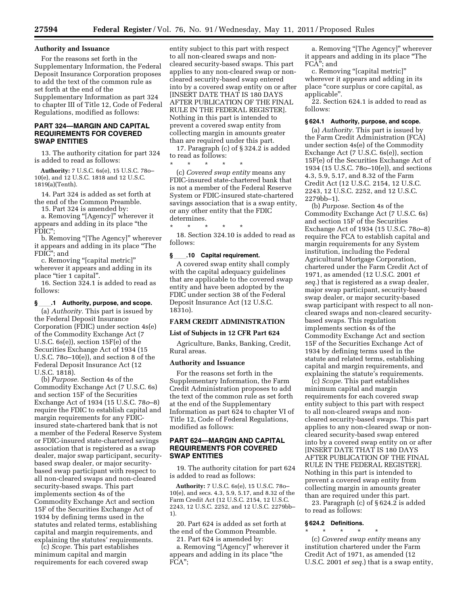#### **Authority and Issuance**

For the reasons set forth in the Supplementary Information, the Federal Deposit Insurance Corporation proposes to add the text of the common rule as set forth at the end of the Supplementary Information as part 324 to chapter III of Title 12, Code of Federal Regulations, modified as follows:

# **PART 324—MARGIN AND CAPITAL REQUIREMENTS FOR COVERED SWAP ENTITIES**

13. The authority citation for part 324 is added to read as follows:

**Authority:** 7 U.S.C. 6s(e), 15 U.S.C. 78o– 10(e), and 12 U.S.C. 1818 and 12 U.S.C. 1819(a)(Tenth).

14. Part 324 is added as set forth at the end of the Common Preamble. 15. Part 324 is amended by:

a. Removing "[Agency]" wherever it appears and adding in its place ''the FDIC'';

b. Removing "[The Agency]" wherever it appears and adding in its place ''The FDIC''; and

c. Removing ''[capital metric]'' wherever it appears and adding in its place "tier 1 capital".

16. Section 324.1 is added to read as follows:

**§**ll**.1 Authority, purpose, and scope.**  (a) *Authority.* This part is issued by the Federal Deposit Insurance Corporation (FDIC) under section 4s(e) of the Commodity Exchange Act (7 U.S.C. 6s(e)), section 15F(e) of the Securities Exchange Act of 1934 (15 U.S.C. 78o–10(e)), and section 8 of the Federal Deposit Insurance Act (12 U.S.C. 1818).

(b) *Purpose.* Section 4s of the Commodity Exchange Act (7 U.S.C. 6s) and section 15F of the Securities Exchange Act of 1934 (15 U.S.C. 78*o*–8) require the FDIC to establish capital and margin requirements for any FDICinsured state-chartered bank that is not a member of the Federal Reserve System or FDIC-insured state-chartered savings association that is registered as a swap dealer, major swap participant, securitybased swap dealer, or major securitybased swap participant with respect to all non-cleared swaps and non-cleared security-based swaps. This part implements section 4s of the Commodity Exchange Act and section 15F of the Securities Exchange Act of 1934 by defining terms used in the statutes and related terms, establishing capital and margin requirements, and explaining the statutes' requirements.

(c) *Scope.* This part establishes minimum capital and margin requirements for each covered swap

entity subject to this part with respect to all non-cleared swaps and noncleared security-based swaps. This part applies to any non-cleared swap or noncleared security-based swap entered into by a covered swap entity on or after [INSERT DATE THAT IS 180 DAYS AFTER PUBLICATION OF THE FINAL RULE IN THE FEDERAL REGISTER]. Nothing in this part is intended to prevent a covered swap entity from collecting margin in amounts greater than are required under this part.

17. Paragraph (c) of § 324.2 is added to read as follows:

\* \* \* \* \* (c) *Covered swap entity* means any FDIC-insured state-chartered bank that is not a member of the Federal Reserve System or FDIC-insured state-chartered

savings association that is a swap entity, or any other entity that the FDIC determines.

\* \* \* \* \* 18. Section 324.10 is added to read as follows:

#### **§**ll**.10 Capital requirement.**

A covered swap entity shall comply with the capital adequacy guidelines that are applicable to the covered swap entity and have been adopted by the FDIC under section 38 of the Federal Deposit Insurance Act (12 U.S.C. 1831o).

#### **FARM CREDIT ADMINISTRATION**

# **List of Subjects in 12 CFR Part 624**

Agriculture, Banks, Banking, Credit, Rural areas.

#### **Authority and Issuance**

For the reasons set forth in the Supplementary Information, the Farm Credit Administration proposes to add the text of the common rule as set forth at the end of the Supplementary Information as part 624 to chapter VI of Title 12, Code of Federal Regulations, modified as follows:

# **PART 624—MARGIN AND CAPITAL REQUIREMENTS FOR COVERED SWAP ENTITIES**

19. The authority citation for part 624 is added to read as follows:

**Authority:** 7 U.S.C. 6s(e), 15 U.S.C. 78o– 10(e), and secs. 4.3, 5.9, 5.17, and 8.32 of the Farm Credit Act (12 U.S.C. 2154, 12 U.S.C. 2243, 12 U.S.C. 2252, and 12 U.S.C. 2279bb– 1).

20. Part 624 is added as set forth at the end of the Common Preamble. 21. Part 624 is amended by:

a. Removing "[Agency]" wherever it appears and adding in its place ''the FCA'';

a. Removing "[The Agency]" wherever it appears and adding in its place ''The FCA''; and

c. Removing ''[capital metric]'' wherever it appears and adding in its place ''core surplus or core capital, as applicable''.

22. Section 624.1 is added to read as follows:

#### **§ 624.1 Authority, purpose, and scope.**

(a) *Authority.* This part is issued by the Farm Credit Administration (FCA) under section 4s(e) of the Commodity Exchange Act (7 U.S.C. 6s(e)), section 15F(e) of the Securities Exchange Act of 1934 (15 U.S.C. 78o–10(e)), and sections 4.3, 5.9, 5.17, and 8.32 of the Farm Credit Act (12 U.S.C. 2154, 12 U.S.C. 2243, 12 U.S.C. 2252, and 12 U.S.C. 2279bb–1).

(b) *Purpose.* Section 4s of the Commodity Exchange Act (7 U.S.C. 6s) and section 15F of the Securities Exchange Act of 1934 (15 U.S.C. 78*o*–8) require the FCA to establish capital and margin requirements for any System institution, including the Federal Agricultural Mortgage Corporation, chartered under the Farm Credit Act of 1971, as amended (12 U.S.C. 2001 *et seq.*) that is registered as a swap dealer, major swap participant, security-based swap dealer, or major security-based swap participant with respect to all noncleared swaps and non-cleared securitybased swaps. This regulation implements section 4s of the Commodity Exchange Act and section 15F of the Securities Exchange Act of 1934 by defining terms used in the statute and related terms, establishing capital and margin requirements, and explaining the statute's requirements.

(c) *Scope.* This part establishes minimum capital and margin requirements for each covered swap entity subject to this part with respect to all non-cleared swaps and noncleared security-based swaps. This part applies to any non-cleared swap or noncleared security-based swap entered into by a covered swap entity on or after [INSERT DATE THAT IS 180 DAYS AFTER PUBLICATION OF THE FINAL RULE IN THE FEDERAL REGISTER]. Nothing in this part is intended to prevent a covered swap entity from collecting margin in amounts greater than are required under this part.

23. Paragraph (c) of § 624.2 is added to read as follows:

#### **§ 624.2 Definitions.**

\* \* \* \* \*

(c) *Covered swap entity* means any institution chartered under the Farm Credit Act of 1971, as amended (12 U.S.C. 2001 *et seq.*) that is a swap entity,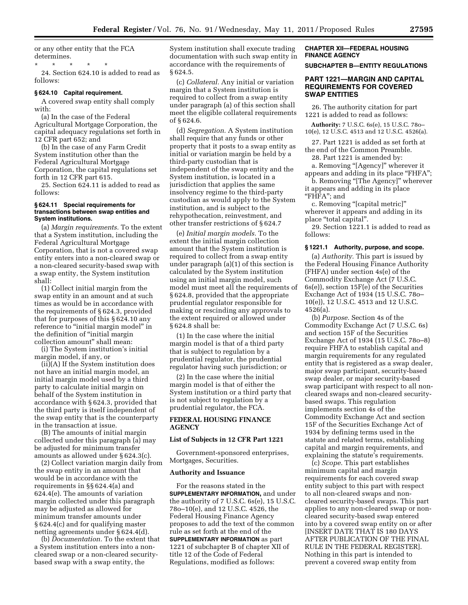or any other entity that the FCA determines.

\* \* \* \* \* 24. Section 624.10 is added to read as follows:

#### **§ 624.10 Capital requirement.**

A covered swap entity shall comply with:

(a) In the case of the Federal Agricultural Mortgage Corporation, the capital adequacy regulations set forth in 12 CFR part 652; and

(b) In the case of any Farm Credit System institution other than the Federal Agricultural Mortgage Corporation, the capital regulations set forth in 12 CFR part 615.

25. Section 624.11 is added to read as follows:

#### **§ 624.11 Special requirements for transactions between swap entities and System institutions.**

(a) *Margin requirements.* To the extent that a System institution, including the Federal Agricultural Mortgage Corporation, that is not a covered swap entity enters into a non-cleared swap or a non-cleared security-based swap with a swap entity, the System institution shall:

(1) Collect initial margin from the swap entity in an amount and at such times as would be in accordance with the requirements of § 624.3, provided that for purposes of this § 624.10 any reference to "initial margin model" in the definition of ''initial margin collection amount'' shall mean:

(i) The System institution's initial margin model, if any, or

(ii)(A) If the System institution does not have an initial margin model, an initial margin model used by a third party to calculate initial margin on behalf of the System institution in accordance with § 624.3, provided that the third party is itself independent of the swap entity that is the counterparty in the transaction at issue.

(B) The amounts of initial margin collected under this paragraph (a) may be adjusted for minimum transfer amounts as allowed under § 624.3(c).

(2) Collect variation margin daily from the swap entity in an amount that would be in accordance with the requirements in §§ 624.4(a) and 624.4(e). The amounts of variation margin collected under this paragraph may be adjusted as allowed for minimum transfer amounts under § 624.4(c) and for qualifying master netting agreements under § 624.4(d).

(b) *Documentation.* To the extent that a System institution enters into a noncleared swap or a non-cleared securitybased swap with a swap entity, the

System institution shall execute trading documentation with such swap entity in accordance with the requirements of § 624.5.

(c) *Collateral.* Any initial or variation margin that a System institution is required to collect from a swap entity under paragraph (a) of this section shall meet the eligible collateral requirements of § 624.6.

(d) *Segregation.* A System institution shall require that any funds or other property that it posts to a swap entity as initial or variation margin be held by a third-party custodian that is independent of the swap entity and the System institution, is located in a jurisdiction that applies the same insolvency regime to the third-party custodian as would apply to the System institution, and is subject to the rehypothecation, reinvestment, and other transfer restrictions of § 624.7

(e) *Initial margin models.* To the extent the initial margin collection amount that the System institution is required to collect from a swap entity under paragraph (a)(1) of this section is calculated by the System institution using an initial margin model, such model must meet all the requirements of § 624.8, provided that the appropriate prudential regulator responsible for making or rescinding any approvals to the extent required or allowed under § 624.8 shall be:

(1) In the case where the initial margin model is that of a third party that is subject to regulation by a prudential regulator, the prudential regulator having such jurisdiction; or

(2) In the case where the initial margin model is that of either the System institution or a third party that is not subject to regulation by a prudential regulator, the FCA.

# **FEDERAL HOUSING FINANCE AGENCY**

#### **List of Subjects in 12 CFR Part 1221**

Government-sponsored enterprises, Mortgages, Securities.

#### **Authority and Issuance**

For the reasons stated in the **SUPPLEMENTARY INFORMATION,** and under the authority of 7 U.S.C. 6s(e), 15 U.S.C. 78o–10(e), and 12 U.S.C. 4526, the Federal Housing Finance Agency proposes to add the text of the common rule as set forth at the end of the **SUPPLEMENTARY INFORMATION** as part 1221 of subchapter B of chapter XII of title 12 of the Code of Federal Regulations, modified as follows:

#### **CHAPTER XII—FEDERAL HOUSING FINANCE AGENCY**

**SUBCHAPTER B—ENTITY REGULATIONS** 

# **PART 1221—MARGIN AND CAPITAL REQUIREMENTS FOR COVERED SWAP ENTITIES**

26. The authority citation for part 1221 is added to read as follows:

**Authority:** 7 U.S.C. 6s(e), 15 U.S.C. 78o– 10(e), 12 U.S.C. 4513 and 12 U.S.C. 4526(a).

27. Part 1221 is added as set forth at the end of the Common Preamble. 28. Part 1221 is amended by:

a. Removing "[Agency]" wherever it

appears and adding in its place ''FHFA''; b. Removing "[The Agency]" wherever it appears and adding in its place

''FHFA''; and

c. Removing ''[capital metric]'' wherever it appears and adding in its place ''total capital''.

29. Section 1221.1 is added to read as follows:

#### **§ 1221.1 Authority, purpose, and scope.**

(a) *Authority.* This part is issued by the Federal Housing Finance Authority (FHFA) under section 4s(e) of the Commodity Exchange Act (7 U.S.C. 6s(e)), section 15F(e) of the Securities Exchange Act of 1934 (15 U.S.C. 78o– 10(e)), 12 U.S.C. 4513 and 12 U.S.C. 4526(a).

(b) *Purpose.* Section 4s of the Commodity Exchange Act (7 U.S.C. 6s) and section 15F of the Securities Exchange Act of 1934 (15 U.S.C. 78o–8) require FHFA to establish capital and margin requirements for any regulated entity that is registered as a swap dealer, major swap participant, security-based swap dealer, or major security-based swap participant with respect to all noncleared swaps and non-cleared securitybased swaps. This regulation implements section 4s of the Commodity Exchange Act and section 15F of the Securities Exchange Act of 1934 by defining terms used in the statute and related terms, establishing capital and margin requirements, and explaining the statute's requirements.

(c) *Scope.* This part establishes minimum capital and margin requirements for each covered swap entity subject to this part with respect to all non-cleared swaps and noncleared security-based swaps. This part applies to any non-cleared swap or noncleared security-based swap entered into by a covered swap entity on or after [INSERT DATE THAT IS 180 DAYS AFTER PUBLICATION OF THE FINAL RULE IN THE FEDERAL REGISTER]. Nothing in this part is intended to prevent a covered swap entity from